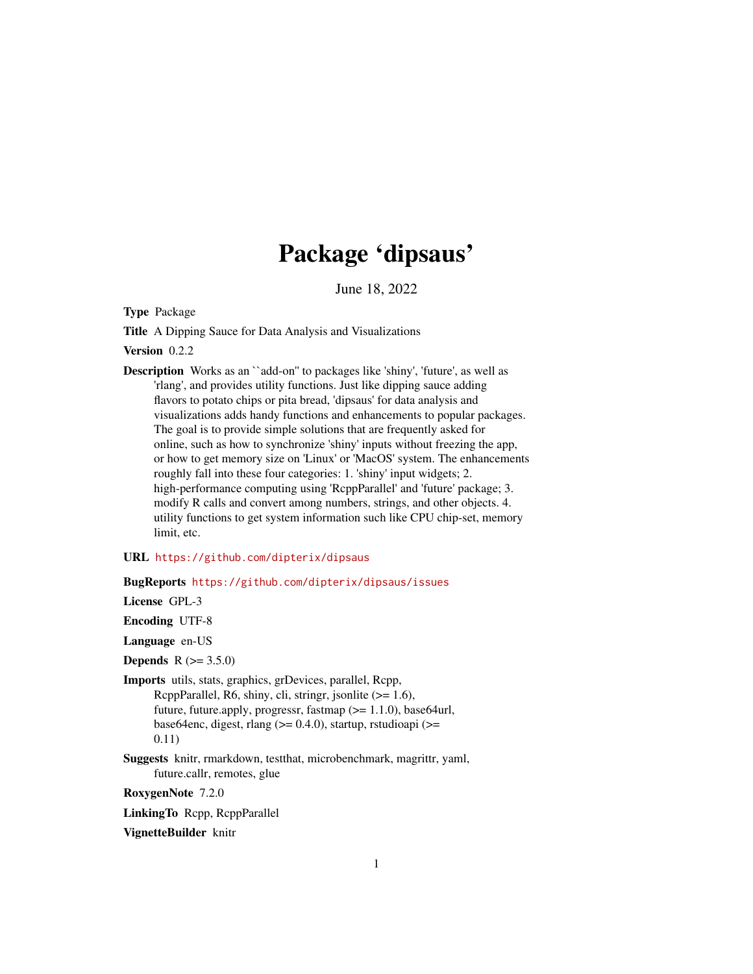# Package 'dipsaus'

June 18, 2022

<span id="page-0-0"></span>Type Package

Title A Dipping Sauce for Data Analysis and Visualizations

Version 0.2.2

Description Works as an ``add-on'' to packages like 'shiny', 'future', as well as 'rlang', and provides utility functions. Just like dipping sauce adding flavors to potato chips or pita bread, 'dipsaus' for data analysis and visualizations adds handy functions and enhancements to popular packages. The goal is to provide simple solutions that are frequently asked for online, such as how to synchronize 'shiny' inputs without freezing the app, or how to get memory size on 'Linux' or 'MacOS' system. The enhancements roughly fall into these four categories: 1. 'shiny' input widgets; 2. high-performance computing using 'RcppParallel' and 'future' package; 3. modify R calls and convert among numbers, strings, and other objects. 4. utility functions to get system information such like CPU chip-set, memory limit, etc.

# URL <https://github.com/dipterix/dipsaus>

# BugReports <https://github.com/dipterix/dipsaus/issues>

License GPL-3

Encoding UTF-8

Language en-US

**Depends** R  $(>= 3.5.0)$ 

- Imports utils, stats, graphics, grDevices, parallel, Rcpp, RcppParallel, R6, shiny, cli, stringr, jsonlite (>= 1.6), future, future.apply, progressr, fastmap (>= 1.1.0), base64url, base64enc, digest, rlang ( $>= 0.4.0$ ), startup, rstudioapi ( $>=$ 0.11)
- Suggests knitr, rmarkdown, testthat, microbenchmark, magrittr, yaml, future.callr, remotes, glue

RoxygenNote 7.2.0

LinkingTo Rcpp, RcppParallel

VignetteBuilder knitr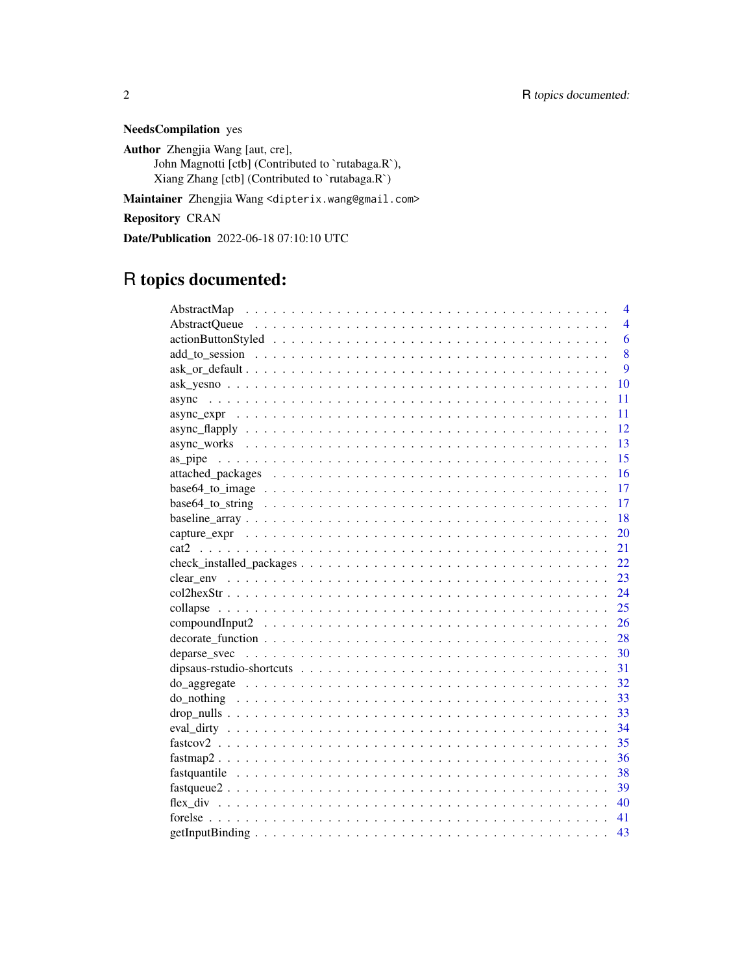NeedsCompilation yes

Author Zhengjia Wang [aut, cre], John Magnotti [ctb] (Contributed to `rutabaga.R`), Xiang Zhang [ctb] (Contributed to `rutabaga.R`)

Maintainer Zhengjia Wang <dipterix.wang@gmail.com>

Repository CRAN

Date/Publication 2022-06-18 07:10:10 UTC

# R topics documented:

|                                                                                                               | $\overline{4}$ |
|---------------------------------------------------------------------------------------------------------------|----------------|
|                                                                                                               | $\overline{4}$ |
|                                                                                                               | 6              |
|                                                                                                               | 8              |
|                                                                                                               | 9              |
|                                                                                                               | 10             |
|                                                                                                               | 11             |
|                                                                                                               | 11             |
|                                                                                                               | 12             |
|                                                                                                               | 13             |
|                                                                                                               | 15             |
|                                                                                                               | 16             |
|                                                                                                               | 17             |
|                                                                                                               | 17             |
|                                                                                                               | 18             |
|                                                                                                               | 20             |
|                                                                                                               | 21             |
|                                                                                                               | 22             |
|                                                                                                               | 23             |
|                                                                                                               | 24             |
|                                                                                                               | 25             |
| compound Input $2 \ldots \ldots \ldots \ldots \ldots \ldots \ldots \ldots \ldots \ldots \ldots \ldots \ldots$ | 26             |
| $decorate_function \dots \dots \dots \dots \dots \dots \dots \dots \dots \dots \dots \dots \dots \dots \dots$ | 28             |
|                                                                                                               | -30            |
|                                                                                                               | 31             |
|                                                                                                               | 32             |
|                                                                                                               | 33             |
|                                                                                                               | -33            |
| $eval\_dirty \ldots \ldots \ldots \ldots \ldots \ldots \ldots \ldots \ldots \ldots \ldots \ldots \ldots$      | - 34           |
|                                                                                                               | 35             |
|                                                                                                               | 36             |
|                                                                                                               | 38             |
|                                                                                                               | 39             |
|                                                                                                               | 40             |
|                                                                                                               | 41             |
|                                                                                                               | 43             |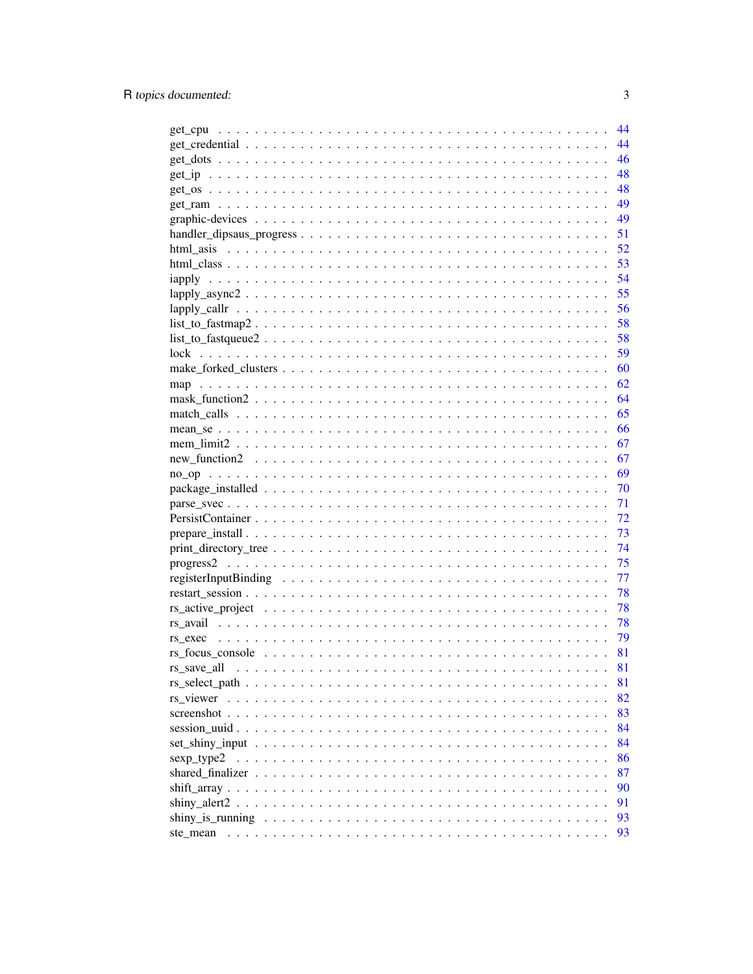|                                                                                                                       | 44 |
|-----------------------------------------------------------------------------------------------------------------------|----|
|                                                                                                                       | 44 |
|                                                                                                                       | 46 |
|                                                                                                                       | 48 |
|                                                                                                                       | 48 |
|                                                                                                                       | 49 |
|                                                                                                                       | 49 |
|                                                                                                                       | 51 |
|                                                                                                                       | 52 |
|                                                                                                                       | 53 |
|                                                                                                                       | 54 |
|                                                                                                                       | 55 |
|                                                                                                                       | 56 |
| $list_to_fastmap2 \ldots \ldots \ldots \ldots \ldots \ldots \ldots \ldots \ldots \ldots \ldots \ldots \ldots$         | 58 |
| $list_to_f$ astqueue $2 \ldots \ldots \ldots \ldots \ldots \ldots \ldots \ldots \ldots \ldots \ldots \ldots$          | 58 |
|                                                                                                                       | 59 |
|                                                                                                                       | 60 |
|                                                                                                                       | 62 |
|                                                                                                                       | 64 |
|                                                                                                                       | 65 |
|                                                                                                                       | 66 |
|                                                                                                                       | 67 |
| $new_function2 \dots \dots \dots \dots \dots \dots \dots \dots \dots \dots \dots \dots \dots \dots \dots \dots \dots$ | 67 |
|                                                                                                                       | 69 |
|                                                                                                                       | 70 |
|                                                                                                                       | 71 |
|                                                                                                                       | 72 |
|                                                                                                                       | 73 |
|                                                                                                                       | 74 |
|                                                                                                                       | 75 |
|                                                                                                                       | 77 |
|                                                                                                                       | 78 |
|                                                                                                                       | 78 |
|                                                                                                                       | 78 |
|                                                                                                                       | 79 |
|                                                                                                                       | 81 |
|                                                                                                                       | 81 |
|                                                                                                                       |    |
|                                                                                                                       | 81 |
| $rs$ viewer $\ldots$ .<br>$\ddot{\phantom{a}}$                                                                        | 82 |
| screenshot                                                                                                            | 83 |
|                                                                                                                       | 84 |
|                                                                                                                       | 84 |
| sexp_type2                                                                                                            | 86 |
| shared finalizer                                                                                                      | 87 |
|                                                                                                                       | 90 |
|                                                                                                                       | 91 |
|                                                                                                                       | 93 |
| ste mean                                                                                                              | 93 |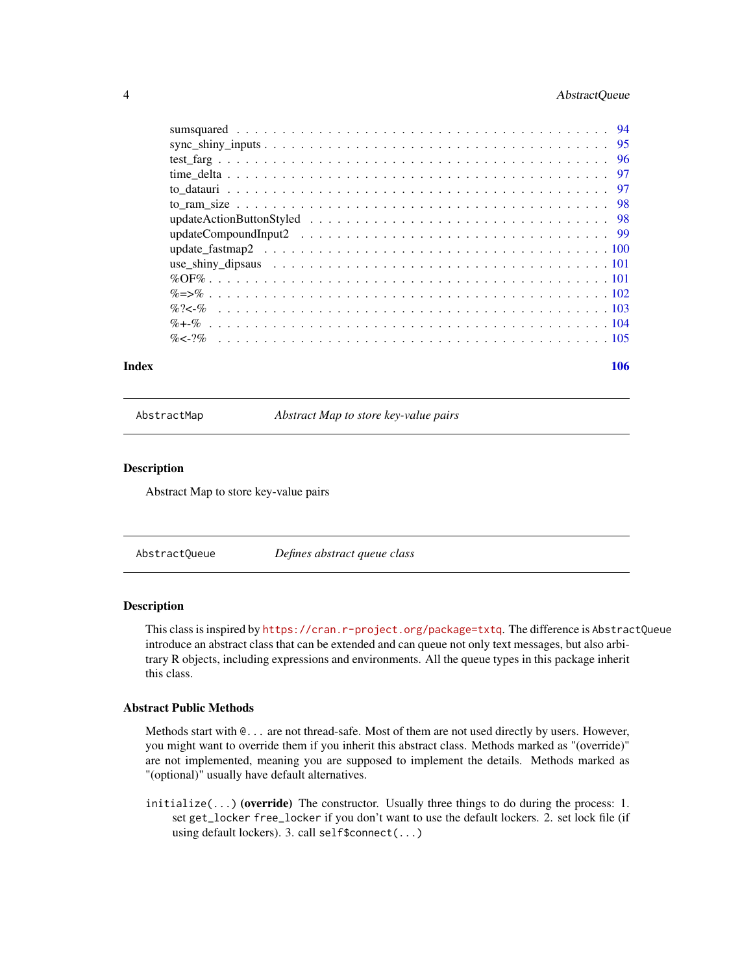### <span id="page-3-0"></span>4 AbstractQueue

#### **Index** the contract of the contract of the contract of the contract of the contract of the contract of the contract of the contract of the contract of the contract of the contract of the contract of the contract of the co

AbstractMap *Abstract Map to store key-value pairs*

### Description

Abstract Map to store key-value pairs

AbstractQueue *Defines abstract queue class*

#### Description

This class is inspired by <https://cran.r-project.org/package=txtq>. The difference is AbstractQueue introduce an abstract class that can be extended and can queue not only text messages, but also arbitrary R objects, including expressions and environments. All the queue types in this package inherit this class.

#### Abstract Public Methods

Methods start with @... are not thread-safe. Most of them are not used directly by users. However, you might want to override them if you inherit this abstract class. Methods marked as "(override)" are not implemented, meaning you are supposed to implement the details. Methods marked as "(optional)" usually have default alternatives.

 $initialize(...)$  (override) The constructor. Usually three things to do during the process: 1. set get\_locker free\_locker if you don't want to use the default lockers. 2. set lock file (if using default lockers). 3. call self\$connect(...)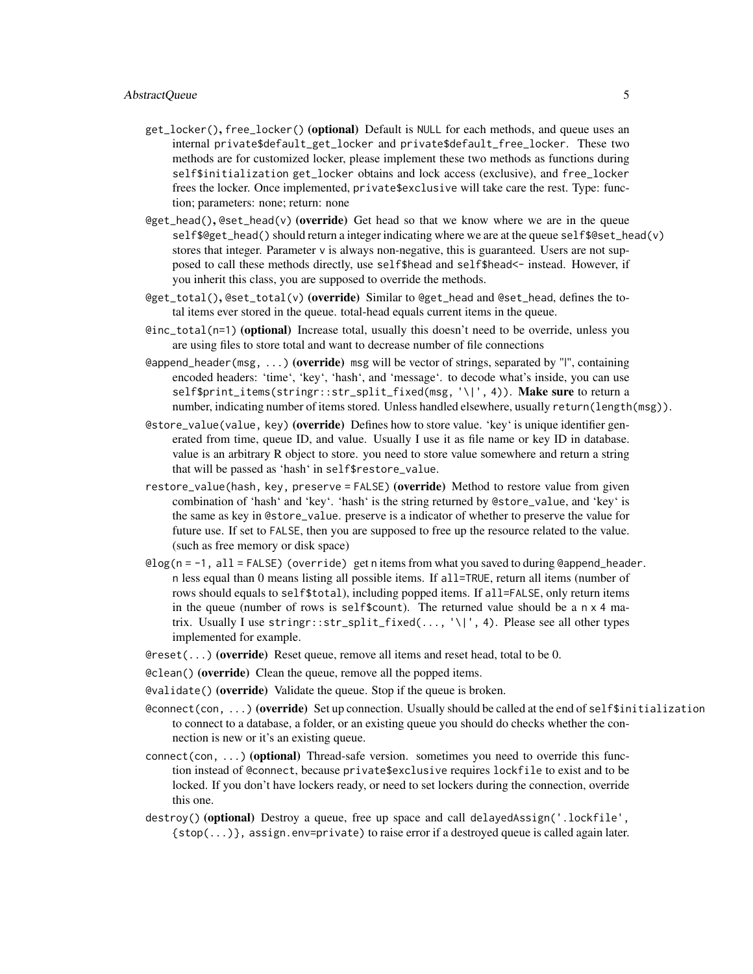- get\_locker(), free\_locker() (optional) Default is NULL for each methods, and queue uses an internal private\$default\_get\_locker and private\$default\_free\_locker. These two methods are for customized locker, please implement these two methods as functions during self\$initialization get\_locker obtains and lock access (exclusive), and free\_locker frees the locker. Once implemented, private\$exclusive will take care the rest. Type: function; parameters: none; return: none
- $@get\_head()$ ,  $@set\_head(v)$  (override) Get head so that we know where we are in the queue self\$@get\_head() should return a integer indicating where we are at the queue self\$@set\_head(v) stores that integer. Parameter v is always non-negative, this is guaranteed. Users are not supposed to call these methods directly, use self\$head and self\$head<- instead. However, if you inherit this class, you are supposed to override the methods.
- @get\_total(), @set\_total(v) (override) Similar to @get\_head and @set\_head, defines the total items ever stored in the queue. total-head equals current items in the queue.
- @inc\_total(n=1) (optional) Increase total, usually this doesn't need to be override, unless you are using files to store total and want to decrease number of file connections
- eappend\_header(msg, ...) (override) msg will be vector of strings, separated by "|", containing encoded headers: 'time', 'key', 'hash', and 'message'. to decode what's inside, you can use self\$print\_items(stringr::str\_split\_fixed(msg, '\|', 4)). Make sure to return a number, indicating number of items stored. Unless handled elsewhere, usually return(length(msg)).
- @store\_value(value, key) (override) Defines how to store value. 'key' is unique identifier generated from time, queue ID, and value. Usually I use it as file name or key ID in database. value is an arbitrary R object to store. you need to store value somewhere and return a string that will be passed as 'hash' in self\$restore\_value.
- restore\_value(hash, key, preserve = FALSE) (override) Method to restore value from given combination of 'hash' and 'key'. 'hash' is the string returned by @store\_value, and 'key' is the same as key in @store\_value. preserve is a indicator of whether to preserve the value for future use. If set to FALSE, then you are supposed to free up the resource related to the value. (such as free memory or disk space)
- @log(n = -1, all = FALSE) (override) get n items from what you saved to during @append\_header. n less equal than 0 means listing all possible items. If all=TRUE, return all items (number of rows should equals to self\$total), including popped items. If all=FALSE, only return items in the queue (number of rows is self\$count). The returned value should be a  $n \times 4$  matrix. Usually I use stringr::str\_split\_fixed(..., '\|', 4). Please see all other types implemented for example.
- $\Theta$ reset(...) (override) Reset queue, remove all items and reset head, total to be 0.
- @clean() (override) Clean the queue, remove all the popped items.
- @validate() (override) Validate the queue. Stop if the queue is broken.
- @connect(con, ...) (override) Set up connection. Usually should be called at the end of self\$initialization to connect to a database, a folder, or an existing queue you should do checks whether the connection is new or it's an existing queue.
- $connect(con, ...)$  (optional) Thread-safe version. sometimes you need to override this function instead of @connect, because private\$exclusive requires lockfile to exist and to be locked. If you don't have lockers ready, or need to set lockers during the connection, override this one.
- destroy() (optional) Destroy a queue, free up space and call delayedAssign('.lockfile', {stop(...)}, assign.env=private) to raise error if a destroyed queue is called again later.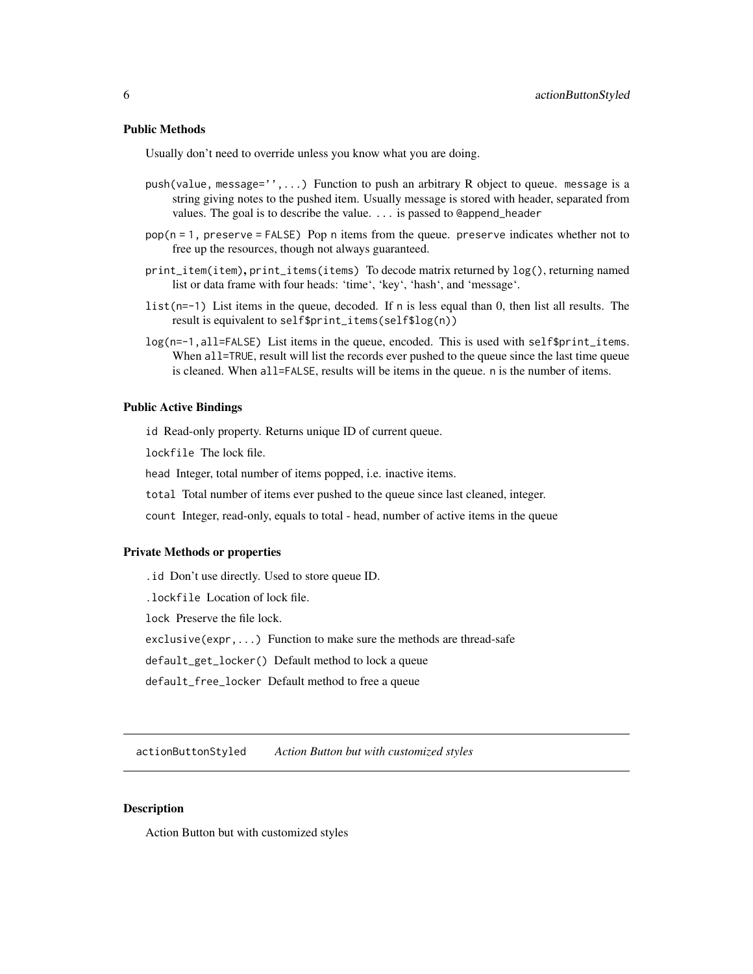### <span id="page-5-0"></span>Public Methods

Usually don't need to override unless you know what you are doing.

- push(value, message='',...) Function to push an arbitrary R object to queue. message is a string giving notes to the pushed item. Usually message is stored with header, separated from values. The goal is to describe the value. ... is passed to @append\_header
- pop(n = 1, preserve = FALSE) Pop n items from the queue. preserve indicates whether not to free up the resources, though not always guaranteed.
- print\_item(item), print\_items(items) To decode matrix returned by log(), returning named list or data frame with four heads: 'time', 'key', 'hash', and 'message'.
- list(n=-1) List items in the queue, decoded. If n is less equal than 0, then list all results. The result is equivalent to self\$print\_items(self\$log(n))
- log(n=-1,all=FALSE) List items in the queue, encoded. This is used with self\$print\_items. When all=TRUE, result will list the records ever pushed to the queue since the last time queue is cleaned. When all=FALSE, results will be items in the queue. n is the number of items.

#### Public Active Bindings

id Read-only property. Returns unique ID of current queue.

lockfile The lock file.

head Integer, total number of items popped, i.e. inactive items.

total Total number of items ever pushed to the queue since last cleaned, integer.

count Integer, read-only, equals to total - head, number of active items in the queue

### Private Methods or properties

.id Don't use directly. Used to store queue ID.

.lockfile Location of lock file.

lock Preserve the file lock.

exclusive(expr,...) Function to make sure the methods are thread-safe

default\_get\_locker() Default method to lock a queue

default\_free\_locker Default method to free a queue

actionButtonStyled *Action Button but with customized styles*

### **Description**

Action Button but with customized styles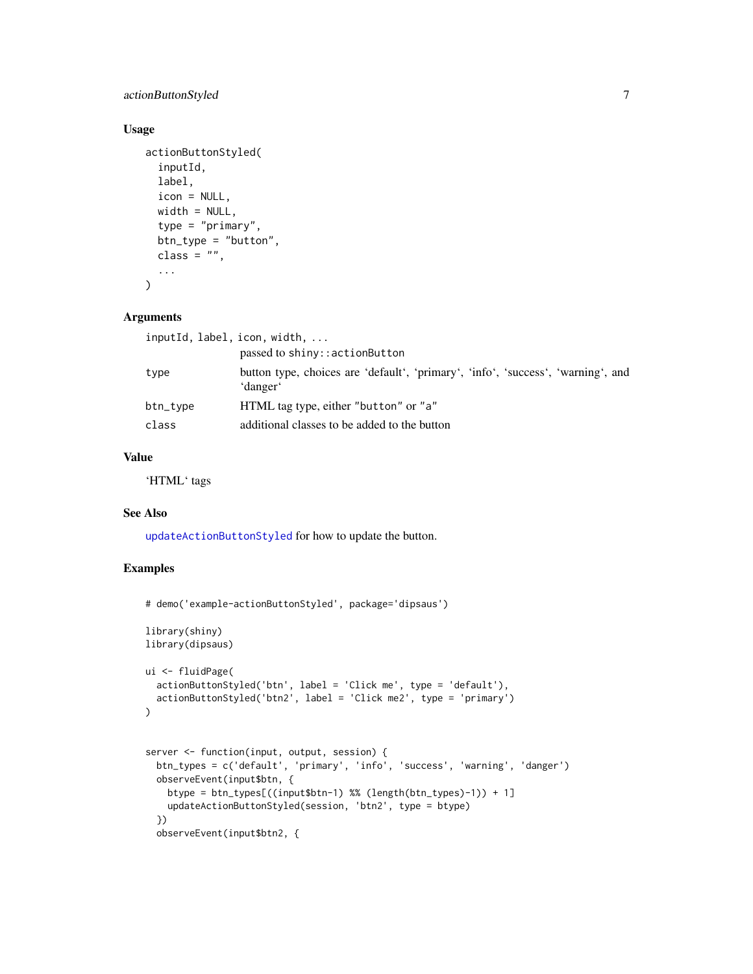# actionButtonStyled 7

# Usage

```
actionButtonStyled(
  inputId,
  label,
  icon = NULL,
 width = NULL,
  type = "primary",
 btn_type = "button",
  class = ",
  ...
)
```
### Arguments

|          | inputId, label, icon, width,                                                                 |
|----------|----------------------------------------------------------------------------------------------|
|          | passed to shiny::actionButton                                                                |
| type     | button type, choices are 'default', 'primary', 'info', 'success', 'warning', and<br>'danger' |
| btn_type | HTML tag type, either "button" or "a"                                                        |
| class    | additional classes to be added to the button                                                 |
|          |                                                                                              |

### Value

'HTML' tags

### See Also

[updateActionButtonStyled](#page-97-1) for how to update the button.

```
# demo('example-actionButtonStyled', package='dipsaus')
library(shiny)
library(dipsaus)
ui <- fluidPage(
  actionButtonStyled('btn', label = 'Click me', type = 'default'),
  actionButtonStyled('btn2', label = 'Click me2', type = 'primary')
\lambdaserver <- function(input, output, session) {
  btn_types = c('default', 'primary', 'info', 'success', 'warning', 'danger')
  observeEvent(input$btn, {
    btype = btn_types[((input$btn-1) %% (length(btn_types)-1)) + 1]
    updateActionButtonStyled(session, 'btn2', type = btype)
  })
  observeEvent(input$btn2, {
```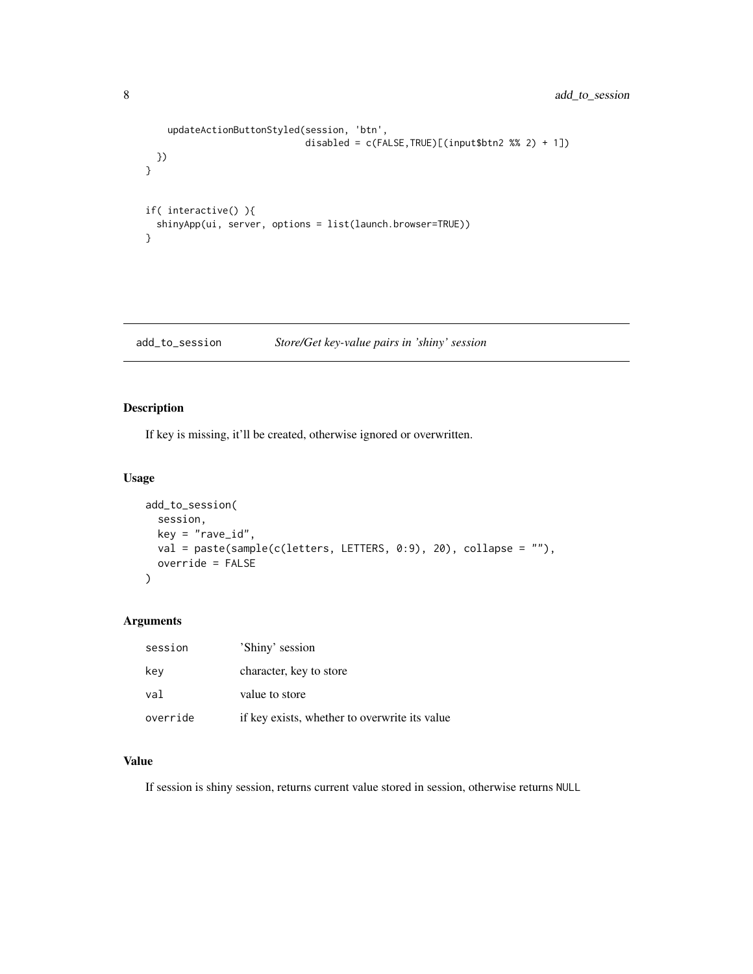```
updateActionButtonStyled(session, 'btn',
                             disabled = c(FALSE,TRUE)[(input$btn2 %% 2) + 1])
 })
}
if( interactive() ){
  shinyApp(ui, server, options = list(launch.browser=TRUE))
}
```
add\_to\_session *Store/Get key-value pairs in 'shiny' session*

# Description

If key is missing, it'll be created, otherwise ignored or overwritten.

### Usage

```
add_to_session(
  session,
 key = "rave_id",val = paste(sample(c(letters, LETTERS, 0:9), 20), collapse = ""),
 override = FALSE
)
```
# Arguments

| session  | 'Shiny' session                               |
|----------|-----------------------------------------------|
| key      | character, key to store                       |
| val      | value to store                                |
| override | if key exists, whether to overwrite its value |

# Value

If session is shiny session, returns current value stored in session, otherwise returns NULL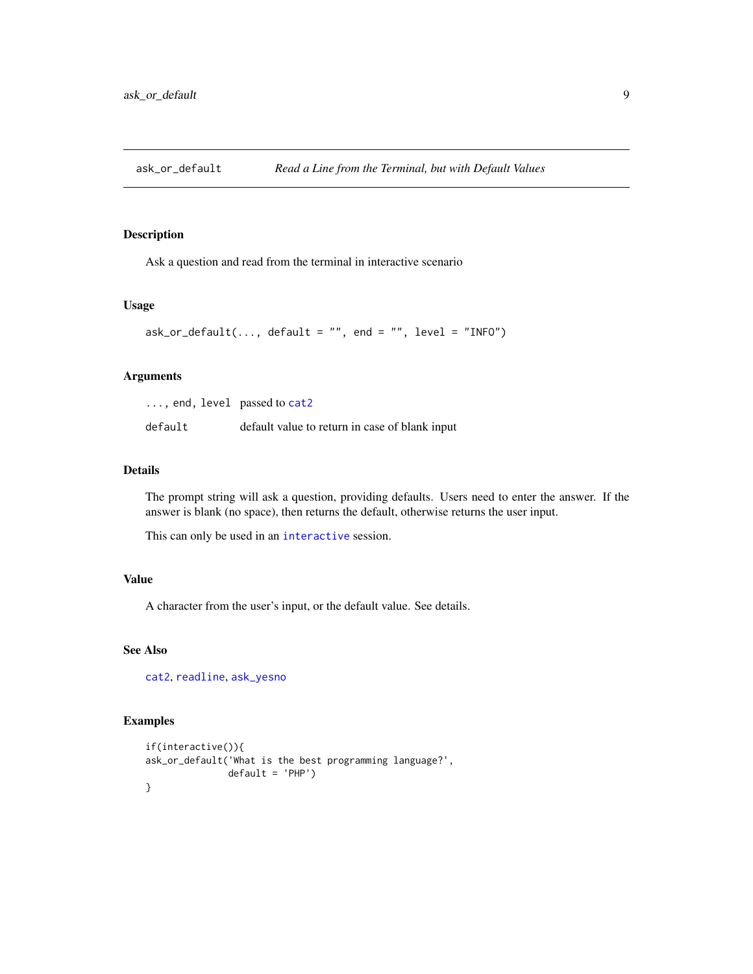<span id="page-8-1"></span><span id="page-8-0"></span>

Ask a question and read from the terminal in interactive scenario

### Usage

```
ask_or_default(..., default = "", end = "", level = "INFO")
```
### Arguments

| $\ldots$ , end, level passed to cat2 |                                                |
|--------------------------------------|------------------------------------------------|
| default                              | default value to return in case of blank input |

### Details

The prompt string will ask a question, providing defaults. Users need to enter the answer. If the answer is blank (no space), then returns the default, otherwise returns the user input.

This can only be used in an [interactive](#page-0-0) session.

### Value

A character from the user's input, or the default value. See details.

### See Also

[cat2](#page-20-1), [readline](#page-0-0), [ask\\_yesno](#page-9-1)

```
if(interactive()){
ask_or_default('What is the best programming language?',
              default = 'PHP')
}
```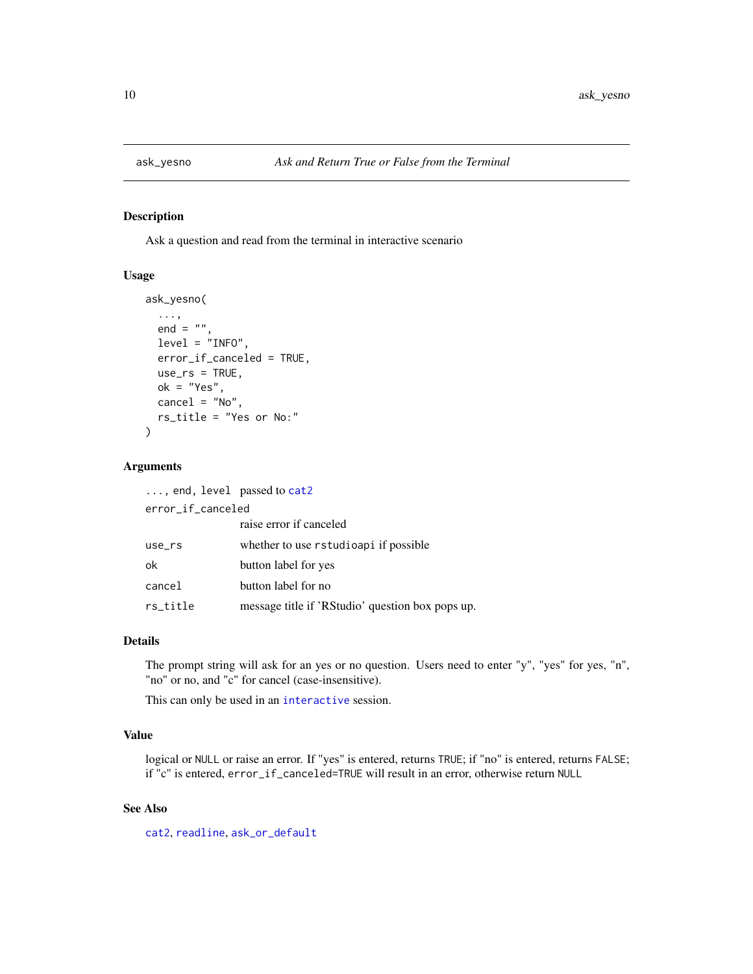<span id="page-9-1"></span><span id="page-9-0"></span>

Ask a question and read from the terminal in interactive scenario

#### Usage

```
ask_yesno(
  ...,
  end = "",level = "INFO",
  error_if_canceled = TRUE,
 use\_rs = TRUE,ok = "Yes",cancel = "No",rs_title = "Yes or No:"
\mathcal{L}
```
### Arguments

| $\ldots$ , end, level passed to cat2 |                                                  |  |
|--------------------------------------|--------------------------------------------------|--|
| error_if_canceled                    |                                                  |  |
|                                      | raise error if canceled                          |  |
| $use\_rs$                            | whether to use rstudioapi if possible            |  |
| ok                                   | button label for yes                             |  |
| cancel                               | button label for no                              |  |
| rs_title                             | message title if 'RStudio' question box pops up. |  |

#### Details

The prompt string will ask for an yes or no question. Users need to enter "y", "yes" for yes, "n", "no" or no, and "c" for cancel (case-insensitive).

This can only be used in an [interactive](#page-0-0) session.

### Value

logical or NULL or raise an error. If "yes" is entered, returns TRUE; if "no" is entered, returns FALSE; if "c" is entered, error\_if\_canceled=TRUE will result in an error, otherwise return NULL

### See Also

[cat2](#page-20-1), [readline](#page-0-0), [ask\\_or\\_default](#page-8-1)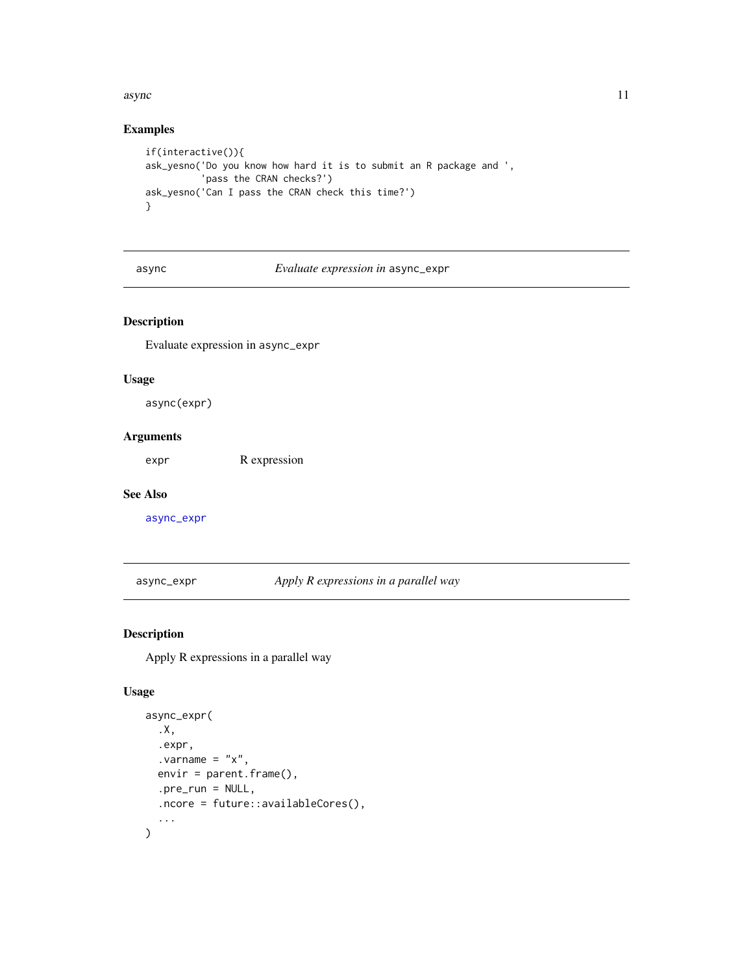#### <span id="page-10-0"></span>async<sup>11</sup>

### Examples

```
if(interactive()){
ask_yesno('Do you know how hard it is to submit an R package and ',
          'pass the CRAN checks?')
ask_yesno('Can I pass the CRAN check this time?')
}
```
async *Evaluate expression in* async\_expr

# Description

Evaluate expression in async\_expr

# Usage

async(expr)

# Arguments

expr R expression

#### See Also

[async\\_expr](#page-10-1)

<span id="page-10-1"></span>async\_expr *Apply R expressions in a parallel way*

# Description

Apply R expressions in a parallel way

### Usage

```
async_expr(
  .X,
  .expr,
  varrow = "x".envir = parent.frame(),
  .pre_run = NULL,
  .ncore = future::availableCores(),
  ...
\mathcal{L}
```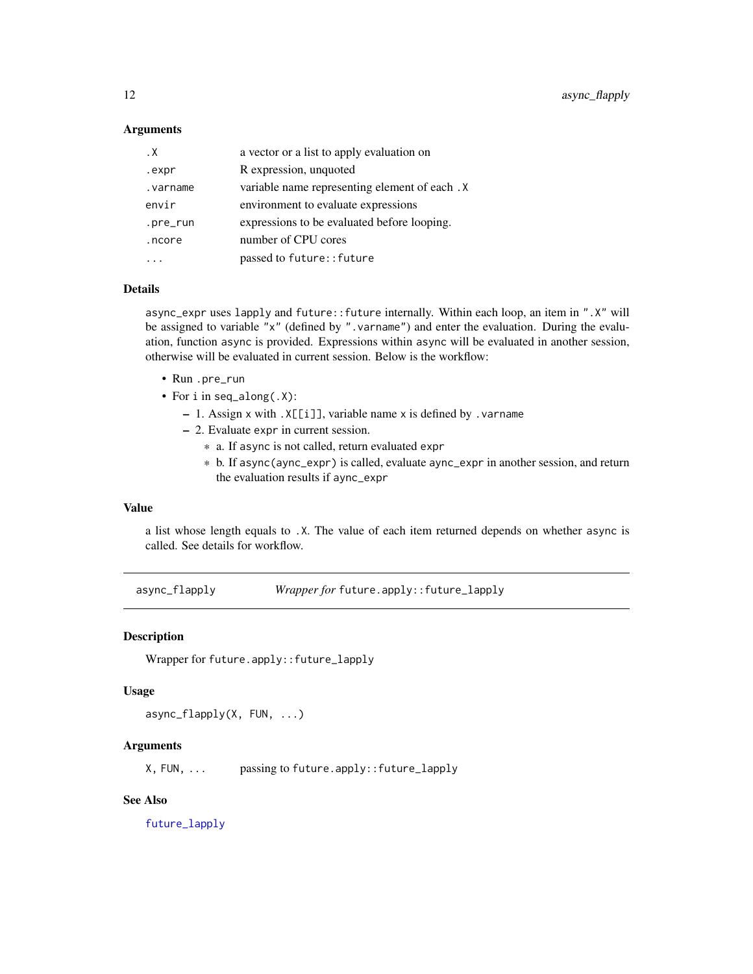### <span id="page-11-0"></span>**Arguments**

| . Х      | a vector or a list to apply evaluation on     |
|----------|-----------------------------------------------|
| .expr    | R expression, unquoted                        |
| .varname | variable name representing element of each. X |
| envir    | environment to evaluate expressions           |
| .pre_run | expressions to be evaluated before looping.   |
| .ncore   | number of CPU cores                           |
|          | passed to future:: future                     |

### Details

async\_expr uses lapply and future::future internally. Within each loop, an item in ".X" will be assigned to variable "x" (defined by ". varname") and enter the evaluation. During the evaluation, function async is provided. Expressions within async will be evaluated in another session, otherwise will be evaluated in current session. Below is the workflow:

- Run .pre\_run
- For i in seq\_along(.X):
	- 1. Assign x with .X[[i]], variable name x is defined by .varname
	- 2. Evaluate expr in current session.
		- \* a. If async is not called, return evaluated expr
		- \* b. If async(aync\_expr) is called, evaluate aync\_expr in another session, and return the evaluation results if aync\_expr

# Value

a list whose length equals to .X. The value of each item returned depends on whether async is called. See details for workflow.

async\_flapply *Wrapper for* future.apply::future\_lapply

### **Description**

```
Wrapper for future.apply::future_lapply
```
#### Usage

```
async_flapply(X, FUN, ...)
```
#### **Arguments**

X, FUN, ... passing to future.apply::future\_lapply

# See Also

[future\\_lapply](#page-0-0)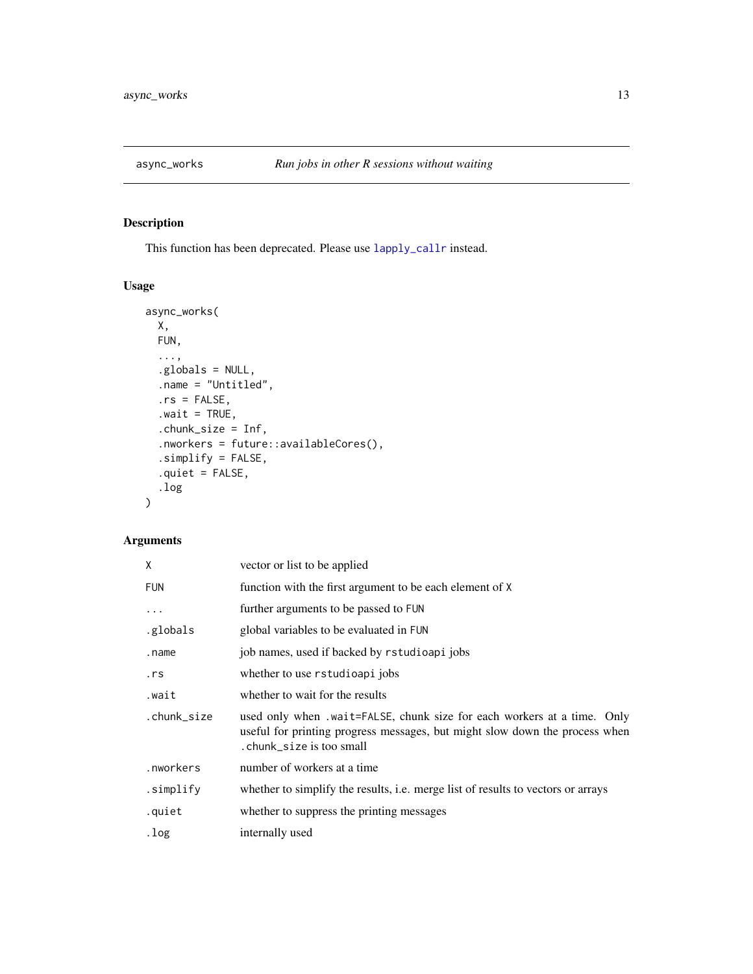<span id="page-12-0"></span>

This function has been deprecated. Please use [lapply\\_callr](#page-55-1) instead.

# Usage

```
async_works(
 X,
 FUN,
  ...,
  .globals = NULL,
  .name = "Untitled",
  rs = FALSE,value = TRUE,.chunk_size = Inf,
  .nworkers = future::availableCores(),
  .simplify = FALSE,
  .quiet = FALSE,
  .log
\mathcal{L}
```
# Arguments

| Χ           | vector or list to be applied                                                                                                                                                        |
|-------------|-------------------------------------------------------------------------------------------------------------------------------------------------------------------------------------|
| FUN         | function with the first argument to be each element of X                                                                                                                            |
| $\cdots$    | further arguments to be passed to FUN                                                                                                                                               |
| .globals    | global variables to be evaluated in FUN                                                                                                                                             |
| .name       | job names, used if backed by rstudioapi jobs                                                                                                                                        |
| .rs         | whether to use rstudioapi jobs                                                                                                                                                      |
| .wait       | whether to wait for the results                                                                                                                                                     |
| .chunk_size | used only when .wait=FALSE, chunk size for each workers at a time. Only<br>useful for printing progress messages, but might slow down the process when<br>. chunk_size is too small |
| .nworkers   | number of workers at a time                                                                                                                                                         |
| .simplify   | whether to simplify the results, i.e. merge list of results to vectors or arrays                                                                                                    |
| .quiet      | whether to suppress the printing messages                                                                                                                                           |
| .log        | internally used                                                                                                                                                                     |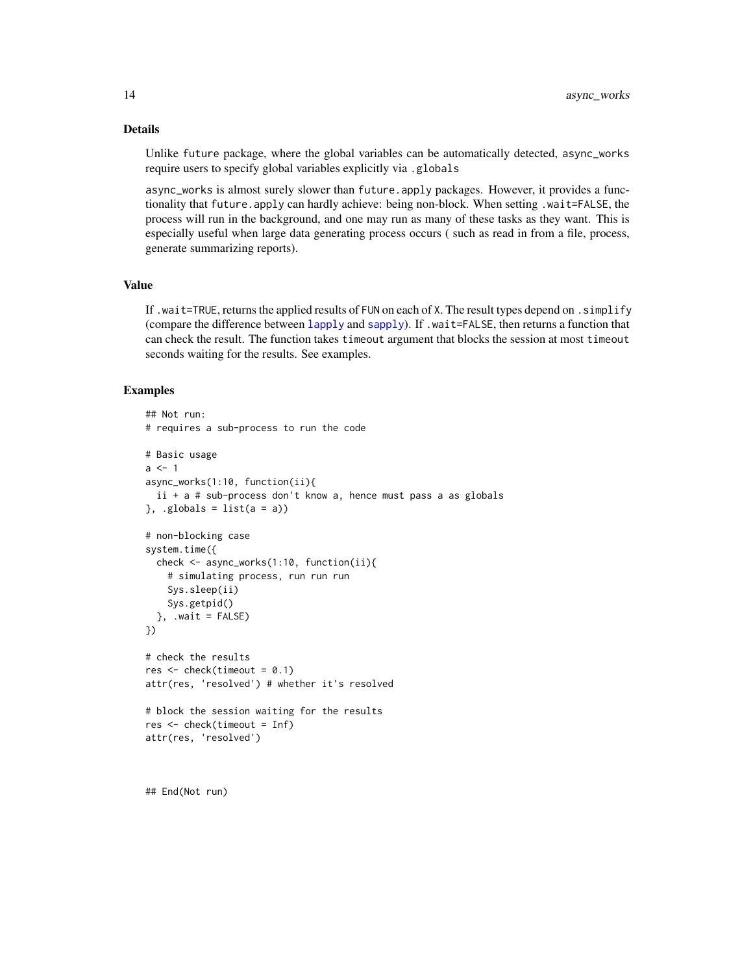### Details

Unlike future package, where the global variables can be automatically detected, async\_works require users to specify global variables explicitly via .globals

async\_works is almost surely slower than future.apply packages. However, it provides a functionality that future.apply can hardly achieve: being non-block. When setting .wait=FALSE, the process will run in the background, and one may run as many of these tasks as they want. This is especially useful when large data generating process occurs ( such as read in from a file, process, generate summarizing reports).

### Value

If .wait=TRUE, returns the applied results of FUN on each of X. The result types depend on . simplify (compare the difference between [lapply](#page-0-0) and [sapply](#page-0-0)). If .wait=FALSE, then returns a function that can check the result. The function takes timeout argument that blocks the session at most timeout seconds waiting for the results. See examples.

### Examples

```
## Not run:
# requires a sub-process to run the code
# Basic usage
a \leq -1async_works(1:10, function(ii){
 ii + a # sub-process don't know a, hence must pass a as globals
}, .globals = list(a = a))
# non-blocking case
system.time({
  check <- async_works(1:10, function(ii){
    # simulating process, run run run
    Sys.sleep(ii)
    Sys.getpid()
  }, .wait = FALSE)
})
# check the results
res < -</math> check(timeout = 0.1)attr(res, 'resolved') # whether it's resolved
# block the session waiting for the results
res <- check(timeout = Inf)
attr(res, 'resolved')
```
## End(Not run)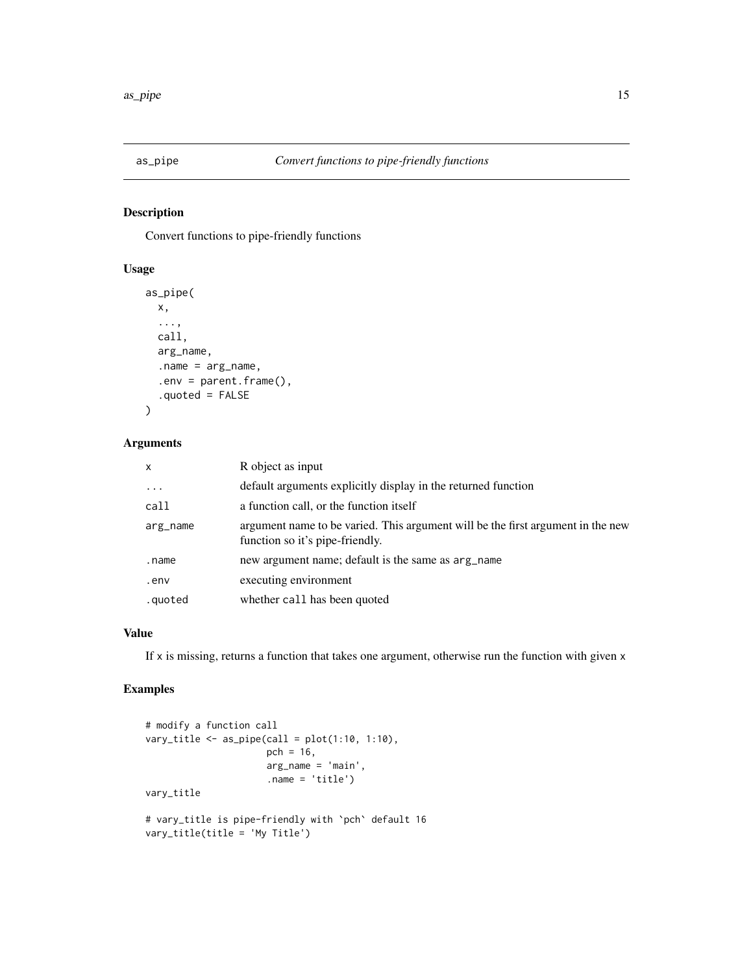<span id="page-14-0"></span>

Convert functions to pipe-friendly functions

# Usage

```
as_pipe(
 x,
  ...,
  call,
 arg_name,
  .name = arg_name,
  .env = parent.frame(),
  .quoted = FALSE
)
```
### Arguments

| $\mathsf{x}$ | R object as input                                                                                                  |
|--------------|--------------------------------------------------------------------------------------------------------------------|
| $\ddotsc$    | default arguments explicitly display in the returned function                                                      |
| call         | a function call, or the function itself                                                                            |
| arg_name     | argument name to be varied. This argument will be the first argument in the new<br>function so it's pipe-friendly. |
| .name        | new argument name; default is the same as arg_name                                                                 |
| .env         | executing environment                                                                                              |
| .quoted      | whether call has been quoted                                                                                       |

# Value

If x is missing, returns a function that takes one argument, otherwise run the function with given x

```
# modify a function call
vary_title \leq as_pipe(call = plot(1:10, 1:10),
                     pch = 16,
                      arg_name = 'main',
                      .name = 'title')
vary_title
# vary_title is pipe-friendly with `pch` default 16
vary_title(title = 'My Title')
```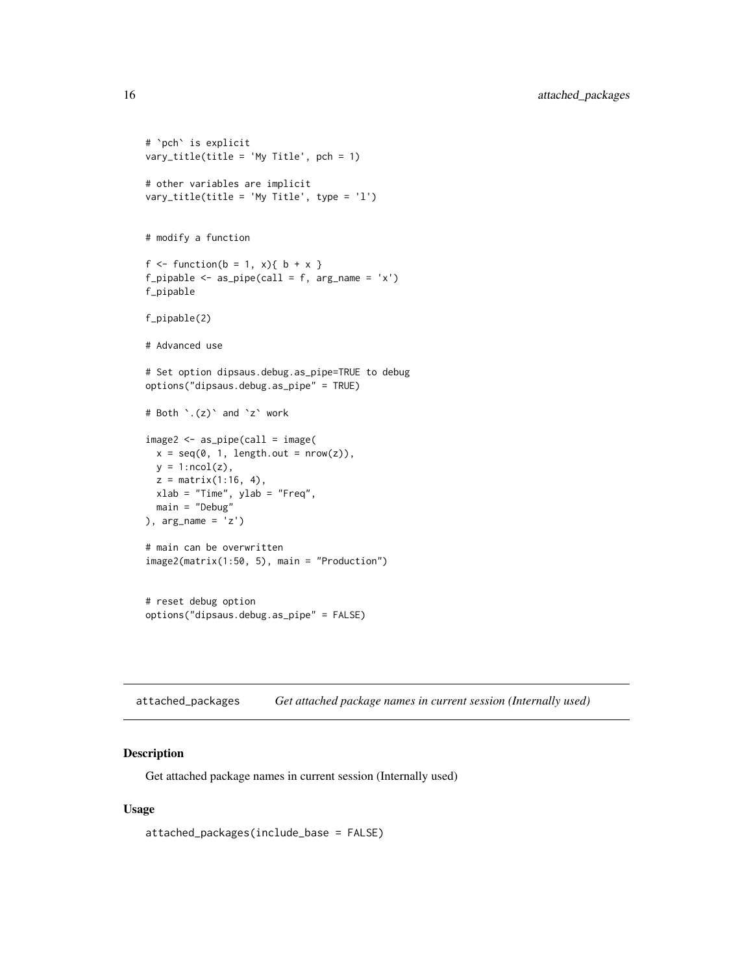```
# `pch` is explicit
vary_title(title = 'My Title', pch = 1)
# other variables are implicit
vary_title(title = 'My Title', type = 'l')
# modify a function
f \leftarrow function(b = 1, x) { b + x }f_pipable \leq as_pipe(call = f, arg_name = 'x')
f_pipable
f_pipable(2)
# Advanced use
# Set option dipsaus.debug.as_pipe=TRUE to debug
options("dipsaus.debug.as_pipe" = TRUE)
# Both `.(z)` and `z` work
image2 <- as_pipe(call = image(
  x = seq(0, 1, length.out = nrow(z)),y = 1:ncol(z),
  z = matrix(1:16, 4),xlab = "Time", ylab = "Freq",
  main = "Debug"
), arg_name = 'z')
# main can be overwritten
image2(matrix(1:50, 5), main = "Production")
# reset debug option
options("dipsaus.debug.as_pipe" = FALSE)
```
attached\_packages *Get attached package names in current session (Internally used)*

### Description

Get attached package names in current session (Internally used)

### Usage

attached\_packages(include\_base = FALSE)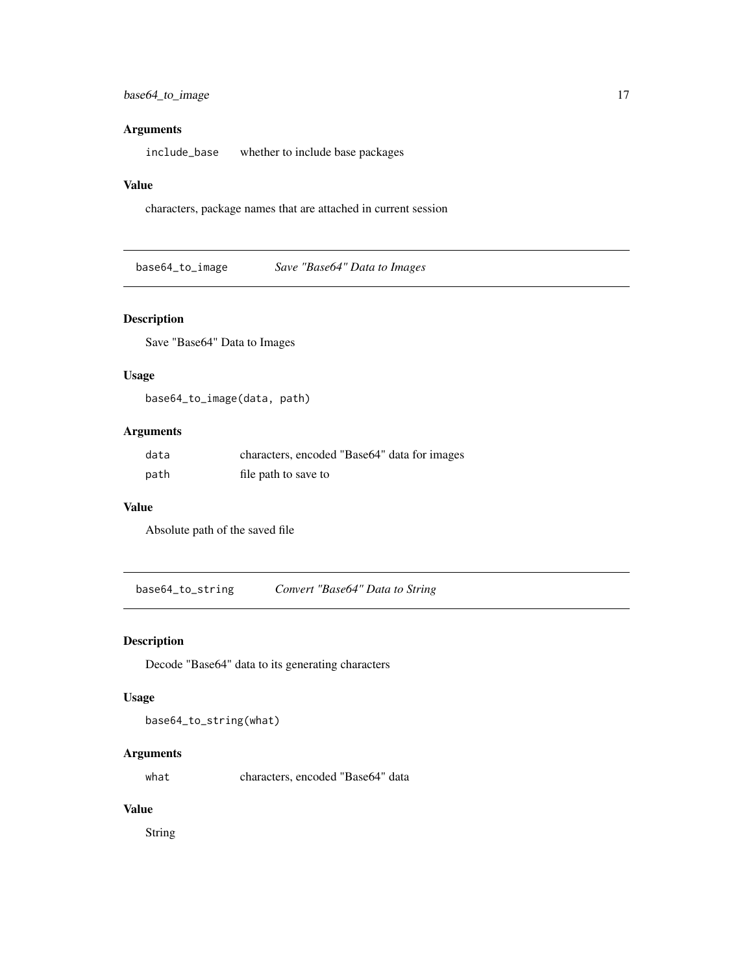### <span id="page-16-0"></span>Arguments

include\_base whether to include base packages

### Value

characters, package names that are attached in current session

base64\_to\_image *Save "Base64" Data to Images*

# Description

Save "Base64" Data to Images

### Usage

base64\_to\_image(data, path)

### Arguments

| data | characters, encoded "Base64" data for images |
|------|----------------------------------------------|
| path | file path to save to                         |

### Value

Absolute path of the saved file

base64\_to\_string *Convert "Base64" Data to String*

# Description

Decode "Base64" data to its generating characters

### Usage

```
base64_to_string(what)
```
# Arguments

what characters, encoded "Base64" data

### Value

String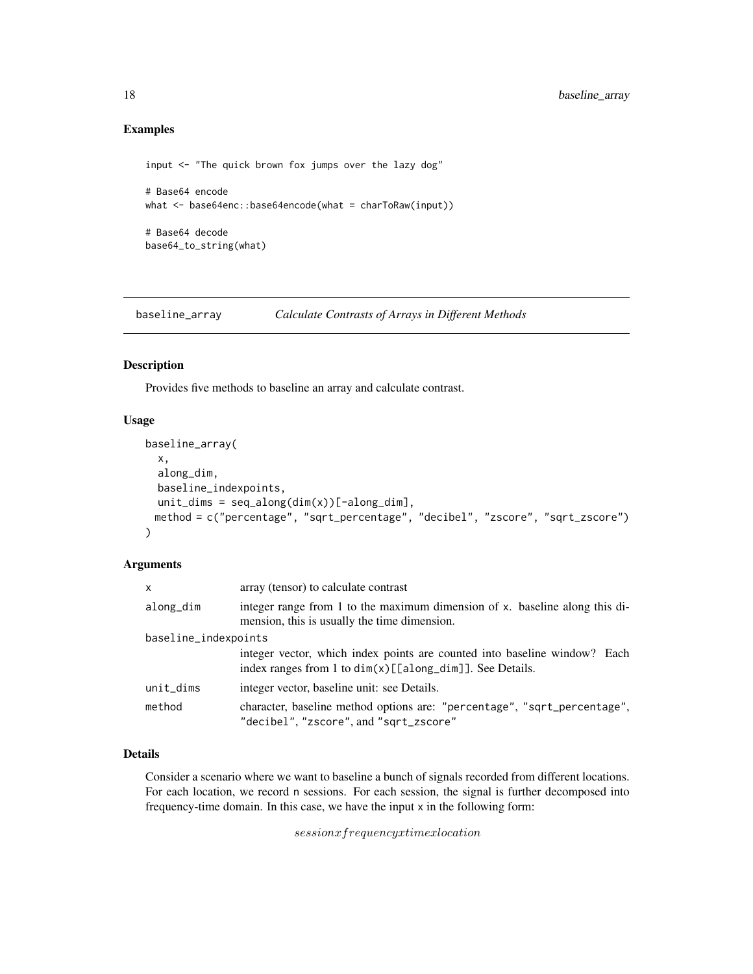# Examples

```
input <- "The quick brown fox jumps over the lazy dog"
# Base64 encode
what <- base64enc::base64encode(what = charToRaw(input))
# Base64 decode
base64_to_string(what)
```
baseline\_array *Calculate Contrasts of Arrays in Different Methods*

# Description

Provides five methods to baseline an array and calculate contrast.

# Usage

```
baseline_array(
  x,
  along_dim,
 baseline_indexpoints,
 unit\_dims = seq\_along(dim(x))[-along\_dim],method = c("percentage", "sqrt_percentage", "decibel", "zscore", "sqrt_zscore")
)
```
### Arguments

| $\mathsf{x}$         | array (tensor) to calculate contrast                                                                                                     |  |
|----------------------|------------------------------------------------------------------------------------------------------------------------------------------|--|
| along_dim            | integer range from 1 to the maximum dimension of x. baseline along this di-<br>mension, this is usually the time dimension.              |  |
| baseline_indexpoints |                                                                                                                                          |  |
|                      | integer vector, which index points are counted into baseline window? Each<br>index ranges from 1 to $dim(x)[[along_dim]]$ . See Details. |  |
| unit_dims            | integer vector, baseline unit: see Details.                                                                                              |  |
| method               | character, baseline method options are: "percentage", "sqrt_percentage",<br>"decibel", "zscore", and "sqrt_zscore"                       |  |

### Details

Consider a scenario where we want to baseline a bunch of signals recorded from different locations. For each location, we record n sessions. For each session, the signal is further decomposed into frequency-time domain. In this case, we have the input x in the following form:

sessionxfrequencyxtimexlocation

<span id="page-17-0"></span>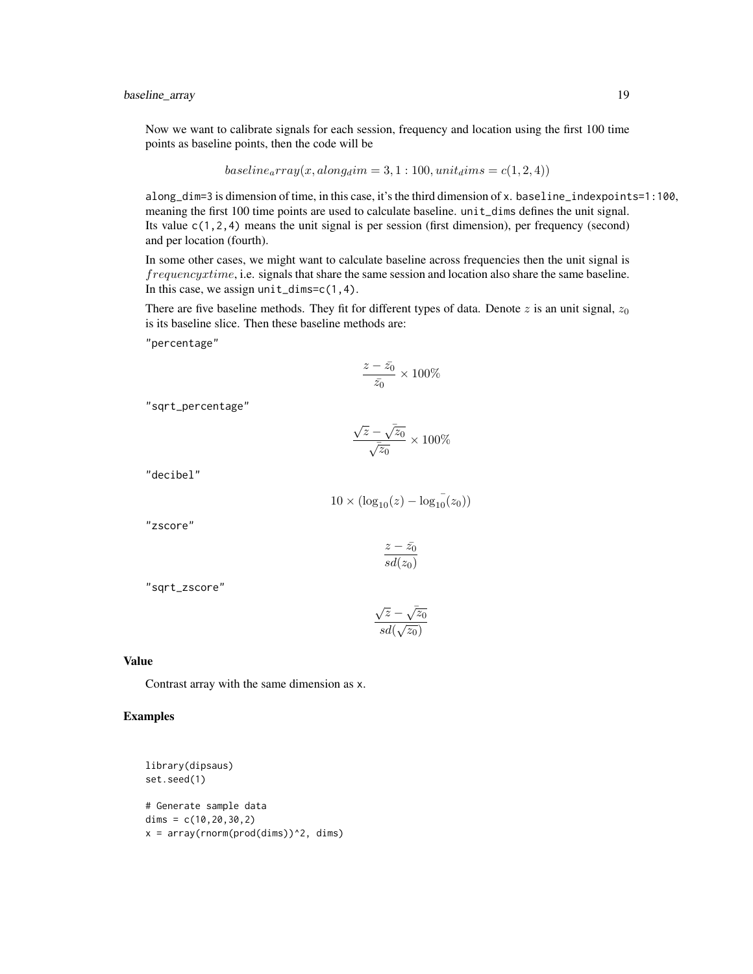Now we want to calibrate signals for each session, frequency and location using the first 100 time points as baseline points, then the code will be

$$
baseline_{a}rray(x,along_{d}im=3,1:100, unit_{d}ims=c(1,2,4))
$$

along\_dim=3 is dimension of time, in this case, it's the third dimension of x. baseline\_indexpoints=1:100, meaning the first 100 time points are used to calculate baseline. unit\_dims defines the unit signal. Its value  $c(1,2,4)$  means the unit signal is per session (first dimension), per frequency (second) and per location (fourth).

In some other cases, we might want to calculate baseline across frequencies then the unit signal is frequencyxtime, i.e. signals that share the same session and location also share the same baseline. In this case, we assign unit\_dims=c(1,4).

There are five baseline methods. They fit for different types of data. Denote z is an unit signal,  $z_0$ is its baseline slice. Then these baseline methods are:

"percentage"

$$
\frac{z-\bar{z_0}}{\bar{z_0}}\times 100\%
$$

"sqrt\_percentage"

$$
\frac{\sqrt{z}-\sqrt{z_0}}{\sqrt{z_0}}\times 100\%
$$

"decibel"

$$
10 \times (\log_{10}(z) - \log_{10}(z_0))
$$

"zscore"

$$
\frac{z-\bar{z_0}}{sd(z_0)}
$$

"sqrt\_zscore"

$$
\frac{\sqrt{z}-\sqrt{z_0}}{sd(\sqrt{z_0})}
$$

# Value

Contrast array with the same dimension as x.

```
library(dipsaus)
set.seed(1)
# Generate sample data
dims = c(10, 20, 30, 2)x = array(rnorm(prod(dims))^2, dims)
```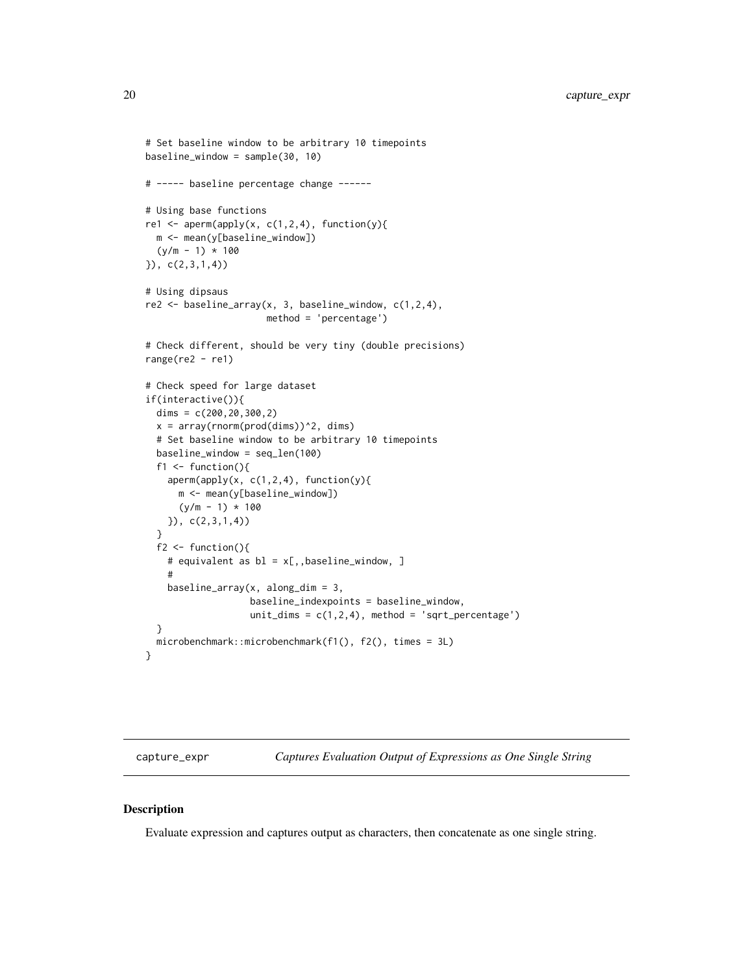```
# Set baseline window to be arbitrary 10 timepoints
baseline_window = sample(30, 10)
# ----- baseline percentage change ------
# Using base functions
re1 <- aperm(apply(x, c(1,2,4), function(y){
 m <- mean(y[baseline_window])
  (y/m - 1) * 100}), c(2,3,1,4))
# Using dipsaus
re2 \leq baseline_{array}(x, 3, baseline\_window, c(1,2,4),method = 'percentage')
# Check different, should be very tiny (double precisions)
range(re2 - re1)
# Check speed for large dataset
if(interactive()){
 dims = c(200, 20, 300, 2)x = array(rnorm(pred(dims))^2, dims)# Set baseline window to be arbitrary 10 timepoints
 baseline_window = seq_len(100)
 f1 \leftarrow function(){
   aperm(apply(x, c(1,2,4), function(y){
     m <- mean(y[baseline_window])
      (y/m - 1) * 100}), c(2,3,1,4))
 }
 f2 \leftarrow function(){
   # equivalent as bl = x[,,baseline_window, ]
   #
   baseline_array(x, along_dim = 3,
                   baseline_indexpoints = baseline_window,
                   unit_dims = c(1,2,4), method = 'sqrt_percentage')
 }
 microbenchmark::microbenchmark(f1(), f2(), times = 3L)
}
```
capture\_expr *Captures Evaluation Output of Expressions as One Single String*

### Description

Evaluate expression and captures output as characters, then concatenate as one single string.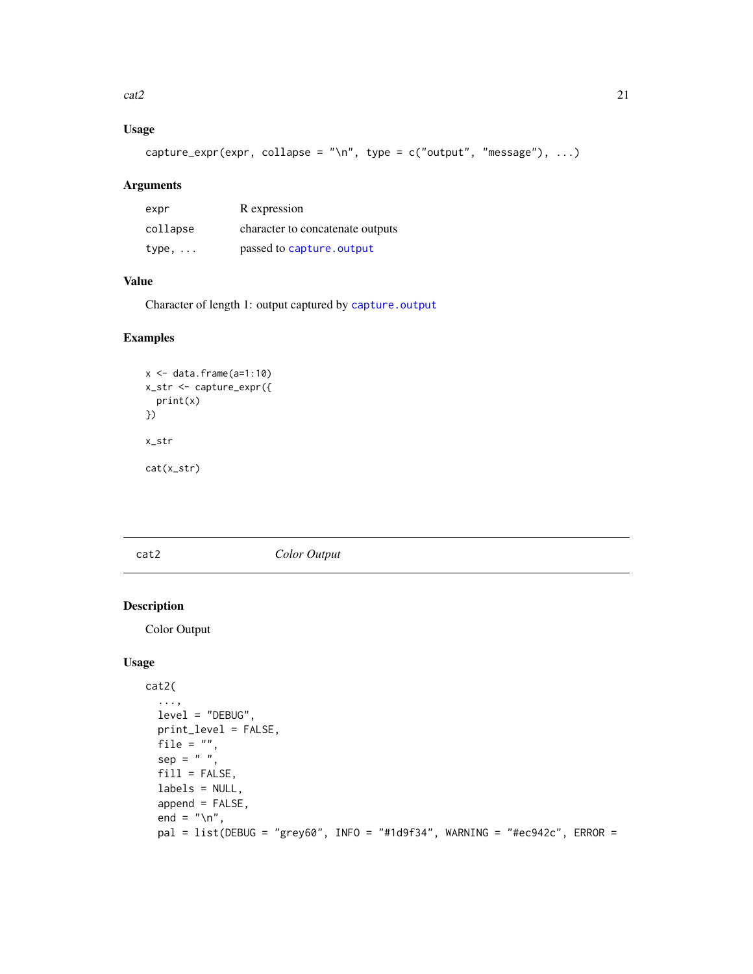<span id="page-20-0"></span> $\text{cat2}$  21

# Usage

capture\_expr(expr, collapse = "\n", type = c("output", "message"), ...)

# Arguments

| expr     | R expression                     |
|----------|----------------------------------|
| collapse | character to concatenate outputs |
| type,    | passed to capture, output        |

# Value

Character of length 1: output captured by [capture.output](#page-0-0)

# Examples

```
x \leftarrow \text{data-frame}(a=1:10)x_str <- capture_expr({
  print(x)
})
x_str
cat(x_str)
```
# <span id="page-20-1"></span>cat2 *Color Output*

# Description

Color Output

# Usage

```
cat2(
  ...,
  level = "DEBUG",
  print_level = FALSE,
  file = ",
  sep = " "fill = FALSE,
  labels = NULL,
  append = FALSE,end = "\n\n\sqrt{n}",
  pal = list(DEBUG = "grey60", INFO = "#1d9f34", WANING = "#ec942c", ERROR =
```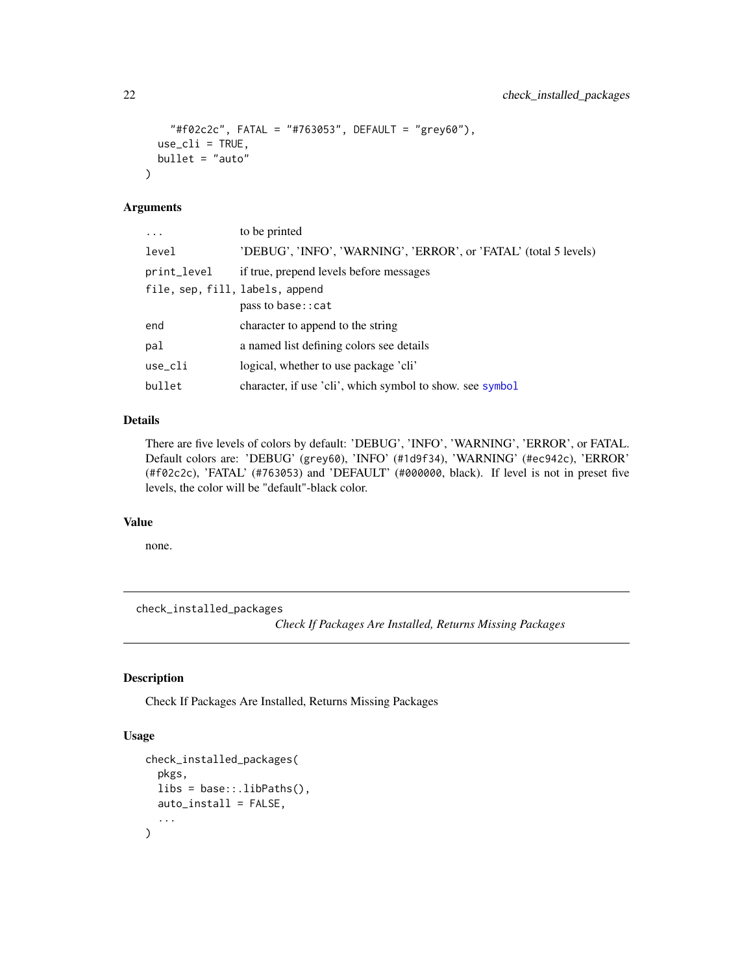```
"#f02c2c", FATAL = "#763053", DEFAULT = "grey60"),
 use_cli = TRUE,bullet = "auto")
```
### Arguments

| to be printed                                                    |
|------------------------------------------------------------------|
| 'DEBUG', 'INFO', 'WARNING', 'ERROR', or 'FATAL' (total 5 levels) |
| if true, prepend levels before messages                          |
| file, sep, fill, labels, append                                  |
| pass to base:: cat                                               |
| character to append to the string                                |
| a named list defining colors see details                         |
| logical, whether to use package 'cli'                            |
| character, if use 'cli', which symbol to show, see symbol        |
|                                                                  |

# Details

There are five levels of colors by default: 'DEBUG', 'INFO', 'WARNING', 'ERROR', or FATAL. Default colors are: 'DEBUG' (grey60), 'INFO' (#1d9f34), 'WARNING' (#ec942c), 'ERROR' (#f02c2c), 'FATAL' (#763053) and 'DEFAULT' (#000000, black). If level is not in preset five levels, the color will be "default"-black color.

# Value

none.

check\_installed\_packages

*Check If Packages Are Installed, Returns Missing Packages*

# Description

Check If Packages Are Installed, Returns Missing Packages

# Usage

```
check_installed_packages(
 pkgs,
 libs = base::.libPaths(),
 auto_install = FALSE,
  ...
)
```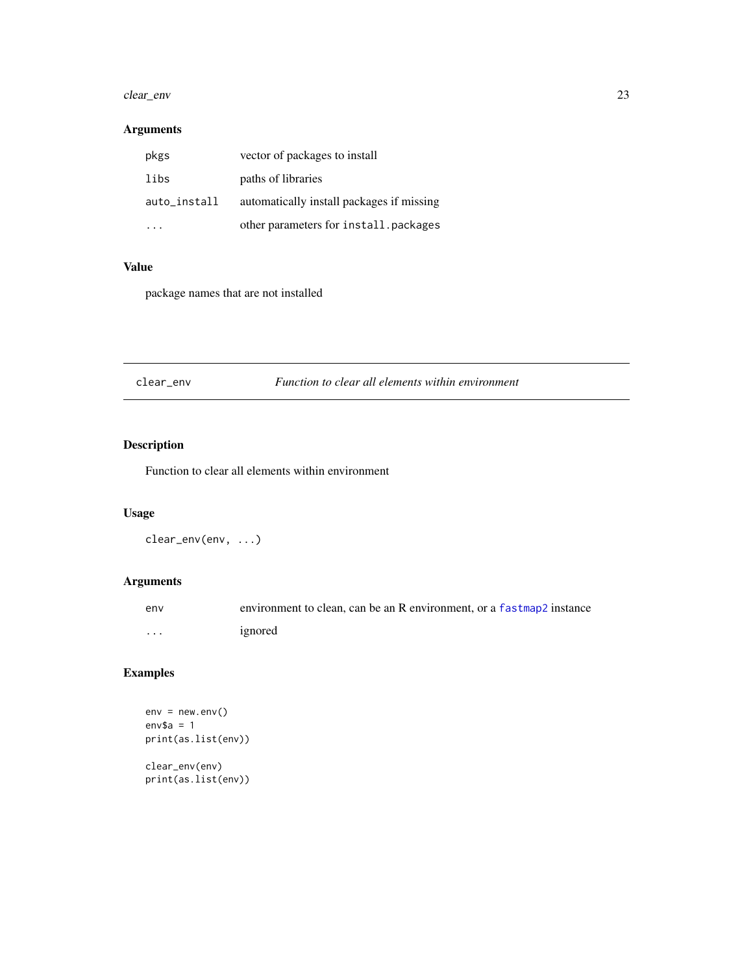#### <span id="page-22-0"></span>clear\_env 23

# Arguments

| pkgs         | vector of packages to install             |
|--------------|-------------------------------------------|
| libs         | paths of libraries                        |
| auto_install | automatically install packages if missing |
|              | other parameters for install.packages     |

# Value

package names that are not installed

clear\_env *Function to clear all elements within environment*

# Description

Function to clear all elements within environment

# Usage

clear\_env(env, ...)

# Arguments

| env      | environment to clean, can be an R environment, or a fastmap2 instance |
|----------|-----------------------------------------------------------------------|
| $\cdots$ | ignored                                                               |

# Examples

```
env = newenv()env$a = 1print(as.list(env))
```
clear\_env(env) print(as.list(env))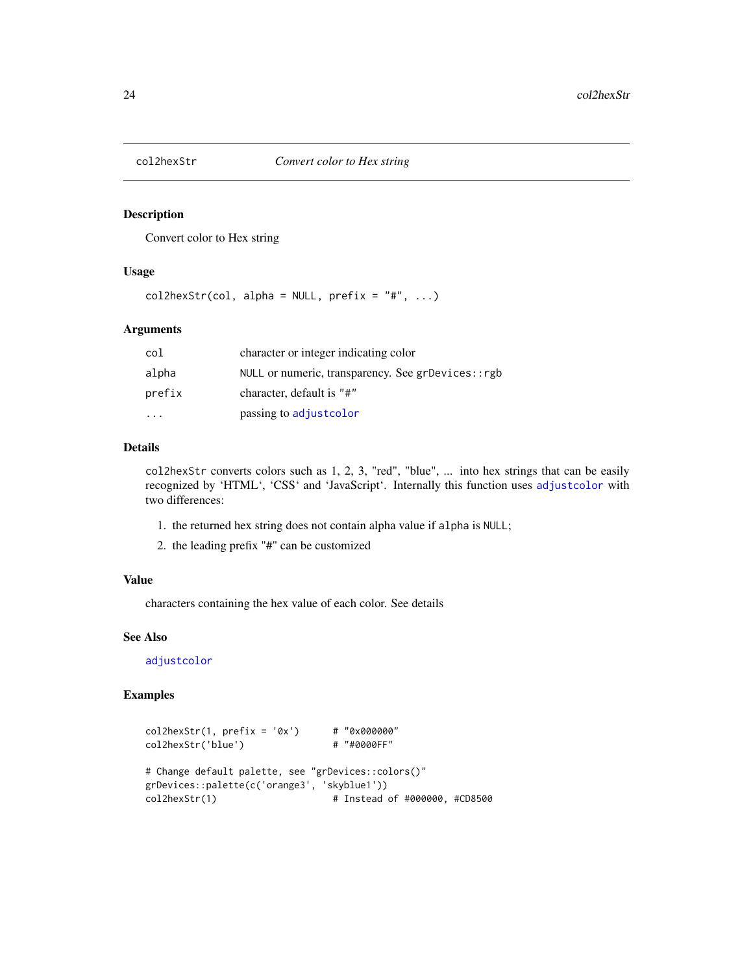<span id="page-23-0"></span>

Convert color to Hex string

### Usage

 $col2hexStr(col, alpha = NULL, prefix = "#", ...)$ 

### Arguments

| col    | character or integer indicating color              |
|--------|----------------------------------------------------|
| alpha  | NULL or numeric, transparency. See grDevices:: rgb |
| prefix | character, default is "#"                          |
|        | passing to adjust color                            |

### Details

col2hexStr converts colors such as 1, 2, 3, "red", "blue", ... into hex strings that can be easily recognized by 'HTML', 'CSS' and 'JavaScript'. Internally this function uses [adjustcolor](#page-0-0) with two differences:

- 1. the returned hex string does not contain alpha value if alpha is NULL;
- 2. the leading prefix "#" can be customized

### Value

characters containing the hex value of each color. See details

### See Also

[adjustcolor](#page-0-0)

```
col2hexStr(1, prefix = '0x') # "0x000000"<br>col2hexStr('blue') # "#0000FF"
col2hexStr('blue')
# Change default palette, see "grDevices::colors()"
grDevices::palette(c('orange3', 'skyblue1'))
col2hexStr(1) # Instead of #000000, #CD8500
```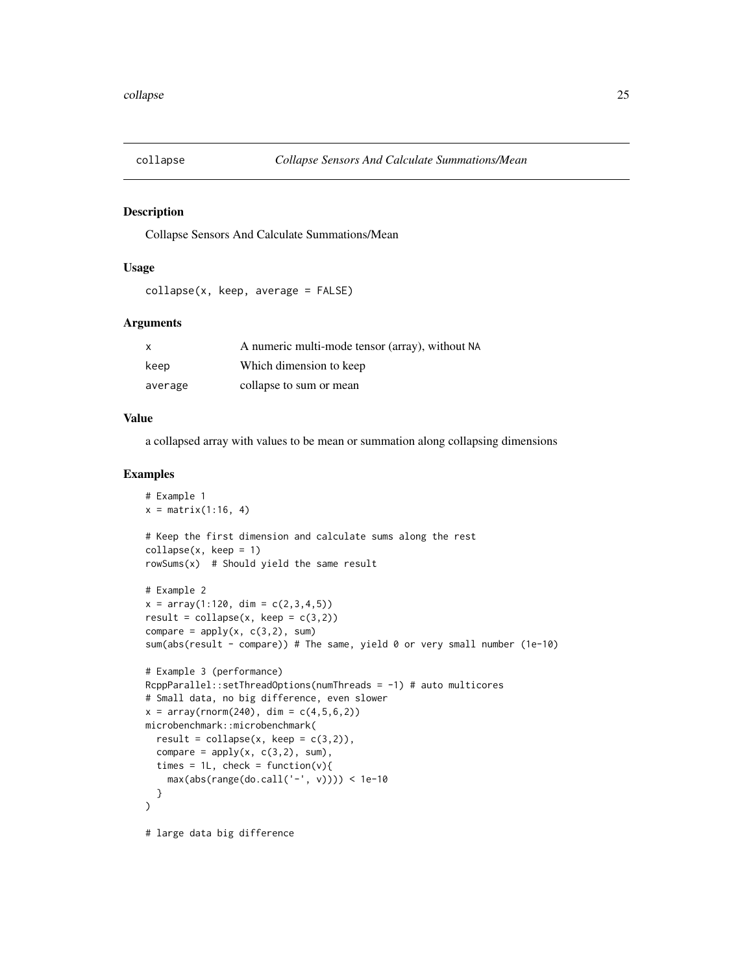<span id="page-24-0"></span>

Collapse Sensors And Calculate Summations/Mean

### Usage

```
collapse(x, keep, average = FALSE)
```
### Arguments

| $\times$ | A numeric multi-mode tensor (array), without NA |
|----------|-------------------------------------------------|
| keep     | Which dimension to keep                         |
| average  | collapse to sum or mean                         |

#### Value

a collapsed array with values to be mean or summation along collapsing dimensions

```
# Example 1
x = matrix(1:16, 4)# Keep the first dimension and calculate sums along the rest
collapse(x, keep = 1)
rowsums(x) # Should yield the same result
# Example 2
x = array(1:120, dim = c(2,3,4,5))result = \text{collapse}(x, \text{keep} = c(3,2))compare = apply(x, c(3,2), sum)sum(abs(result - compare)) # The same, yield 0 or very small number (1e-10)
# Example 3 (performance)
RcppParallel::setThreadOptions(numThreads = -1) # auto multicores
# Small data, no big difference, even slower
x = array(rnorm(240), dim = c(4, 5, 6, 2))microbenchmark::microbenchmark(
  result = collapse(x, keep = c(3,2)),compare = apply(x, c(3,2), sum),
  times = 1L, check = function(v){
    max(abs(range(do.call('-', v)))) < 1e-10
  }
\mathcal{L}# large data big difference
```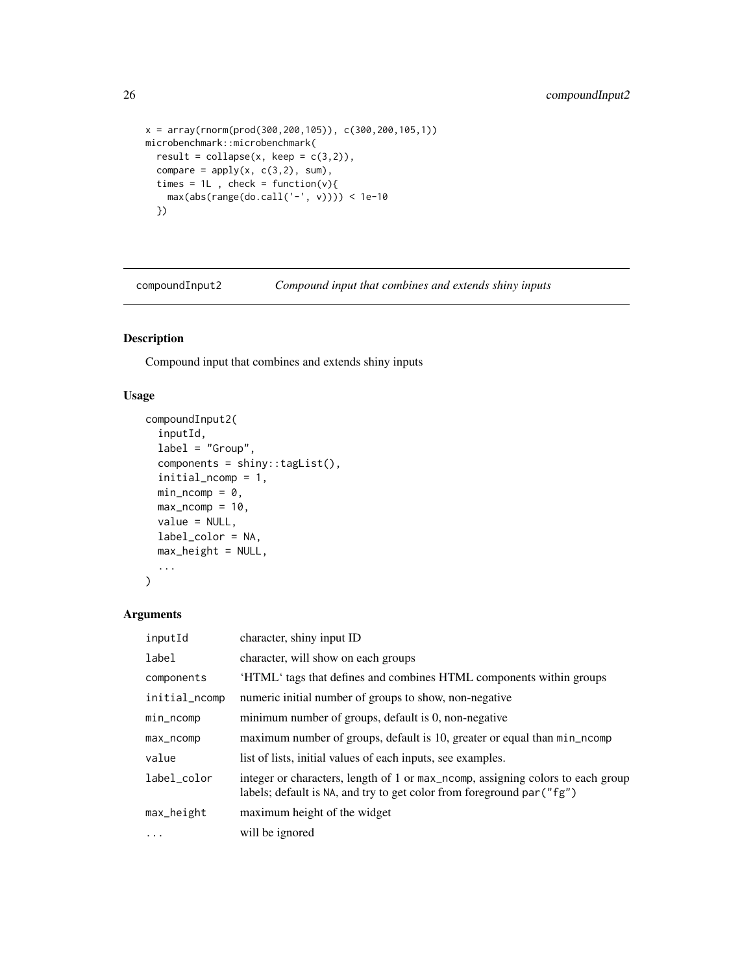```
x = array(rnorm(prod(300, 200, 105)), c(300, 200, 105, 1))microbenchmark::microbenchmark(
  result = collapse(x, keep = c(3,2)),compare = apply(x, c(3,2), sum),
  times = 1L, check = function(v){
    max(abs(range(do.call('-', v)))) < 1e-10
  })
```
compoundInput2 *Compound input that combines and extends shiny inputs*

# Description

Compound input that combines and extends shiny inputs

### Usage

```
compoundInput2(
  inputId,
  label = "Group",components = shiny::tagList(),
  initial_ncomp = 1,
 min\_ncomp = 0,
 max\_ncomp = 10,
 value = NULL,
 label_color = NA,
 max_height = NULL,
  ...
)
```
# Arguments

| inputId       | character, shiny input ID                                                                                                                                 |
|---------------|-----------------------------------------------------------------------------------------------------------------------------------------------------------|
| label         | character, will show on each groups                                                                                                                       |
| components    | 'HTML' tags that defines and combines HTML components within groups                                                                                       |
| initial_ncomp | numeric initial number of groups to show, non-negative                                                                                                    |
| min_ncomp     | minimum number of groups, default is 0, non-negative                                                                                                      |
| max_ncomp     | maximum number of groups, default is 10, greater or equal than min_ncomp                                                                                  |
| value         | list of lists, initial values of each inputs, see examples.                                                                                               |
| label_color   | integer or characters, length of 1 or max_ncomp, assigning colors to each group<br>labels; default is NA, and try to get color from foreground par ("fg") |
| max_height    | maximum height of the widget                                                                                                                              |
| .             | will be ignored                                                                                                                                           |

<span id="page-25-0"></span>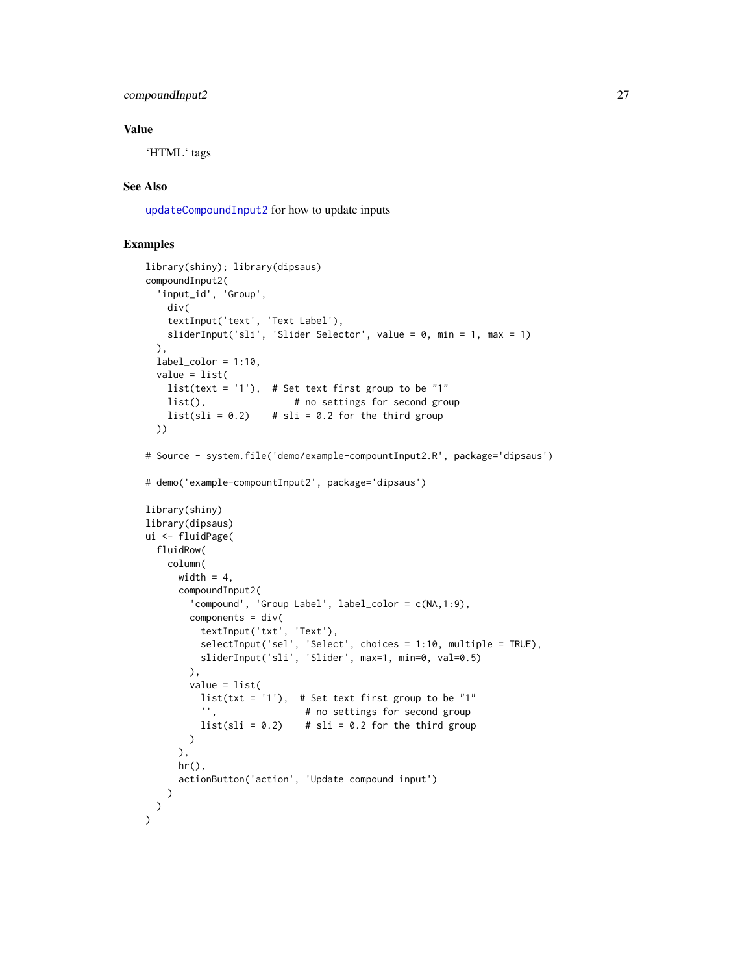### compoundInput2 27

### Value

'HTML' tags

# See Also

[updateCompoundInput2](#page-98-1) for how to update inputs

```
library(shiny); library(dipsaus)
compoundInput2(
  'input_id', 'Group',
   div(
    textInput('text', 'Text Label'),
    sliderInput('sli', 'Slider Selector', value = 0, min = 1, max = 1)
  ),
  label\_color = 1:10,value = list(
   list(text = '1'), # Set text first group to be "1"
    list(), \# no settings for second group
    list(sli = 0.2) # sli = 0.2 for the third group
  ))
# Source - system.file('demo/example-compountInput2.R', package='dipsaus')
# demo('example-compountInput2', package='dipsaus')
library(shiny)
library(dipsaus)
ui <- fluidPage(
  fluidRow(
    column(
      width = 4,
      compoundInput2(
        'compound', 'Group Label', label_color = c(NA,1:9),
       components = div(textInput('txt', 'Text'),
         selectInput('sel', 'Select', choices = 1:10, multiple = TRUE),
         sliderInput('sli', 'Slider', max=1, min=0, val=0.5)
        ),
        value = list(
         list(txt = '1'), # Set text first group to be "1"
         '', \qquad \qquad # no settings for second group
         list(sli = 0.2) # sli = 0.2 for the third group
       )
      ),
      hr(),
      actionButton('action', 'Update compound input')
   )
 )
\lambda
```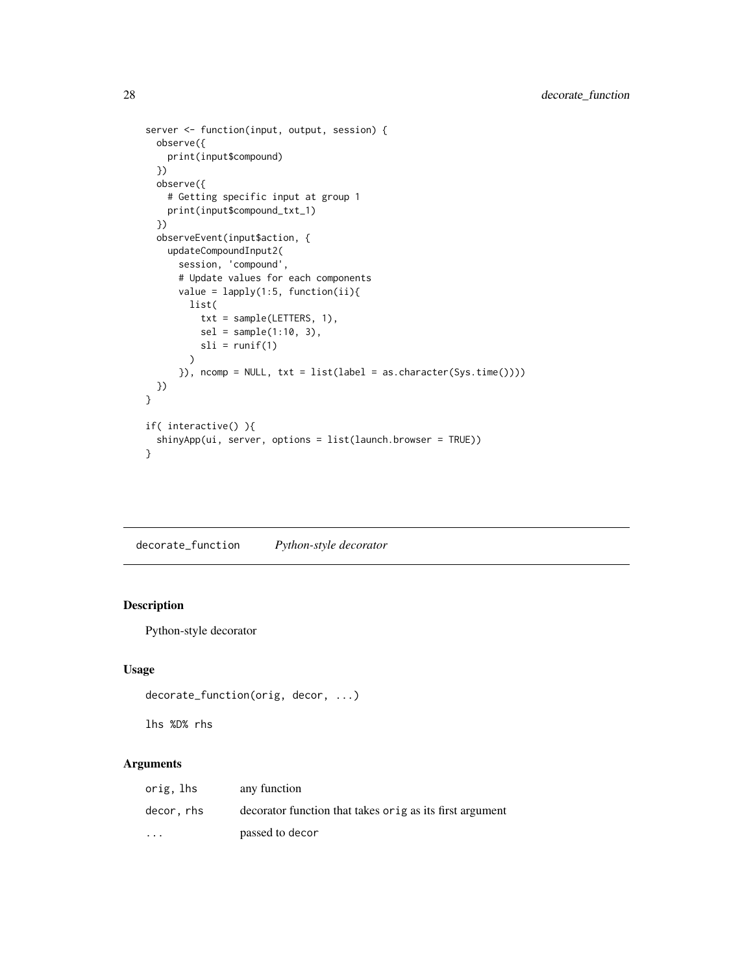```
server <- function(input, output, session) {
  observe({
   print(input$compound)
  })
  observe({
   # Getting specific input at group 1
   print(input$compound_txt_1)
  })
  observeEvent(input$action, {
   updateCompoundInput2(
      session, 'compound',
      # Update values for each components
      value = lapply(1:5, function(ii))list(
          txt = sample(LETTERS, 1),
         sel = sample(1:10, 3),sli = runif(1))
      }), ncomp = NULL, txt = list(label = as.character(Sys.time())))
  })
}
if( interactive() ){
  shinyApp(ui, server, options = list(launch.browser = TRUE))
}
```
decorate\_function *Python-style decorator*

# Description

Python-style decorator

### Usage

```
decorate_function(orig, decor, ...)
```
lhs %D% rhs

# Arguments

| orig, lhs               | any function                                              |
|-------------------------|-----------------------------------------------------------|
| decor, rhs              | decorator function that takes or ig as its first argument |
| $\cdot$ $\cdot$ $\cdot$ | passed to decor                                           |

<span id="page-27-0"></span>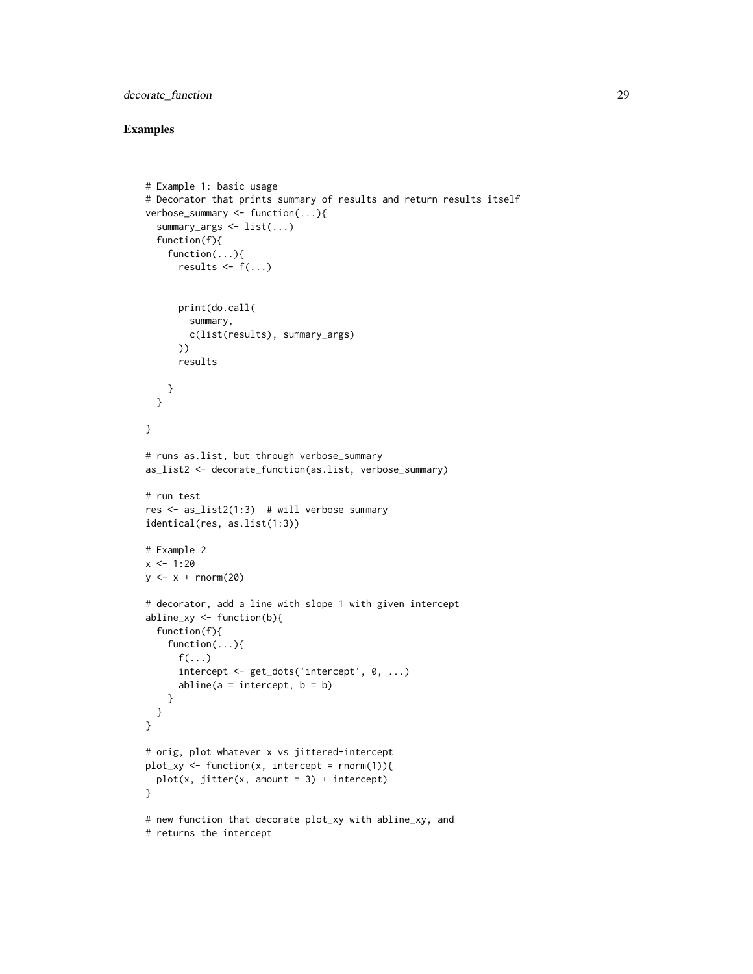# decorate\_function 29

```
# Example 1: basic usage
# Decorator that prints summary of results and return results itself
verbose_summary <- function(...){
  summary_args <- list(...)
  function(f){
    function(...){
      results \leq f(\ldots)print(do.call(
        summary,
        c(list(results), summary_args)
      ))
      results
    }
  }
}
# runs as.list, but through verbose_summary
as_list2 <- decorate_function(as.list, verbose_summary)
# run test
res \leq as_list2(1:3) # will verbose summary
identical(res, as.list(1:3))
# Example 2
x < -1:20y \leftarrow x + \text{norm}(20)# decorator, add a line with slope 1 with given intercept
abline_{xy} \leftarrow function(b)function(f){
    function(...){
      f(\ldots)intercept <- get_dots('intercept', 0, ...)
      abline(a = intercept, b = b)}
  }
}
# orig, plot whatever x vs jittered+intercept
plot_xy <- function(x, intercept = rnnorm(1)){
  plot(x, jitter(x, amount = 3) + intercept)}
# new function that decorate plot_xy with abline_xy, and
# returns the intercept
```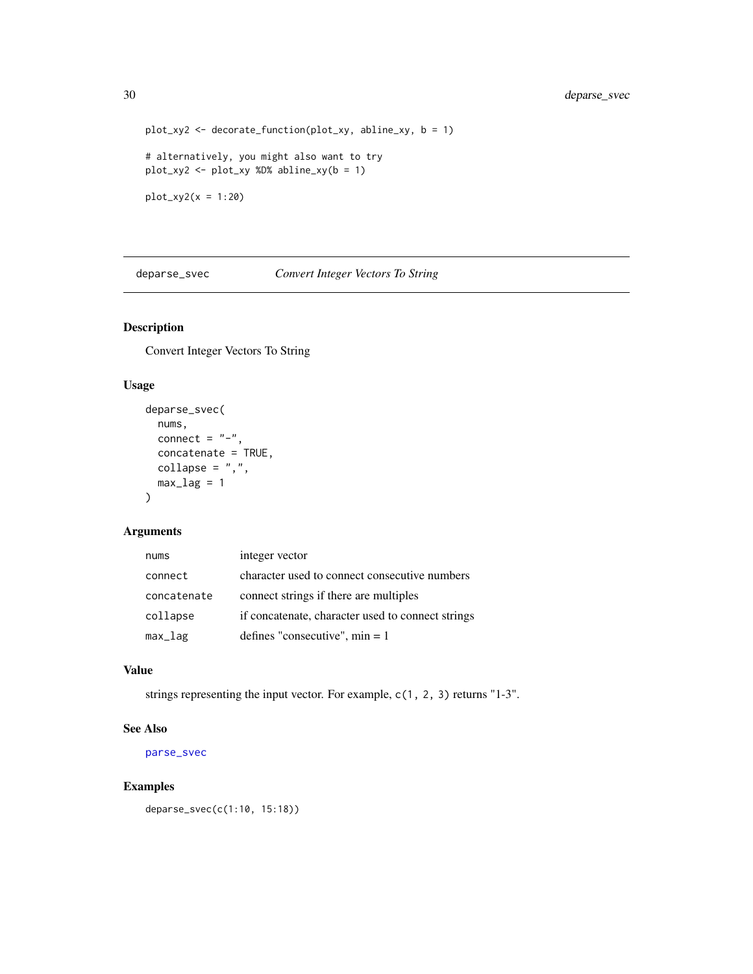```
plot_xy2 <- decorate_function(plot_xy, abline_xy, b = 1)
# alternatively, you might also want to try
plot_xy2 <- plot_xy %D% abline_xy(b = 1)
plot_{xy2}(x = 1:20)
```
deparse\_svec *Convert Integer Vectors To String*

# Description

Convert Integer Vectors To String

# Usage

```
deparse_svec(
 nums,
 connect = "-",
 concatenate = TRUE,
 collapse = ","max\_lag = 1\lambda
```
# Arguments

| nums        | integer vector                                    |
|-------------|---------------------------------------------------|
| connect     | character used to connect consecutive numbers     |
| concatenate | connect strings if there are multiples            |
| collapse    | if concatenate, character used to connect strings |
| $max\_lag$  | defines "consecutive", $min = 1$                  |

# Value

strings representing the input vector. For example, c(1, 2, 3) returns "1-3".

# See Also

[parse\\_svec](#page-70-1)

### Examples

deparse\_svec(c(1:10, 15:18))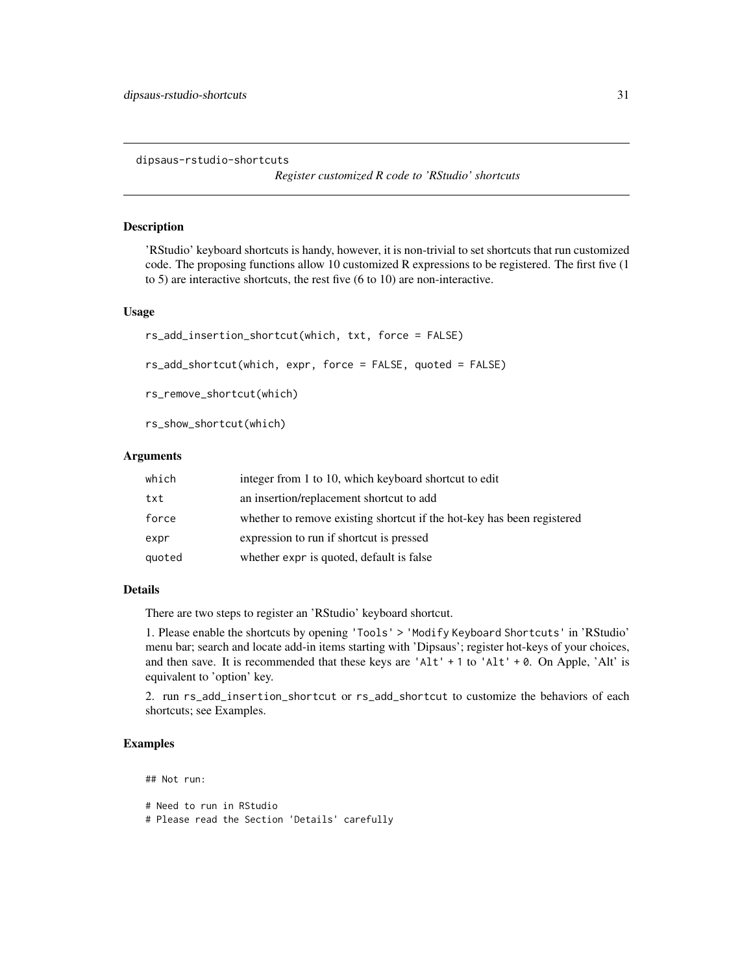<span id="page-30-0"></span>dipsaus-rstudio-shortcuts

*Register customized R code to 'RStudio' shortcuts*

### Description

'RStudio' keyboard shortcuts is handy, however, it is non-trivial to set shortcuts that run customized code. The proposing functions allow 10 customized R expressions to be registered. The first five (1 to 5) are interactive shortcuts, the rest five (6 to 10) are non-interactive.

### Usage

```
rs_add_insertion_shortcut(which, txt, force = FALSE)
```
rs\_add\_shortcut(which, expr, force = FALSE, quoted = FALSE)

rs\_remove\_shortcut(which)

rs\_show\_shortcut(which)

### Arguments

| which  | integer from 1 to 10, which keyboard shortcut to edit                  |
|--------|------------------------------------------------------------------------|
| txt    | an insertion/replacement shortcut to add                               |
| force  | whether to remove existing shortcut if the hot-key has been registered |
| expr   | expression to run if shortcut is pressed                               |
| quoted | whether expr is quoted, default is false                               |

### Details

There are two steps to register an 'RStudio' keyboard shortcut.

1. Please enable the shortcuts by opening 'Tools' > 'Modify Keyboard Shortcuts' in 'RStudio' menu bar; search and locate add-in items starting with 'Dipsaus'; register hot-keys of your choices, and then save. It is recommended that these keys are 'Alt' + 1 to 'Alt' + 0. On Apple, 'Alt' is equivalent to 'option' key.

2. run rs\_add\_insertion\_shortcut or rs\_add\_shortcut to customize the behaviors of each shortcuts; see Examples.

### Examples

## Not run:

# Need to run in RStudio # Please read the Section 'Details' carefully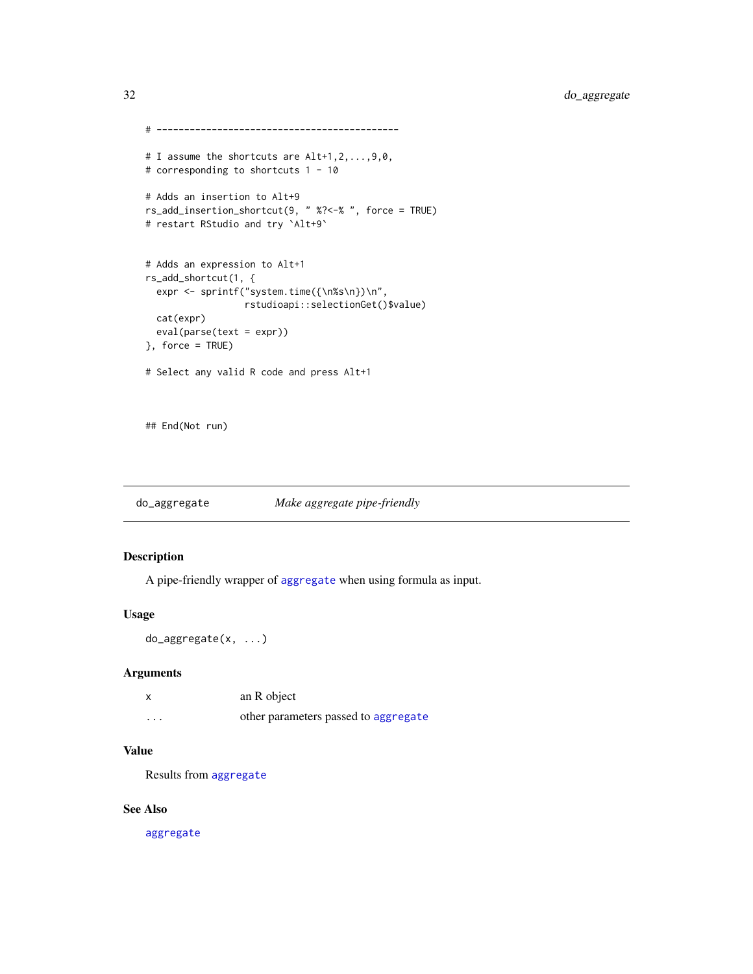```
# --------------------------------------------
# I assume the shortcuts are Alt+1,2,...,9,0,
# corresponding to shortcuts 1 - 10
# Adds an insertion to Alt+9
rs_add_insertion_shortcut(9, " %?<-% ", force = TRUE)
# restart RStudio and try `Alt+9`
# Adds an expression to Alt+1
rs_add_shortcut(1, {
 expr <- sprintf("system.time({\n%s\n})\n",
                 rstudioapi::selectionGet()$value)
 cat(expr)
 eval(parse(text = expr))
}, force = TRUE)
# Select any valid R code and press Alt+1
```
## End(Not run)

do\_aggregate *Make aggregate pipe-friendly*

# Description

A pipe-friendly wrapper of [aggregate](#page-0-0) when using formula as input.

### Usage

```
do_aggregate(x, ...)
```
### Arguments

|          | an R object                          |
|----------|--------------------------------------|
| $\cdots$ | other parameters passed to aggregate |

# Value

Results from [aggregate](#page-0-0)

### See Also

[aggregate](#page-0-0)

<span id="page-31-0"></span>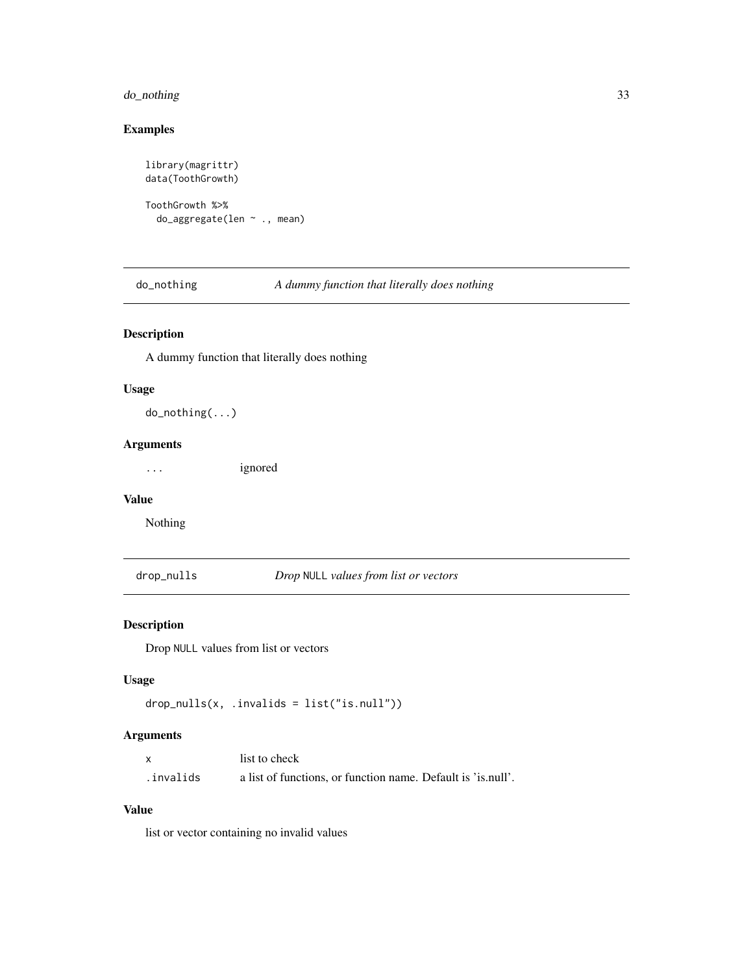# <span id="page-32-0"></span>do\_nothing 33

# Examples

```
library(magrittr)
data(ToothGrowth)
ToothGrowth %>%
  do_aggregate(len ~ ., mean)
```
do\_nothing *A dummy function that literally does nothing*

# Description

A dummy function that literally does nothing

### Usage

do\_nothing(...)

### Arguments

... ignored

#### Value

Nothing

drop\_nulls *Drop* NULL *values from list or vectors*

# Description

Drop NULL values from list or vectors

# Usage

```
drop_nulls(x, .invalids = list("is.null"))
```
# Arguments

|            | list to check                                                |
|------------|--------------------------------------------------------------|
| .invalids. | a list of functions, or function name. Default is 'is.null'. |

### Value

list or vector containing no invalid values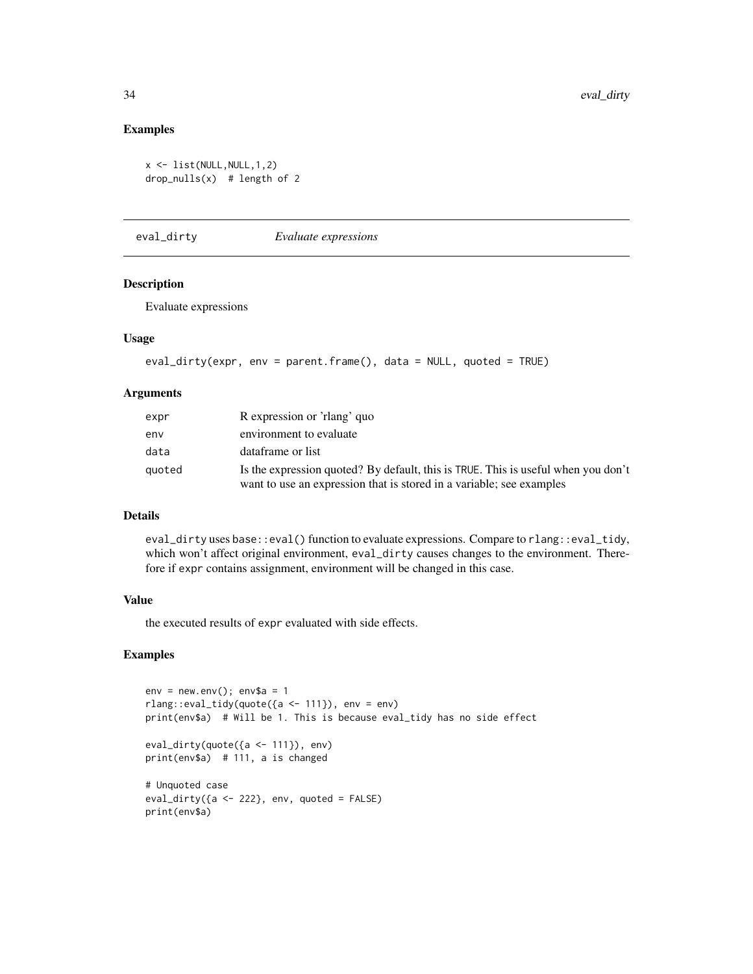### Examples

```
x \leftarrow list(NULL, NULL, 1, 2)
drop_nulls(x) # length of 2
```
eval\_dirty *Evaluate expressions*

# Description

Evaluate expressions

### Usage

```
eval_dirty(expr, env = parent.frame(), data = NULL, quoted = TRUE)
```
### Arguments

| expr   | R expression or 'rlang' quo                                                                                                                               |
|--------|-----------------------------------------------------------------------------------------------------------------------------------------------------------|
| env    | environment to evaluate                                                                                                                                   |
| data   | dataframe or list                                                                                                                                         |
| quoted | Is the expression quoted? By default, this is TRUE. This is useful when you don't<br>want to use an expression that is stored in a variable; see examples |

### Details

eval\_dirty uses base::eval() function to evaluate expressions. Compare to rlang::eval\_tidy, which won't affect original environment, eval\_dirty causes changes to the environment. Therefore if expr contains assignment, environment will be changed in this case.

#### Value

the executed results of expr evaluated with side effects.

```
env = newenv(); env$a = 1
rlang::eval_tidy(quote({a <- 111}), env = env)
print(env$a) # Will be 1. This is because eval_tidy has no side effect
eval_dirty(quote({a <- 111}), env)
print(env$a) # 111, a is changed
# Unquoted case
eval_dirty({a <- 222}, env, quoted = FALSE)
print(env$a)
```
<span id="page-33-0"></span>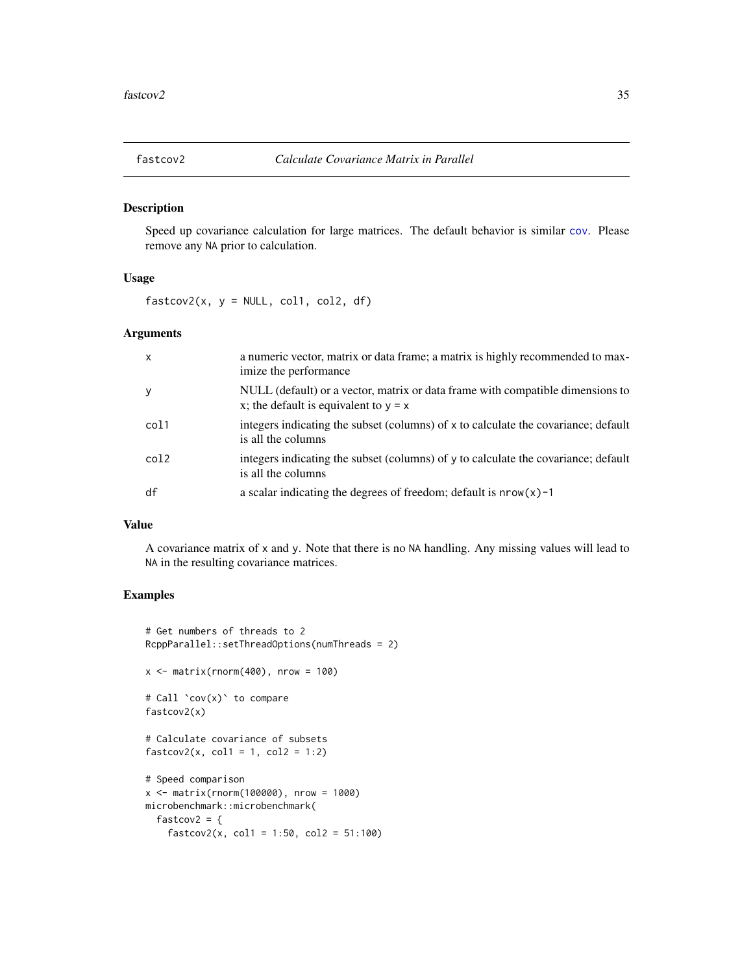<span id="page-34-0"></span>

Speed up covariance calculation for large matrices. The default behavior is similar [cov](#page-0-0). Please remove any NA prior to calculation.

### Usage

 $fastcov2(x, y = NULL, col1, col2, df)$ 

### Arguments

| $\mathsf{x}$ | a numeric vector, matrix or data frame; a matrix is highly recommended to max-<br>imize the performance                   |
|--------------|---------------------------------------------------------------------------------------------------------------------------|
| $\mathbf{y}$ | NULL (default) or a vector, matrix or data frame with compatible dimensions to<br>x; the default is equivalent to $y = x$ |
| col1         | integers indicating the subset (columns) of x to calculate the covariance; default<br>is all the columns                  |
| col2         | integers indicating the subset (columns) of $\gamma$ to calculate the covariance; default<br>is all the columns           |
| df           | a scalar indicating the degrees of freedom; default is $nrow(x) - 1$                                                      |

#### Value

A covariance matrix of x and y. Note that there is no NA handling. Any missing values will lead to NA in the resulting covariance matrices.

```
# Get numbers of threads to 2
RcppParallel::setThreadOptions(numThreads = 2)
x \le - matrix(rnorm(400), nrow = 100)
# Call `cov(x)` to compare
fastcov2(x)
# Calculate covariance of subsets
fastcov2(x, col1 = 1, col2 = 1:2)# Speed comparison
x <- matrix(rnorm(100000), nrow = 1000)
microbenchmark::microbenchmark(
  fastcov2 = \{fastcov2(x, col1 = 1:50, col2 = 51:100)
```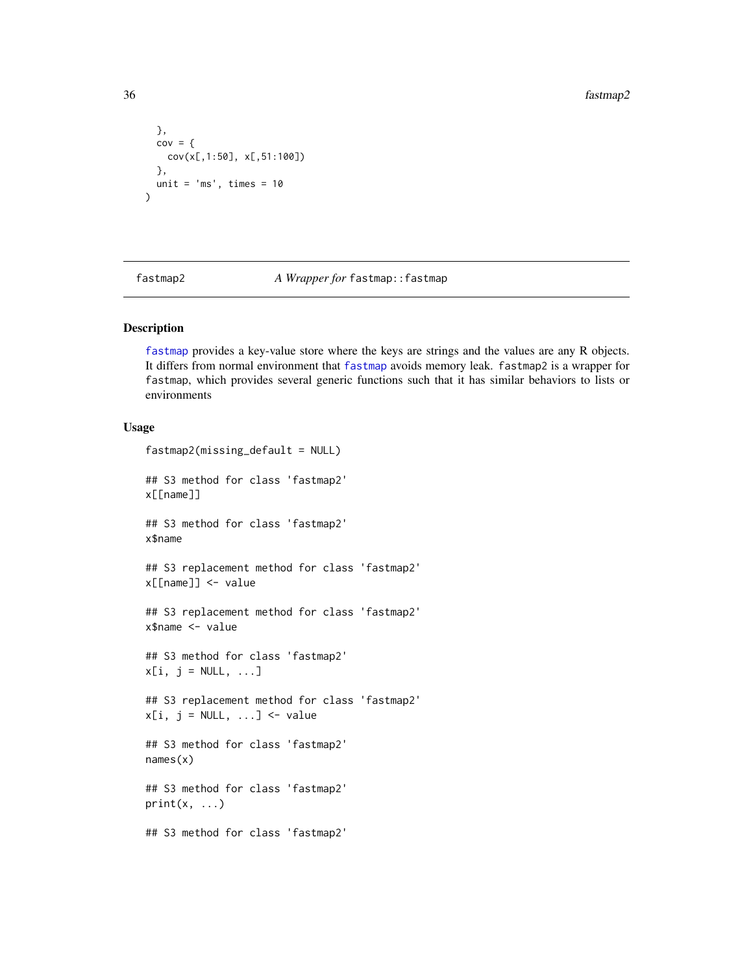```
},
  cov = \{cov(x[,1:50], x[,51:100])
  },
  unit = 'ms', times = 10\mathcal{L}
```
<span id="page-35-1"></span>fastmap2 *A Wrapper for* fastmap::fastmap

#### Description

[fastmap](#page-0-0) provides a key-value store where the keys are strings and the values are any R objects. It differs from normal environment that [fastmap](#page-0-0) avoids memory leak. fastmap2 is a wrapper for fastmap, which provides several generic functions such that it has similar behaviors to lists or environments

# Usage

```
fastmap2(missing_default = NULL)
## S3 method for class 'fastmap2'
x[[name]]
## S3 method for class 'fastmap2'
x$name
## S3 replacement method for class 'fastmap2'
x[[name]] <- value
## S3 replacement method for class 'fastmap2'
x$name <- value
## S3 method for class 'fastmap2'
x[i, j = NULL, ...]## S3 replacement method for class 'fastmap2'
x[i, j = NULL, ...] <- value
## S3 method for class 'fastmap2'
names(x)
## S3 method for class 'fastmap2'
print(x, \ldots)## S3 method for class 'fastmap2'
```
<span id="page-35-0"></span>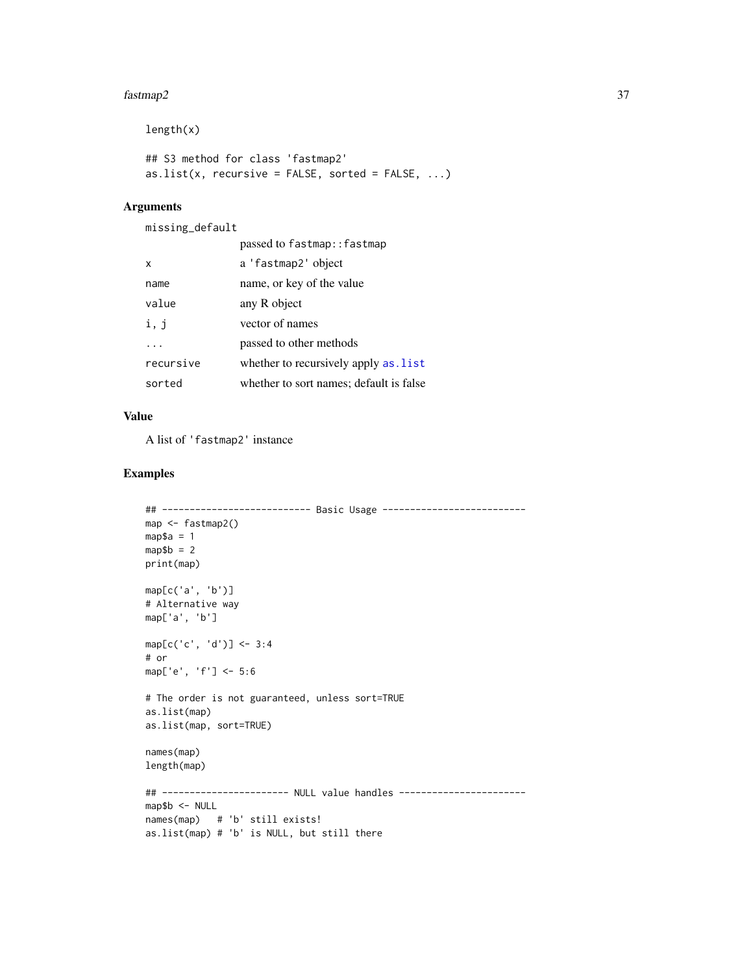#### fastmap2 37

```
length(x)
## S3 method for class 'fastmap2'
as.list(x, recursive = FALSE, sorted = FALSE, ...)
```
## Arguments

missing\_default

|           | passed to fastmap:: fastmap             |
|-----------|-----------------------------------------|
| X         | a 'fastmap2' object                     |
| name      | name, or key of the value               |
| value     | any R object                            |
| i, j      | vector of names                         |
|           | passed to other methods                 |
| recursive | whether to recursively apply as . list  |
| sorted    | whether to sort names; default is false |

## Value

A list of 'fastmap2' instance

```
## --------------------------- Basic Usage --------------------------
map <- fastmap2()
map$a = 1
map$b = 2
print(map)
map[c('a', 'b')]
# Alternative way
map['a', 'b']
map[c('c', 'd')] <- 3:4
# or
map['e', 'f'] <- 5:6
# The order is not guaranteed, unless sort=TRUE
as.list(map)
as.list(map, sort=TRUE)
names(map)
length(map)
## ----------------------- NULL value handles -----------------------
map$b <- NULL
names(map) # 'b' still exists!
as.list(map) # 'b' is NULL, but still there
```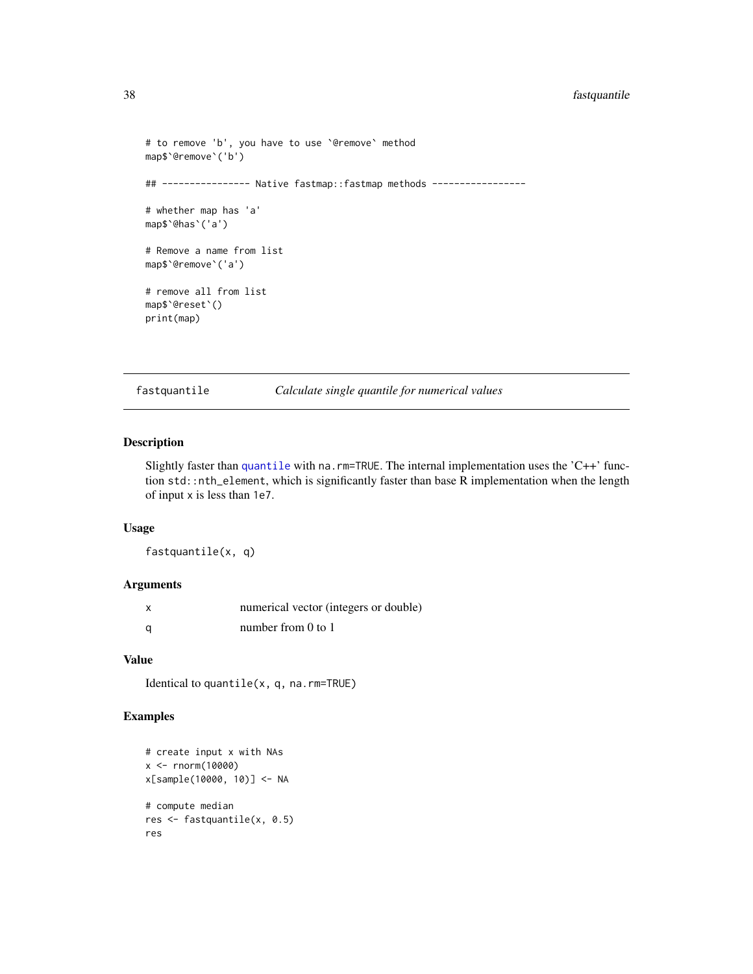# 38 fastquantile

```
# to remove 'b', you have to use `@remove` method
map$`@remove`('b')
## ---------------- Native fastmap::fastmap methods -----------------
# whether map has 'a'
map$`@has`('a')
# Remove a name from list
map$`@remove`('a')
# remove all from list
map$`@reset`()
print(map)
```
fastquantile *Calculate single quantile for numerical values*

## Description

Slightly faster than [quantile](#page-0-0) with na.rm=TRUE. The internal implementation uses the 'C++' function std::nth\_element, which is significantly faster than base R implementation when the length of input x is less than 1e7.

## Usage

fastquantile(x, q)

#### Arguments

| X | numerical vector (integers or double) |
|---|---------------------------------------|
| a | number from $0$ to $1$                |

## Value

Identical to quantile(x, q, na.rm=TRUE)

```
# create input x with NAs
x <- rnorm(10000)
x[sample(10000, 10)] <- NA
# compute median
res <- fastquantile(x, 0.5)
res
```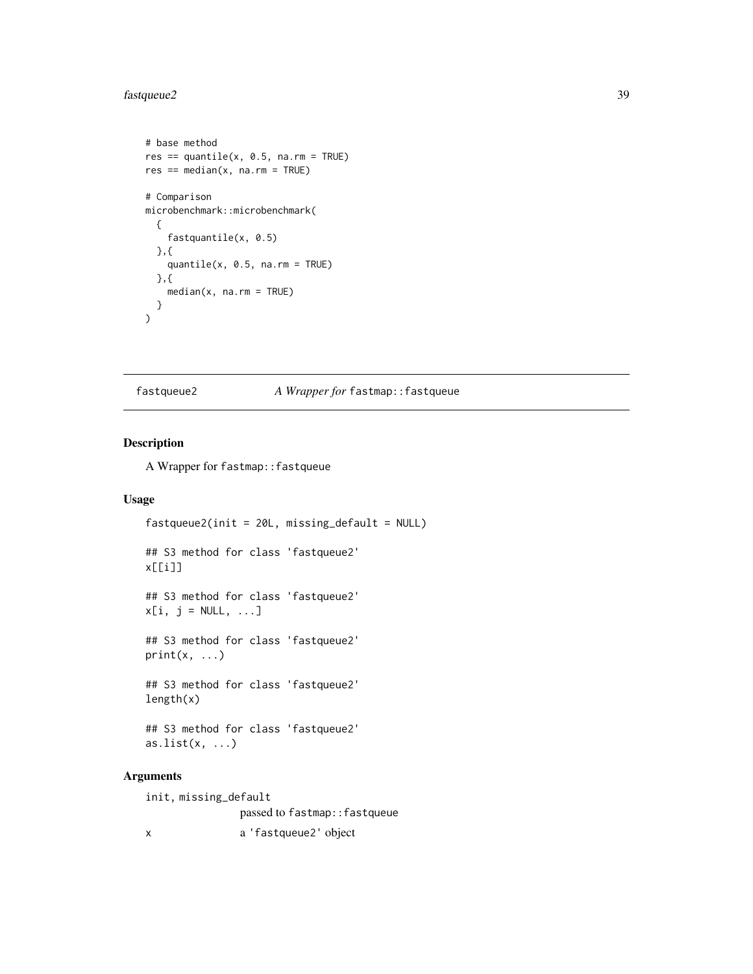# fastqueue2 39

```
# base method
res == quantile(x, 0.5, na.rm = TRUE)res == median(x, na.rm = TRUE)# Comparison
microbenchmark::microbenchmark(
  {
    fastquantile(x, 0.5)
  },{
    quantile(x, 0.5, na.rm = TRUE)
  },{
    median(x, na.rm = TRUE)
  }
\mathcal{L}
```
#### fastqueue2 *A Wrapper for* fastmap::fastqueue

#### Description

A Wrapper for fastmap::fastqueue

#### Usage

```
fastqueue2(init = 20L, missing_default = NULL)
## S3 method for class 'fastqueue2'
x[[i]]
## S3 method for class 'fastqueue2'
x[i, j = NULL, ...]## S3 method for class 'fastqueue2'
print(x, \ldots)## S3 method for class 'fastqueue2'
length(x)
## S3 method for class 'fastqueue2'
as.list(x, \ldots)
```
## Arguments

init, missing\_default passed to fastmap::fastqueue x a 'fastqueue2' object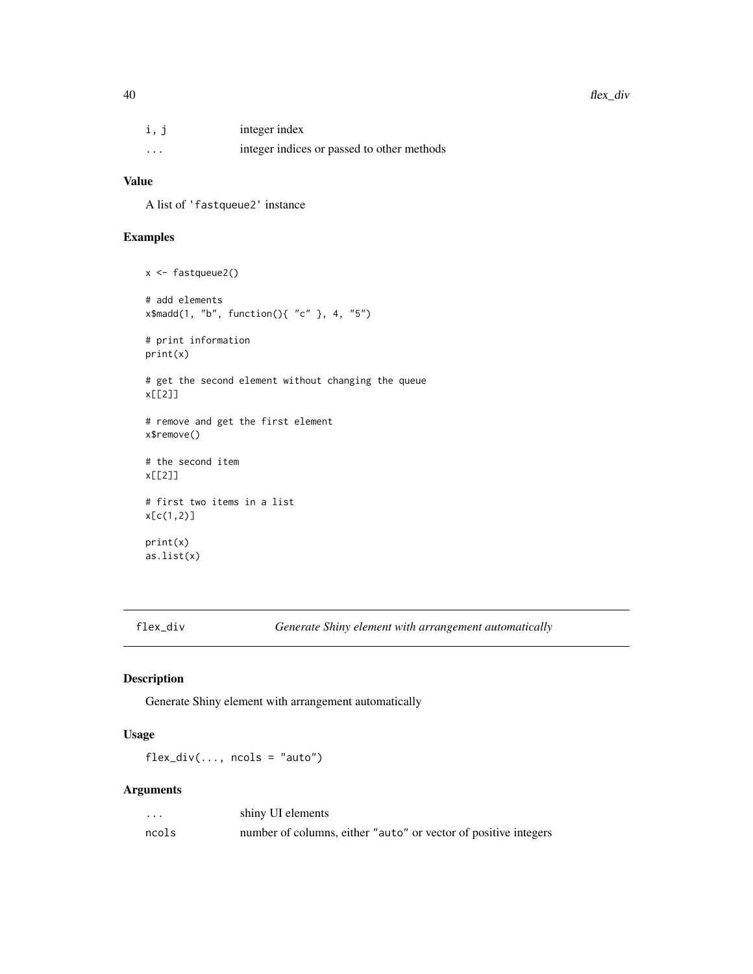| i, j     | integer index                              |
|----------|--------------------------------------------|
| $\cdots$ | integer indices or passed to other methods |

## Value

A list of 'fastqueue2' instance

# Examples

```
x <- fastqueue2()
# add elements
x$madd(1, "b", function(){ "c" }, 4, "5")
# print information
print(x)
# get the second element without changing the queue
x[[2]]
# remove and get the first element
x$remove()
# the second item
x[[2]]
# first two items in a list
x[c(1,2)]
print(x)
as.list(x)
```
flex\_div *Generate Shiny element with arrangement automatically*

# Description

Generate Shiny element with arrangement automatically

# Usage

 $flex\_div(..., ncols = "auto")$ 

# Arguments

| $\ddot{\phantom{0}}$ | shiny UI elements                                               |
|----------------------|-----------------------------------------------------------------|
| ncols                | number of columns, either "auto" or vector of positive integers |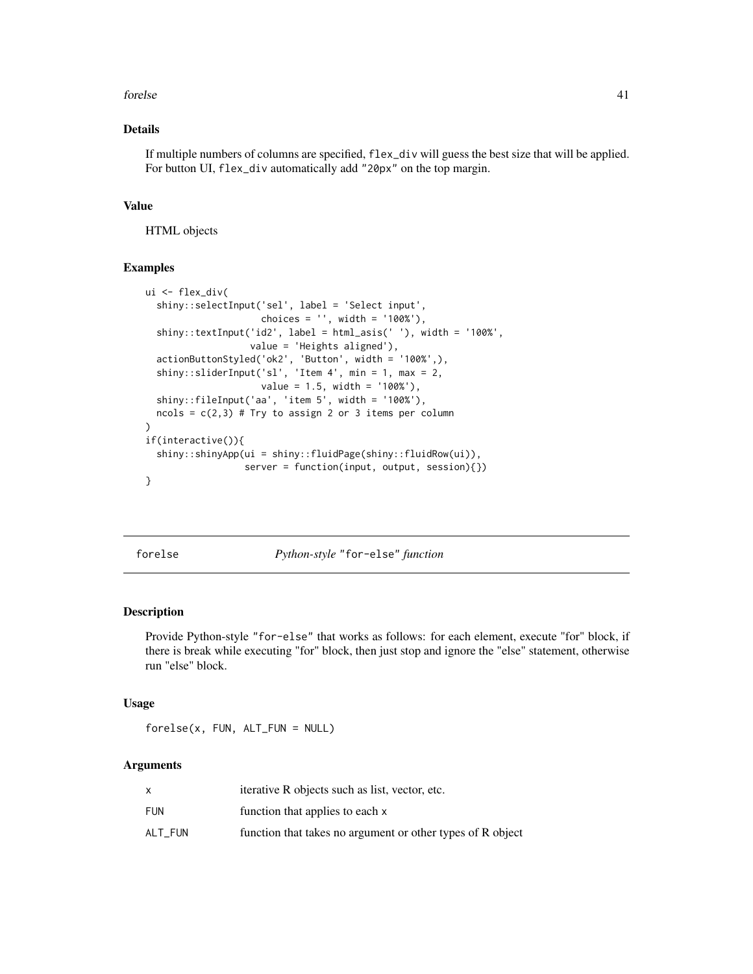#### forelse 41

# Details

If multiple numbers of columns are specified, flex\_div will guess the best size that will be applied. For button UI, flex\_div automatically add "20px" on the top margin.

#### Value

HTML objects

## Examples

```
ui <- flex_div(
 shiny::selectInput('sel', label = 'Select input',
                     choices = '', width = '100%'),
 shiny::textInput('id2', label = html_asis(' '), width = '100%',
                   value = 'Heights aligned'),
 actionButtonStyled('ok2', 'Button', width = '100%',),
 shiny::sliderInput('sl', 'Item 4', min = 1, max = 2,
                     value = 1.5, width = '100%'),
 \text{shiny::fileInput('aa', 'item 5', width = '100%')},ncols = c(2,3) # Try to assign 2 or 3 items per column
\mathcal{L}if(interactive()){
 shiny::shinyApp(ui = shiny::fluidPage(shiny::fluidRow(ui)),
                  server = function(input, output, session){})
}
```
forelse *Python-style* "for-else" *function*

#### Description

Provide Python-style "for-else" that works as follows: for each element, execute "for" block, if there is break while executing "for" block, then just stop and ignore the "else" statement, otherwise run "else" block.

#### Usage

forelse(x, FUN, ALT\_FUN = NULL)

#### Arguments

|         | iterative R objects such as list, vector, etc.             |
|---------|------------------------------------------------------------|
| FUN     | function that applies to each x                            |
| ALT FUN | function that takes no argument or other types of R object |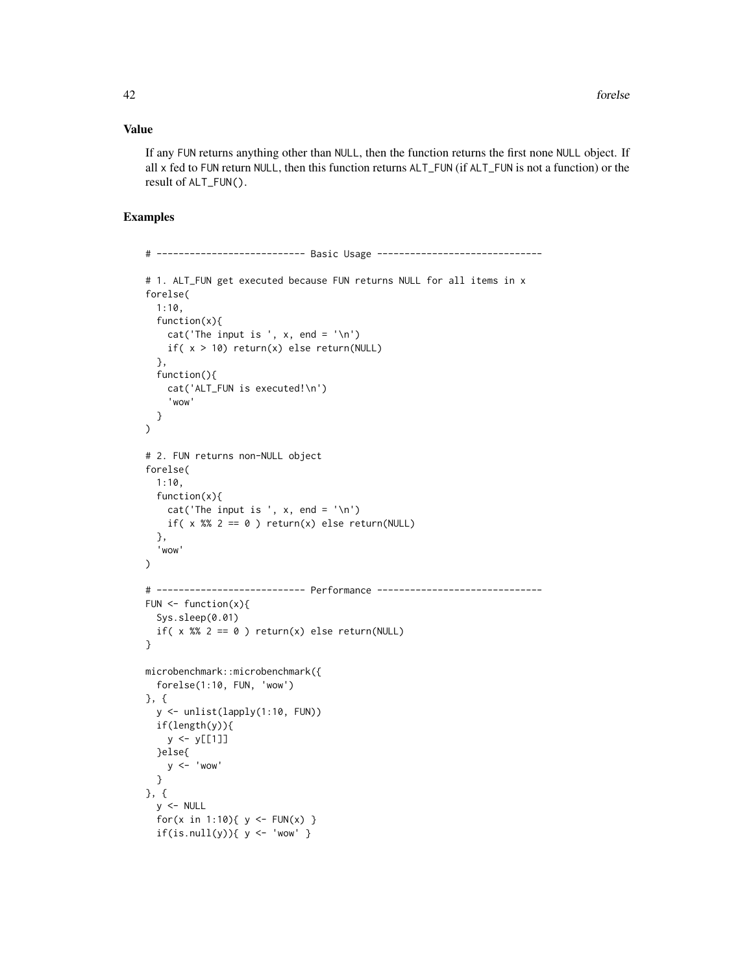## Value

If any FUN returns anything other than NULL, then the function returns the first none NULL object. If all x fed to FUN return NULL, then this function returns ALT\_FUN (if ALT\_FUN is not a function) or the result of ALT\_FUN().

```
# --------------------------- Basic Usage ------------------------------
# 1. ALT_FUN get executed because FUN returns NULL for all items in x
forelse(
 1:10,
  function(x){
    cat('The input is ', x, end = '\n')
    if( x > 10) return(x) else return(NULL)
  },
  function(){
    cat('ALT_FUN is executed!\n')
    'wow'
  }
)
# 2. FUN returns non-NULL object
forelse(
 1:10,
  function(x){
    cat('The input is', x, end = '\n')if( x %% 2 == 0 ) return(x) else return(NULL)
  },
  'wow'
\mathcal{L}# --------------------------- Performance ------------------------------
FUN \leq function(x){
  Sys.sleep(0.01)
  if( x %% 2 == 0 ) return(x) else return(NULL)
}
microbenchmark::microbenchmark({
  forelse(1:10, FUN, 'wow')
}, {
  y <- unlist(lapply(1:10, FUN))
  if(length(y)){
    y \leftarrow y [[1]]
  }else{
    y \le - 'wow'
  }
}, {
  y <- NULL
  for(x in 1:10){ y \leq - FUN(x) }
  if(is.null(y)){ y < - 'wow' }
```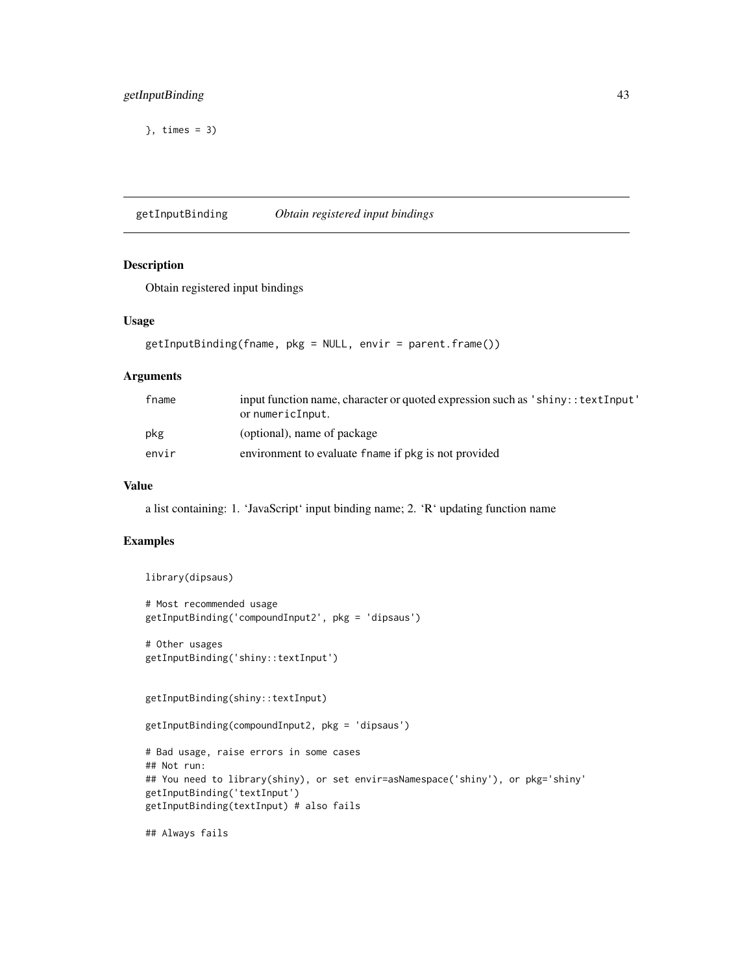# getInputBinding 43

}, times = 3)

getInputBinding *Obtain registered input bindings*

## Description

Obtain registered input bindings

## Usage

```
getInputBinding(fname, pkg = NULL, envir = parent.frame())
```
#### Arguments

| fname | input function name, character or quoted expression such as 'shiny:: text Input'<br>or numericInput. |
|-------|------------------------------------------------------------------------------------------------------|
| pkg   | (optional), name of package                                                                          |
| envir | environment to evaluate frame if pkg is not provided                                                 |

### Value

a list containing: 1. 'JavaScript' input binding name; 2. 'R' updating function name

# Examples

```
library(dipsaus)
```

```
# Most recommended usage
getInputBinding('compoundInput2', pkg = 'dipsaus')
```

```
# Other usages
getInputBinding('shiny::textInput')
```

```
getInputBinding(shiny::textInput)
```
getInputBinding(compoundInput2, pkg = 'dipsaus')

```
# Bad usage, raise errors in some cases
## Not run:
## You need to library(shiny), or set envir=asNamespace('shiny'), or pkg='shiny'
getInputBinding('textInput')
getInputBinding(textInput) # also fails
```
## Always fails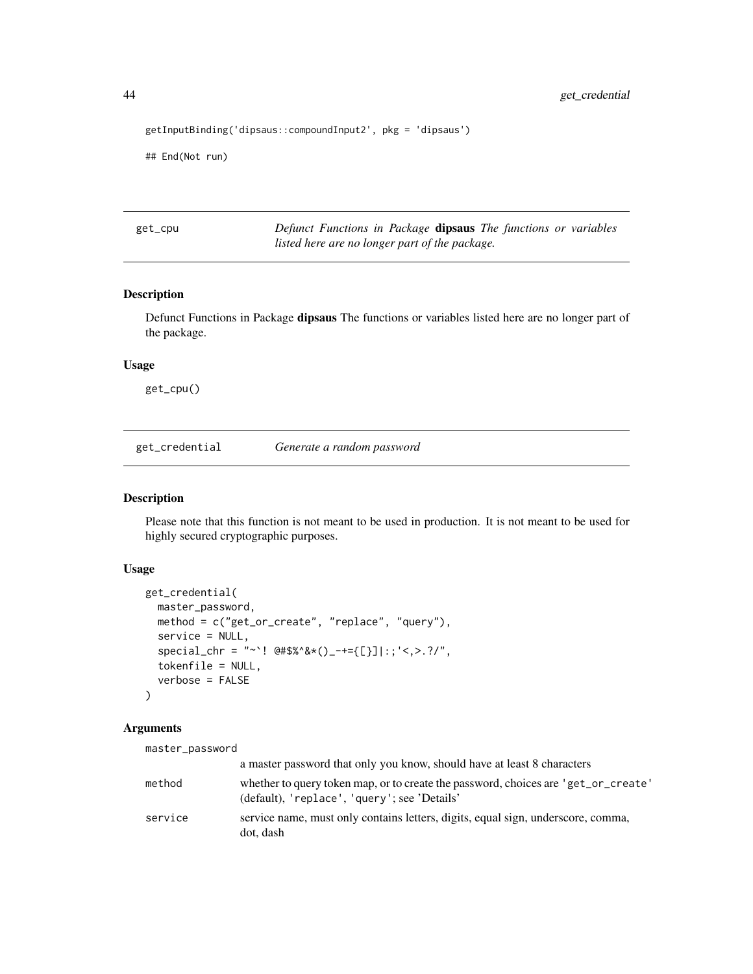```
getInputBinding('dipsaus::compoundInput2', pkg = 'dipsaus')
```
## End(Not run)

get\_cpu *Defunct Functions in Package* dipsaus *The functions or variables listed here are no longer part of the package.*

### Description

Defunct Functions in Package dipsaus The functions or variables listed here are no longer part of the package.

## Usage

get\_cpu()

get\_credential *Generate a random password*

#### Description

Please note that this function is not meant to be used in production. It is not meant to be used for highly secured cryptographic purposes.

## Usage

```
get_credential(
 master_password,
 method = c("get_or_create", "replace", "query"),
  service = NULL,
  special_{\text{c}}hr = "~`! @#$%^&*()_-+={[}]|:;'<,>.?/",
  tokenfile = NULL,
  verbose = FALSE
)
```
## Arguments

master\_password

|         | a master password that only you know, should have at least 8 characters                                                            |
|---------|------------------------------------------------------------------------------------------------------------------------------------|
| method  | whether to query token map, or to create the password, choices are 'get_or_create'<br>(default), 'replace', 'query'; see 'Details' |
| service | service name, must only contains letters, digits, equal sign, underscore, comma,<br>dot. dash                                      |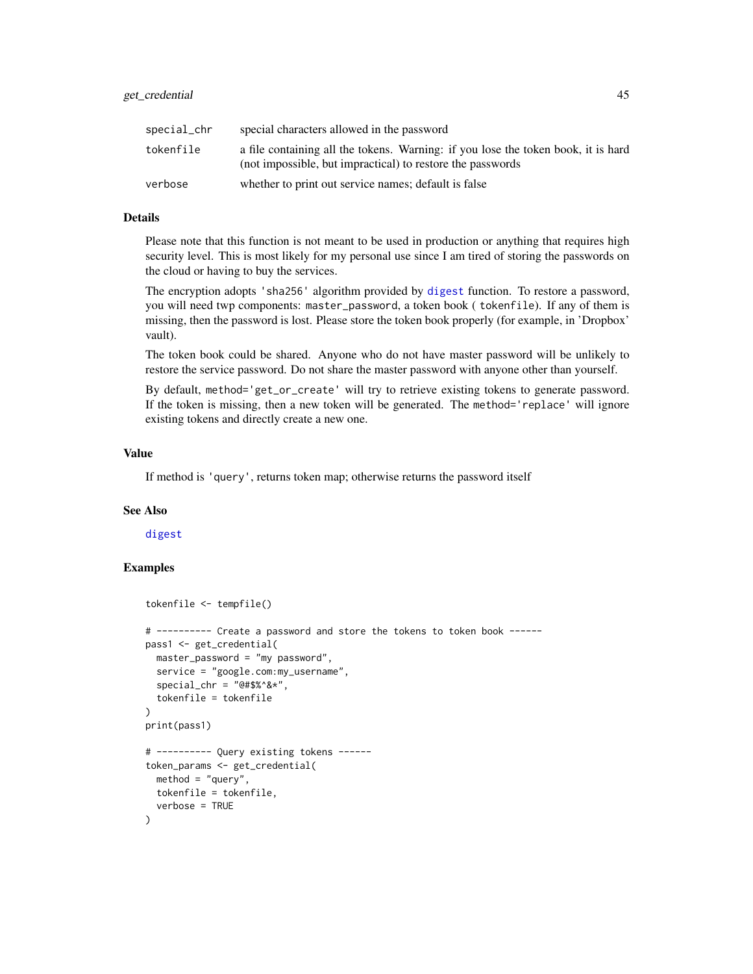| special_chr | special characters allowed in the password                                                                                                      |
|-------------|-------------------------------------------------------------------------------------------------------------------------------------------------|
| tokenfile   | a file containing all the tokens. Warning: if you lose the token book, it is hard<br>(not impossible, but impractical) to restore the passwords |
| verbose     | whether to print out service names; default is false                                                                                            |

#### Details

Please note that this function is not meant to be used in production or anything that requires high security level. This is most likely for my personal use since I am tired of storing the passwords on the cloud or having to buy the services.

The encryption adopts 'sha256' algorithm provided by [digest](#page-0-0) function. To restore a password, you will need twp components: master\_password, a token book ( tokenfile). If any of them is missing, then the password is lost. Please store the token book properly (for example, in 'Dropbox' vault).

The token book could be shared. Anyone who do not have master password will be unlikely to restore the service password. Do not share the master password with anyone other than yourself.

By default, method='get\_or\_create' will try to retrieve existing tokens to generate password. If the token is missing, then a new token will be generated. The method='replace' will ignore existing tokens and directly create a new one.

## Value

If method is 'query', returns token map; otherwise returns the password itself

#### See Also

[digest](#page-0-0)

```
tokenfile <- tempfile()
# ---------- Create a password and store the tokens to token book ------
pass1 <- get_credential(
 master_password = "my password",
 service = "google.com:my_username",
 special_{\text{c}}hr = "@#$%^&*",
 tokenfile = tokenfile
)
print(pass1)
# ---------- Query existing tokens ------
token_params <- get_credential(
 method = "query",tokenfile = tokenfile,
 verbose = TRUE
)
```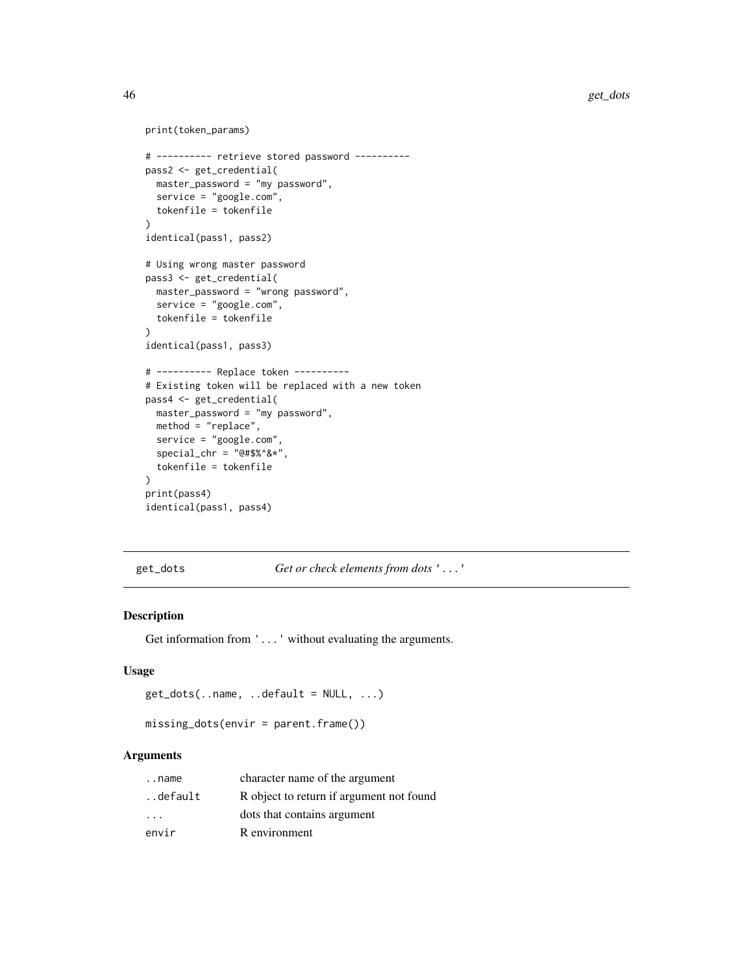```
print(token_params)
# ---------- retrieve stored password ----------
pass2 <- get_credential(
 master_password = "my password",
  service = "google.com",
  tokenfile = tokenfile
)
identical(pass1, pass2)
# Using wrong master password
pass3 <- get_credential(
  master_password = "wrong password",
  service = "google.com",
  tokenfile = tokenfile
)
identical(pass1, pass3)
# ---------- Replace token ----------
# Existing token will be replaced with a new token
pass4 <- get_credential(
 master_password = "my password",
 method = "replace",
  service = "google.com",
  special_chr = "@#$%^&*",
  tokenfile = tokenfile
\mathcal{L}print(pass4)
identical(pass1, pass4)
```
get\_dots *Get or check elements from dots* '...'

# Description

Get information from '...' without evaluating the arguments.

#### Usage

```
get\_dots(..name, ..default = NULL, ...)
```

```
missing_dots(envir = parent.frame())
```
#### Arguments

| name                    | character name of the argument           |
|-------------------------|------------------------------------------|
| default.                | R object to return if argument not found |
| $\cdot$ $\cdot$ $\cdot$ | dots that contains argument              |
| envir                   | R environment                            |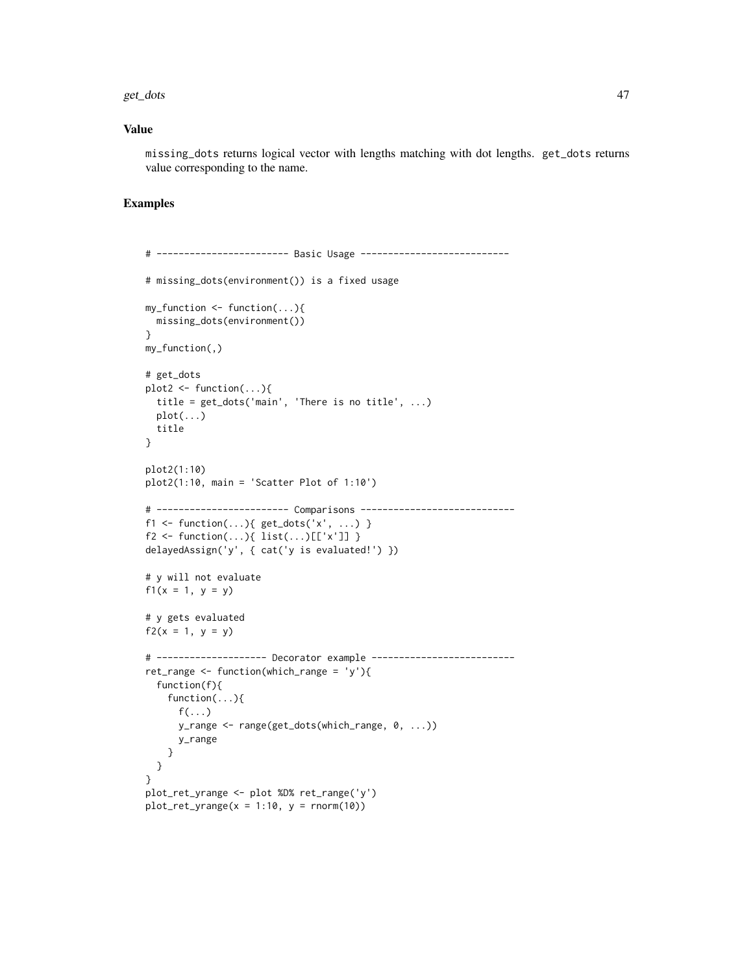#### get\_dots 47

## Value

missing\_dots returns logical vector with lengths matching with dot lengths. get\_dots returns value corresponding to the name.

```
# ------------------------ Basic Usage ---------------------------
# missing_dots(environment()) is a fixed usage
my_function <- function(...){
 missing_dots(environment())
}
my_function(,)
# get_dots
plot2 \leftarrow function(...)\{title = get_dots('main', 'There is no title', ...)
  plot(...)title
}
plot2(1:10)
plot2(1:10, main = 'Scatter Plot of 1:10')
# ------------------------ Comparisons ----------------------------
f1 \leftarrow function(...) \{ get\_dots('x', ...)} \}f2 \leftarrow function(...) {\text{ list}}(...)[['x']]{ }delayedAssign('y', { cat('y is evaluated!') })
# y will not evaluate
f1(x = 1, y = y)# y gets evaluated
f2(x = 1, y = y)# -------------------- Decorator example --------------------------
ret_range \leq function(which_range = 'y'){
  function(f){
    function(...){
      f(\ldots)y_range <- range(get_dots(which_range, 0, ...))
      y_range
    }
 }
}
plot_ret_yrange <- plot %D% ret_range('y')
plot_ret_yrange(x = 1:10, y = rnorm(10))
```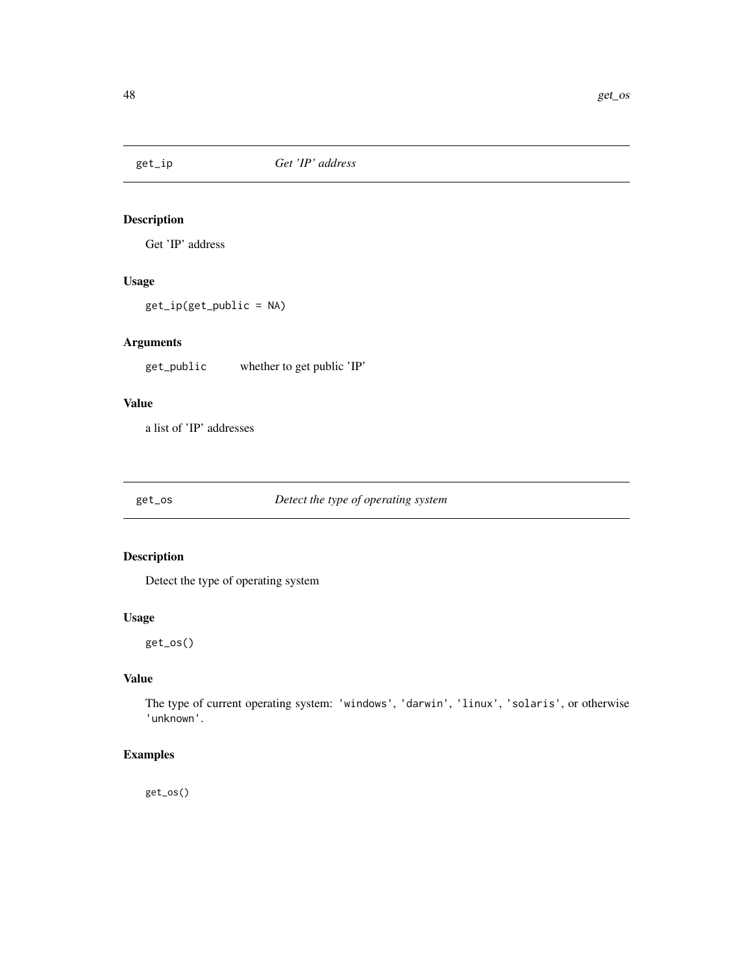# Description

Get 'IP' address

# Usage

get\_ip(get\_public = NA)

# Arguments

get\_public whether to get public 'IP'

# Value

a list of 'IP' addresses

get\_os *Detect the type of operating system*

# Description

Detect the type of operating system

# Usage

get\_os()

# Value

The type of current operating system: 'windows', 'darwin', 'linux', 'solaris', or otherwise 'unknown'.

# Examples

get\_os()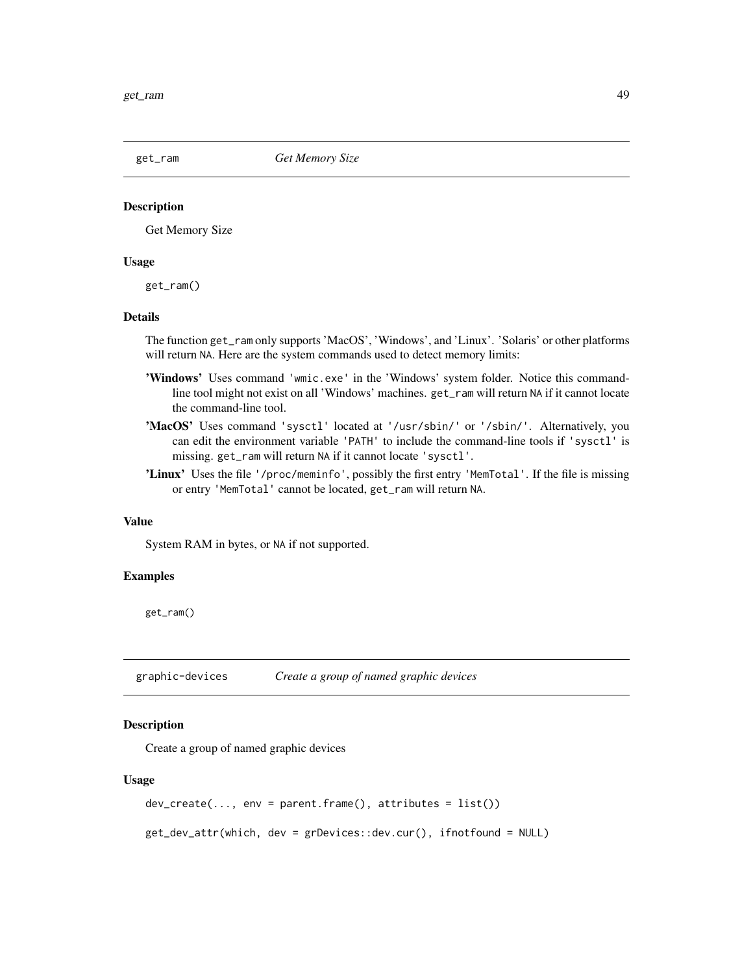#### **Description**

Get Memory Size

#### Usage

get\_ram()

## Details

The function get\_ram only supports 'MacOS', 'Windows', and 'Linux'. 'Solaris' or other platforms will return NA. Here are the system commands used to detect memory limits:

- 'Windows' Uses command 'wmic.exe' in the 'Windows' system folder. Notice this commandline tool might not exist on all 'Windows' machines. get\_ram will return NA if it cannot locate the command-line tool.
- 'MacOS' Uses command 'sysctl' located at '/usr/sbin/' or '/sbin/'. Alternatively, you can edit the environment variable 'PATH' to include the command-line tools if 'sysctl' is missing. get\_ram will return NA if it cannot locate 'sysctl'.
- 'Linux' Uses the file '/proc/meminfo', possibly the first entry 'MemTotal'. If the file is missing or entry 'MemTotal' cannot be located, get\_ram will return NA.

#### Value

System RAM in bytes, or NA if not supported.

### Examples

get\_ram()

graphic-devices *Create a group of named graphic devices*

#### Description

Create a group of named graphic devices

#### Usage

```
dev_create(..., env = parent.frame(), attributes = list())
```
get\_dev\_attr(which, dev = grDevices::dev.cur(), ifnotfound = NULL)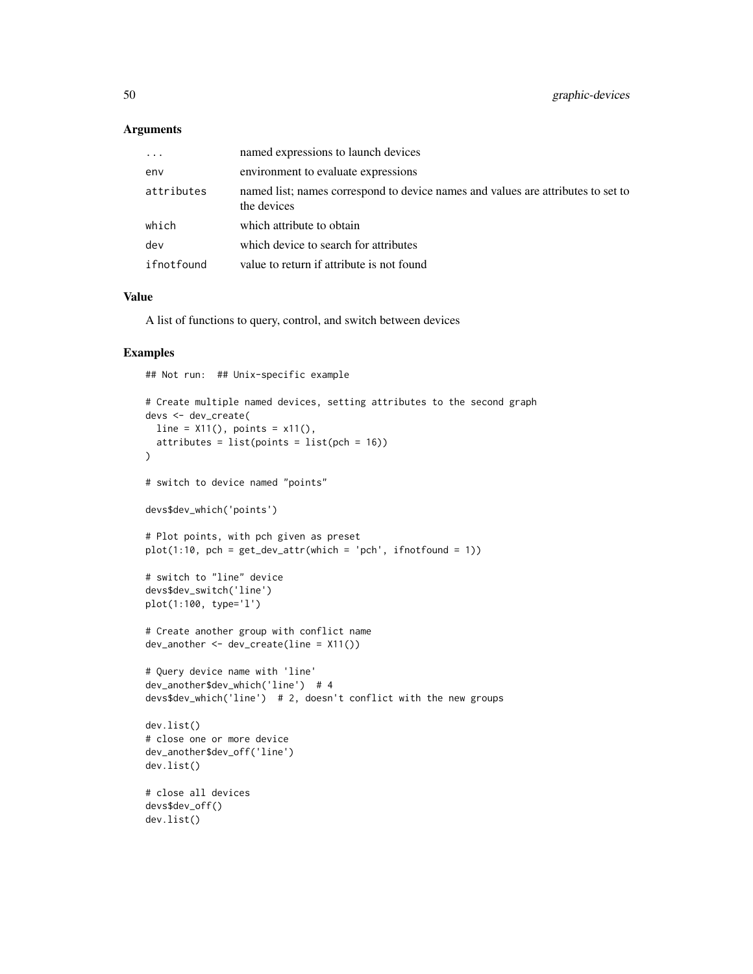#### Arguments

| $\cdots$   | named expressions to launch devices                                                             |
|------------|-------------------------------------------------------------------------------------------------|
| env        | environment to evaluate expressions                                                             |
| attributes | named list; names correspond to device names and values are attributes to set to<br>the devices |
| which      | which attribute to obtain                                                                       |
| dev        | which device to search for attributes                                                           |
| ifnotfound | value to return if attribute is not found                                                       |

#### Value

A list of functions to query, control, and switch between devices

# Examples

## Not run: ## Unix-specific example

```
# Create multiple named devices, setting attributes to the second graph
devs <- dev_create(
 line = X11(), points = x11(),
  atributes = list(points = list(pch = 16)))
# switch to device named "points"
devs$dev_which('points')
# Plot points, with pch given as preset
plot(1:10, pch = get\_dev\_attr(which = 'pch', ifnotfound = 1))# switch to "line" device
devs$dev_switch('line')
plot(1:100, type='l')
# Create another group with conflict name
dev_another <- dev_create(line = X11())
# Query device name with 'line'
dev_another$dev_which('line') # 4
devs$dev_which('line') # 2, doesn't conflict with the new groups
dev.list()
# close one or more device
dev_another$dev_off('line')
dev.list()
# close all devices
devs$dev_off()
dev.list()
```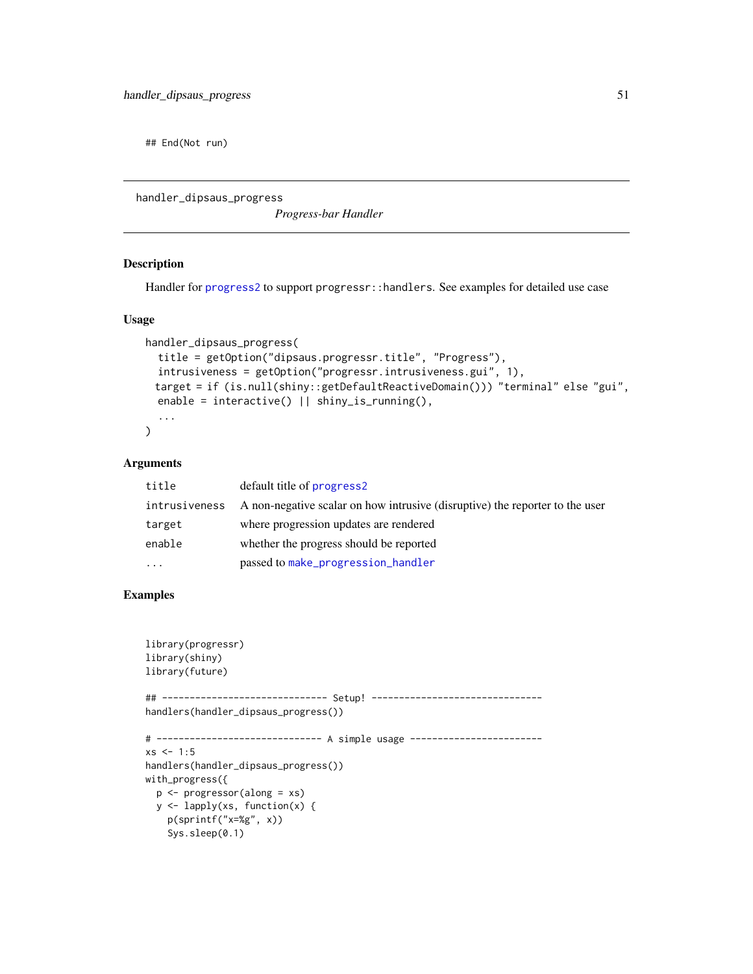## End(Not run)

handler\_dipsaus\_progress

*Progress-bar Handler*

## Description

Handler for [progress2](#page-74-0) to support progressr::handlers. See examples for detailed use case

# Usage

```
handler_dipsaus_progress(
  title = getOption("dipsaus.progressr.title", "Progress"),
  intrusiveness = getOption("progressr.intrusiveness.gui", 1),
 target = if (is.null(shiny::getDefaultReactiveDomain())) "terminal" else "gui",
  enable = interactive() || shiny_is_running(),
  ...
\mathcal{L}
```
#### Arguments

| title         | default title of progress2                                                   |
|---------------|------------------------------------------------------------------------------|
| intrusiveness | A non-negative scalar on how intrusive (disruptive) the reporter to the user |
| target        | where progression updates are rendered                                       |
| enable        | whether the progress should be reported                                      |
| $\ddots$      | passed to make_progression_handler                                           |

```
library(progressr)
library(shiny)
library(future)
## ------------------------------ Setup! -------------------------------
handlers(handler_dipsaus_progress())
# ------------------------------ A simple usage ------------------------
xs < -1:5handlers(handler_dipsaus_progress())
with_progress({
  p <- progressor(along = xs)
  y <- lapply(xs, function(x) {
   p(sprintf("x=%g", x))
   Sys.sleep(0.1)
```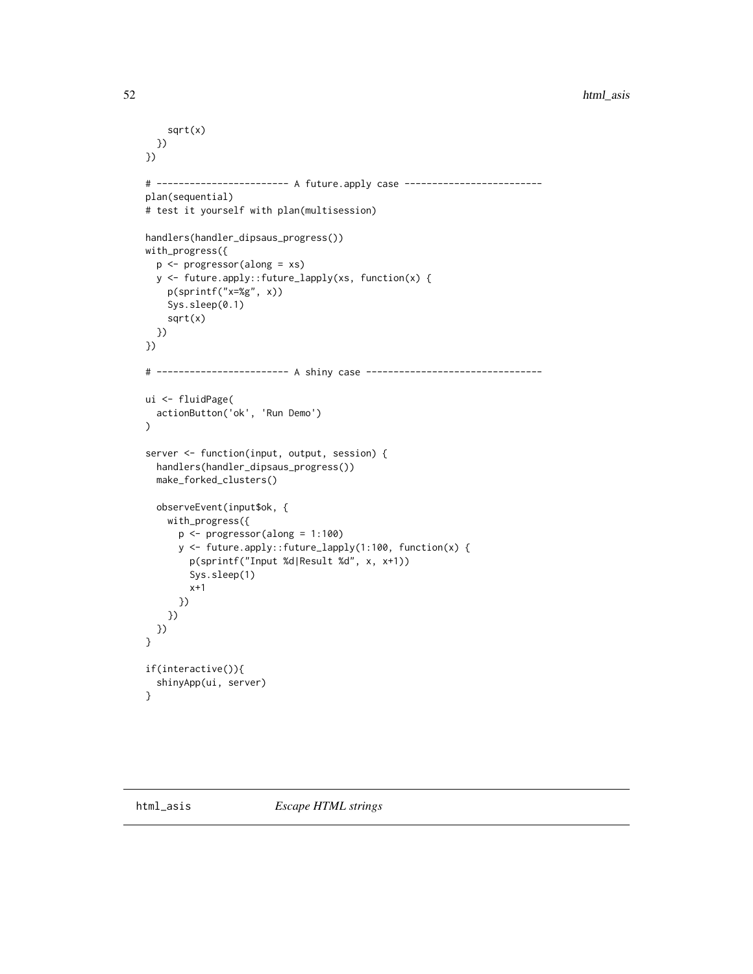```
sqrt(x)
  })
})
# ------------------------ A future.apply case -------------------------
plan(sequential)
# test it yourself with plan(multisession)
handlers(handler_dipsaus_progress())
with_progress({
  p <- progressor(along = xs)
  y <- future.apply::future_lapply(xs, function(x) {
    p(sprintf("x=%g", x))
    Sys.sleep(0.1)
   sqrt(x)
 })
})
# ------------------------ A shiny case --------------------------------
ui <- fluidPage(
  actionButton('ok', 'Run Demo')
)
server <- function(input, output, session) {
  handlers(handler_dipsaus_progress())
  make_forked_clusters()
  observeEvent(input$ok, {
   with_progress({
      p <- progressor(along = 1:100)
      y <- future.apply::future_lapply(1:100, function(x) {
        p(sprintf("Input %d|Result %d", x, x+1))
        Sys.sleep(1)
        x+1
     })
   })
 })
}
if(interactive()){
  shinyApp(ui, server)
}
```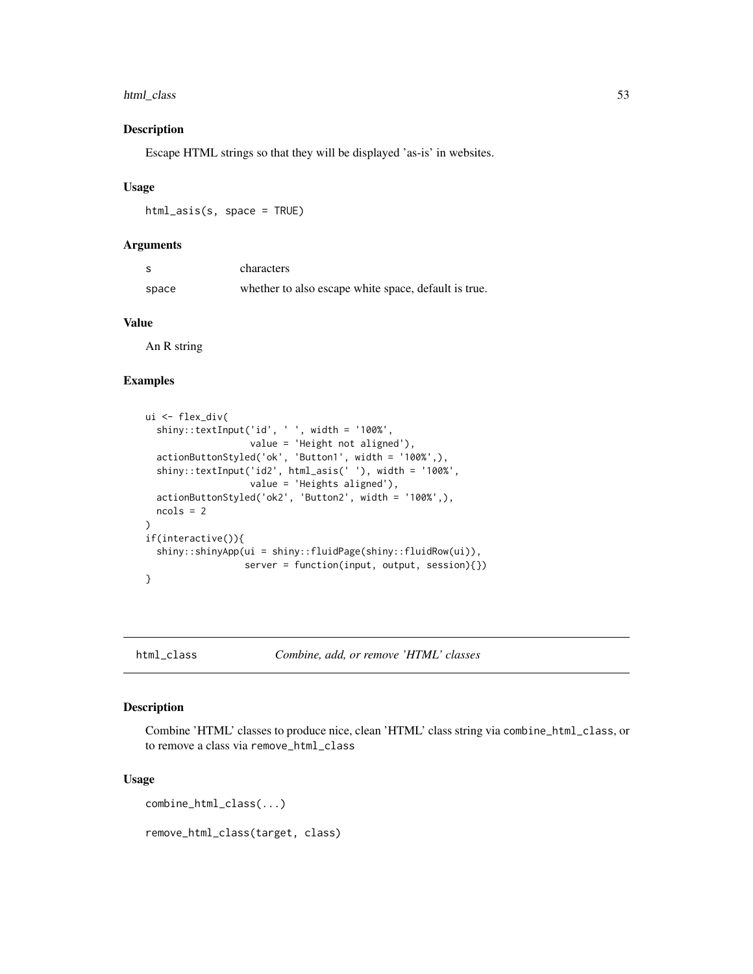# html\_class 53

#### Description

Escape HTML strings so that they will be displayed 'as-is' in websites.

## Usage

html\_asis(s, space = TRUE)

## Arguments

| - S   | characters                                           |
|-------|------------------------------------------------------|
| space | whether to also escape white space, default is true. |

# Value

An R string

# Examples

```
ui <- flex_div(
  shiny::textInput('id', ' ', width = '100%',
                   value = 'Height not aligned'),
  actionButtonStyled('ok', 'Button1', width = '100%',),
  shiny::textInput('id2', html_asis(' '), width = '100%',
                   value = 'Heights aligned'),
  actionButtonStyled('ok2', 'Button2', width = '100%',),
  ncols = 2
)
if(interactive()){
  shiny::shinyApp(ui = shiny::fluidPage(shiny::fluidRow(ui)),
                  server = function(input, output, session){})
}
```
html\_class *Combine, add, or remove 'HTML' classes*

#### Description

Combine 'HTML' classes to produce nice, clean 'HTML' class string via combine\_html\_class, or to remove a class via remove\_html\_class

#### Usage

```
combine_html_class(...)
```
remove\_html\_class(target, class)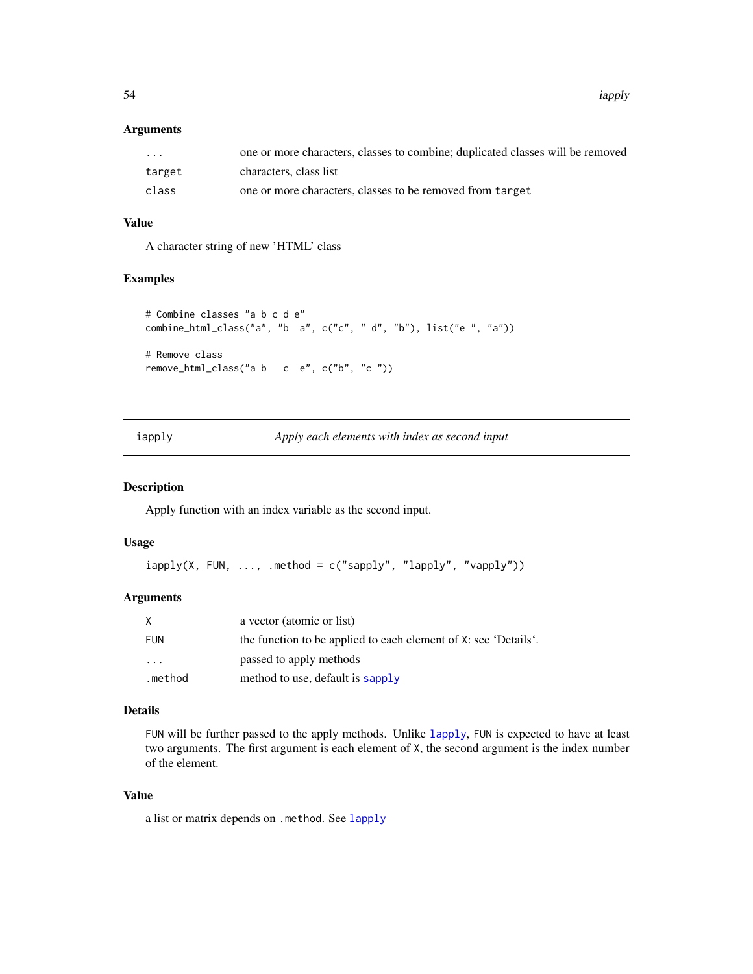54 iapply

## Arguments

| $\cdot$ $\cdot$ $\cdot$ | one or more characters, classes to combine; duplicated classes will be removed |
|-------------------------|--------------------------------------------------------------------------------|
| target                  | characters, class list                                                         |
| class                   | one or more characters, classes to be removed from target                      |

# Value

A character string of new 'HTML' class

# Examples

```
# Combine classes "a b c d e"
combine_html_class("a", "b a", c("c", " d", "b"), list("e ", "a"))
# Remove class
remove_html_class("a b c e", c("b", "c "))
```
iapply *Apply each elements with index as second input*

## Description

Apply function with an index variable as the second input.

#### Usage

 $iapply(X, FUN, ..., method = c("sapply", "lapply", "vapply"))$ 

## Arguments

| X          | a vector (atomic or list)                                       |
|------------|-----------------------------------------------------------------|
| <b>FUN</b> | the function to be applied to each element of X: see 'Details'. |
| $\ddotsc$  | passed to apply methods                                         |
| .method    | method to use, default is sapply                                |

# Details

FUN will be further passed to the apply methods. Unlike [lapply](#page-0-0), FUN is expected to have at least two arguments. The first argument is each element of X, the second argument is the index number of the element.

#### Value

a list or matrix depends on .method. See [lapply](#page-0-0)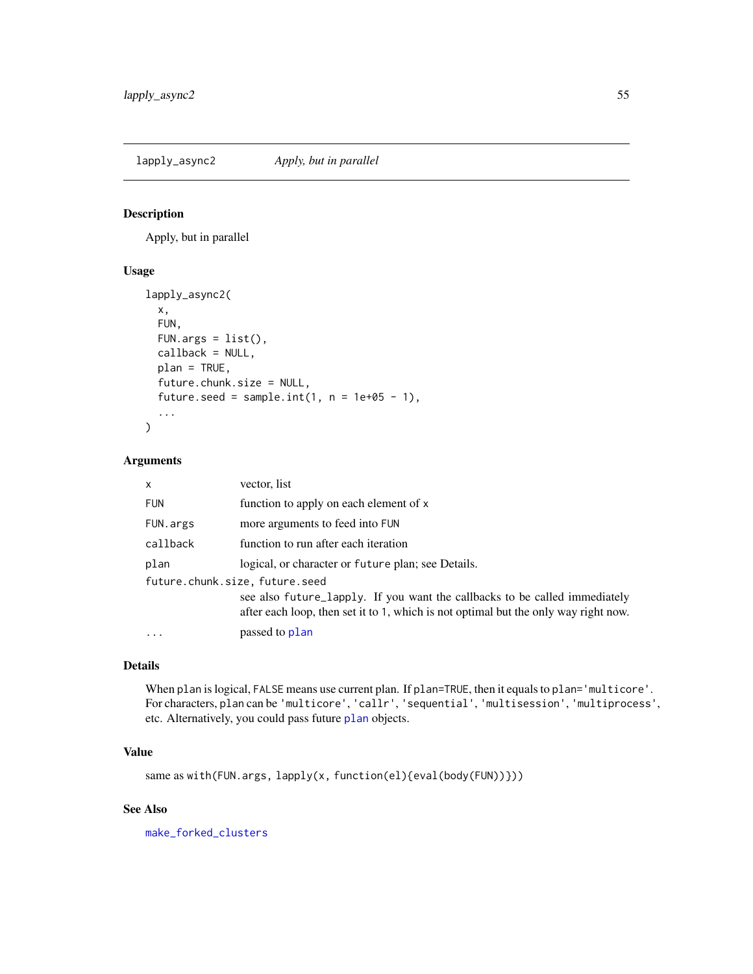<span id="page-54-0"></span>lapply\_async2 *Apply, but in parallel*

#### Description

Apply, but in parallel

# Usage

```
lapply_async2(
 x,
 FUN,
 FUN.args = list(),callback = NULL,
 plan = TRUE,
 future.chunk.size = NULL,
 future.seed = sample.int(1, n = 1e+05 - 1),
  ...
)
```
## Arguments

| $\mathsf{x}$                   | vector, list                                                                                                                                                      |
|--------------------------------|-------------------------------------------------------------------------------------------------------------------------------------------------------------------|
| <b>FUN</b>                     | function to apply on each element of x                                                                                                                            |
| FUN.args                       | more arguments to feed into FUN                                                                                                                                   |
| callback                       | function to run after each iteration                                                                                                                              |
| plan                           | logical, or character or future plan; see Details.                                                                                                                |
| future.chunk.size, future.seed |                                                                                                                                                                   |
|                                | see also future_lapply. If you want the callbacks to be called immediately<br>after each loop, then set it to 1, which is not optimal but the only way right now. |
| $\ddotsc$                      | passed to plan                                                                                                                                                    |

## Details

When plan is logical, FALSE means use current plan. If plan=TRUE, then it equals to plan='multicore'. For characters, plan can be 'multicore', 'callr', 'sequential', 'multisession', 'multiprocess', etc. Alternatively, you could pass future [plan](#page-0-0) objects.

# Value

same as with(FUN.args, lapply(x, function(el){eval(body(FUN))}))

# See Also

[make\\_forked\\_clusters](#page-59-0)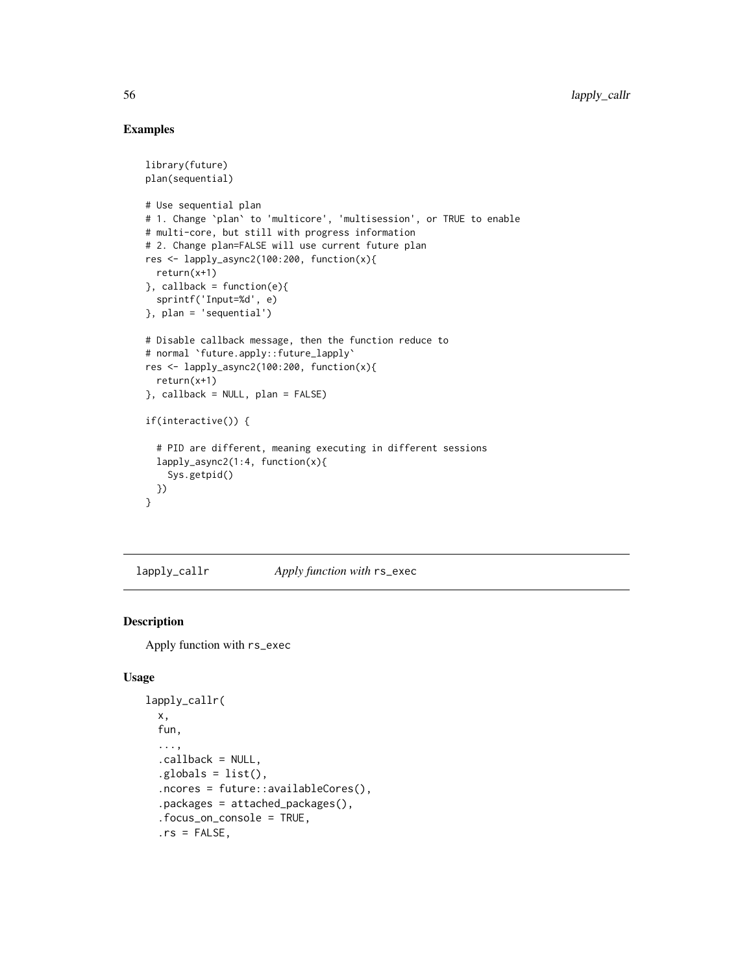# Examples

```
library(future)
plan(sequential)
# Use sequential plan
# 1. Change `plan` to 'multicore', 'multisession', or TRUE to enable
# multi-core, but still with progress information
# 2. Change plan=FALSE will use current future plan
res <- lapply_async2(100:200, function(x){
  return(x+1)
}, callback = function(e){
  sprintf('Input=%d', e)
}, plan = 'sequential')
# Disable callback message, then the function reduce to
# normal `future.apply::future_lapply`
res <- lapply_async2(100:200, function(x){
  return(x+1)
}, callback = NULL, plan = FALSE)
if(interactive()) {
  # PID are different, meaning executing in different sessions
  lapply_async2(1:4, function(x){
    Sys.getpid()
  })
}
```
lapply\_callr *Apply function with* rs\_exec

# Description

Apply function with rs\_exec

#### Usage

```
lapply_callr(
 x,
  fun,
  ...,
  .callback = NULL,
  (globals = list(),
  .ncores = future::availableCores(),
  .packages = attached_packages(),
  .focus_on_console = TRUE,
  rs = FALSE,
```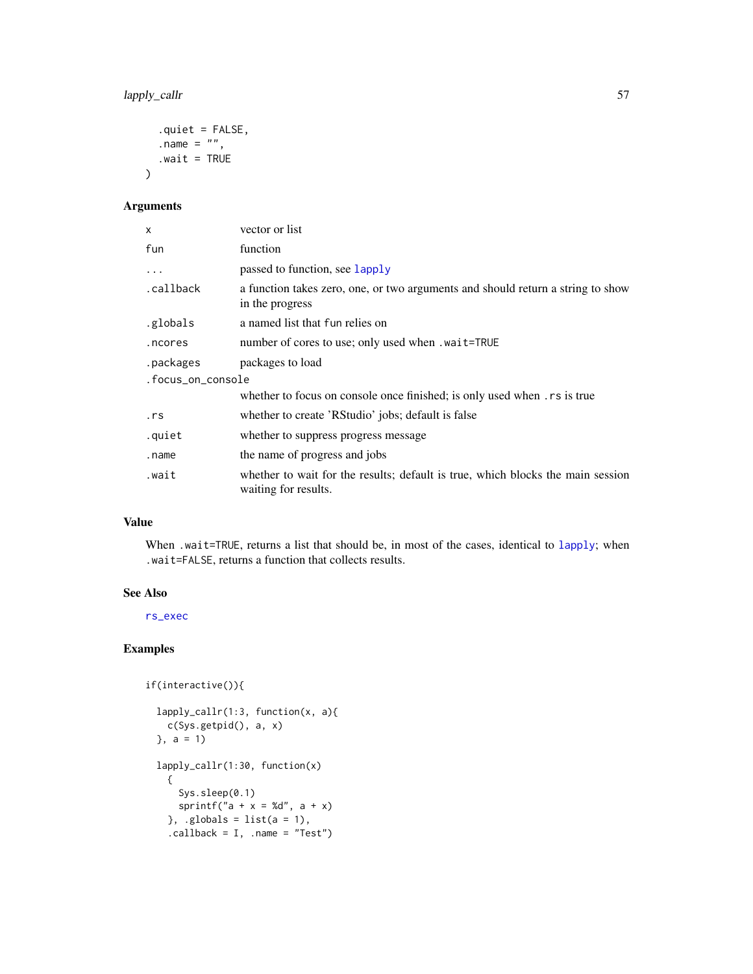lapply\_callr 57

```
.quiet = FALSE,
  .name = ",
  .wait = TRUE
\mathcal{L}
```
# Arguments

| X                 | vector or list                                                                                          |  |
|-------------------|---------------------------------------------------------------------------------------------------------|--|
| fun               | function                                                                                                |  |
| $\cdots$          | passed to function, see lapply                                                                          |  |
| .callback         | a function takes zero, one, or two arguments and should return a string to show<br>in the progress      |  |
| .globals          | a named list that fun relies on                                                                         |  |
| .ncores           | number of cores to use; only used when . wait=TRUE                                                      |  |
| .packages         | packages to load                                                                                        |  |
| .focus_on_console |                                                                                                         |  |
|                   | whether to focus on console once finished; is only used when rs is true                                 |  |
| .rs               | whether to create 'RStudio' jobs; default is false                                                      |  |
| .quiet            | whether to suppress progress message                                                                    |  |
| .name             | the name of progress and jobs                                                                           |  |
| .wait             | whether to wait for the results; default is true, which blocks the main session<br>waiting for results. |  |

## Value

When .wait=TRUE, returns a list that should be, in most of the cases, identical to [lapply](#page-0-0); when .wait=FALSE, returns a function that collects results.

## See Also

[rs\\_exec](#page-78-0)

if(interactive()){

```
lapply_callr(1:3, function(x, a){
 c(Sys.getpid(), a, x)
\}, a = 1lapply_callr(1:30, function(x)
  {
    Sys.sleep(0.1)
    sprintf("a + x = %d", a + x)
  }, .globals = list(a = 1),
  \text{.callback} = I, \text{ .name} = \text{"Test"}
```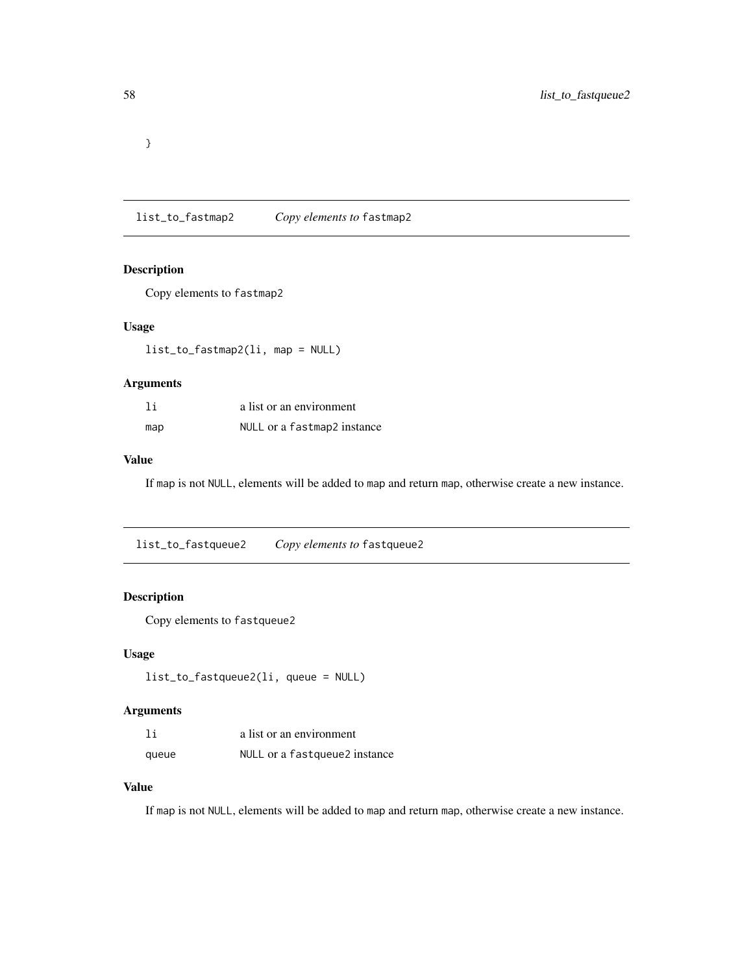}

list\_to\_fastmap2 *Copy elements to* fastmap2

# Description

Copy elements to fastmap2

## Usage

list\_to\_fastmap2(li, map = NULL)

# Arguments

| 1i  | a list or an environment    |
|-----|-----------------------------|
| map | NULL or a fastmap2 instance |

# Value

If map is not NULL, elements will be added to map and return map, otherwise create a new instance.

list\_to\_fastqueue2 *Copy elements to* fastqueue2

# Description

Copy elements to fastqueue2

## Usage

```
list_to_fastqueue2(li, queue = NULL)
```
# Arguments

| 1i    | a list or an environment       |
|-------|--------------------------------|
| queue | NULL or a fast queue2 instance |

# Value

If map is not NULL, elements will be added to map and return map, otherwise create a new instance.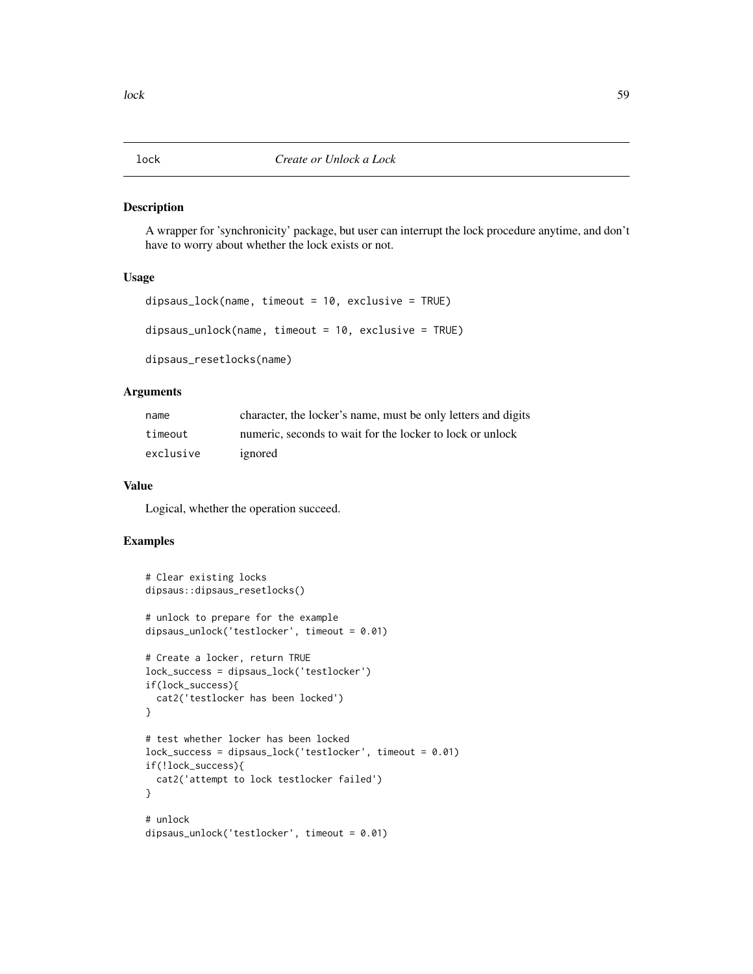#### Description

A wrapper for 'synchronicity' package, but user can interrupt the lock procedure anytime, and don't have to worry about whether the lock exists or not.

# Usage

```
dipsaus_lock(name, timeout = 10, exclusive = TRUE)
dipsaus_unlock(name, timeout = 10, exclusive = TRUE)
dipsaus_resetlocks(name)
```
# **Arguments**

| name      | character, the locker's name, must be only letters and digits |
|-----------|---------------------------------------------------------------|
| timeout   | numeric, seconds to wait for the locker to lock or unlock     |
| exclusive | ignored                                                       |

## Value

Logical, whether the operation succeed.

```
# Clear existing locks
dipsaus::dipsaus_resetlocks()
# unlock to prepare for the example
dipsaus_unlock('testlocker', timeout = 0.01)
# Create a locker, return TRUE
lock_success = dipsaus_lock('testlocker')
if(lock_success){
 cat2('testlocker has been locked')
}
# test whether locker has been locked
lock_success = dipsaus_lock('testlocker', timeout = 0.01)
if(!lock_success){
 cat2('attempt to lock testlocker failed')
}
# unlock
dipsaus_unlock('testlocker', timeout = 0.01)
```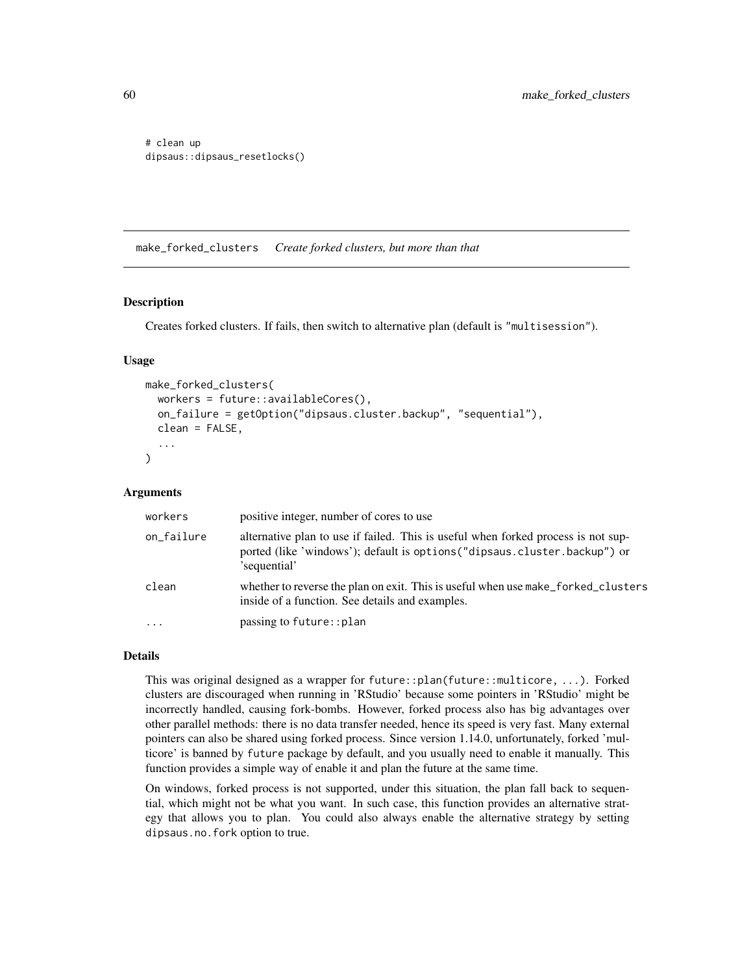```
# clean up
dipsaus::dipsaus_resetlocks()
```
<span id="page-59-0"></span>make\_forked\_clusters *Create forked clusters, but more than that*

#### Description

Creates forked clusters. If fails, then switch to alternative plan (default is "multisession").

## Usage

```
make_forked_clusters(
  workers = future::availableCores(),
  on_failure = getOption("dipsaus.cluster.backup", "sequential"),
  clean = FALSE,
  ...
)
```
## Arguments

| workers    | positive integer, number of cores to use                                                                                                                                       |
|------------|--------------------------------------------------------------------------------------------------------------------------------------------------------------------------------|
| on_failure | alternative plan to use if failed. This is useful when forked process is not sup-<br>ported (like 'windows'); default is options ("dipsaus.cluster.backup") or<br>'sequential' |
| clean      | whether to reverse the plan on exit. This is useful when use make_forked_clusters<br>inside of a function. See details and examples.                                           |
| $\cdot$    | passing to future:: plan                                                                                                                                                       |

# Details

This was original designed as a wrapper for future::plan(future::multicore, ...). Forked clusters are discouraged when running in 'RStudio' because some pointers in 'RStudio' might be incorrectly handled, causing fork-bombs. However, forked process also has big advantages over other parallel methods: there is no data transfer needed, hence its speed is very fast. Many external pointers can also be shared using forked process. Since version 1.14.0, unfortunately, forked 'multicore' is banned by future package by default, and you usually need to enable it manually. This function provides a simple way of enable it and plan the future at the same time.

On windows, forked process is not supported, under this situation, the plan fall back to sequential, which might not be what you want. In such case, this function provides an alternative strategy that allows you to plan. You could also always enable the alternative strategy by setting dipsaus.no.fork option to true.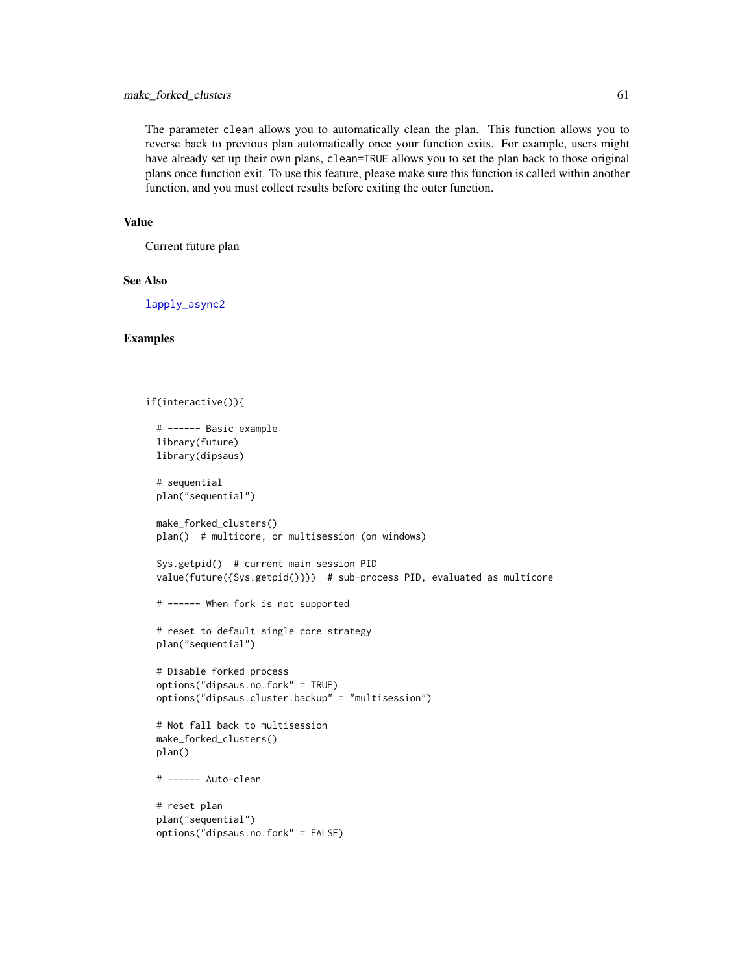# make\_forked\_clusters 61

The parameter clean allows you to automatically clean the plan. This function allows you to reverse back to previous plan automatically once your function exits. For example, users might have already set up their own plans, clean=TRUE allows you to set the plan back to those original plans once function exit. To use this feature, please make sure this function is called within another function, and you must collect results before exiting the outer function.

# Value

Current future plan

## See Also

[lapply\\_async2](#page-54-0)

```
if(interactive()){
 # ------ Basic example
 library(future)
 library(dipsaus)
 # sequential
 plan("sequential")
 make_forked_clusters()
 plan() # multicore, or multisession (on windows)
 Sys.getpid() # current main session PID
 value(future({Sys.getpid()})) # sub-process PID, evaluated as multicore
 # ------ When fork is not supported
 # reset to default single core strategy
 plan("sequential")
 # Disable forked process
 options("dipsaus.no.fork" = TRUE)
 options("dipsaus.cluster.backup" = "multisession")
 # Not fall back to multisession
 make_forked_clusters()
 plan()
 # ------ Auto-clean
 # reset plan
 plan("sequential")
 options("dipsaus.no.fork" = FALSE)
```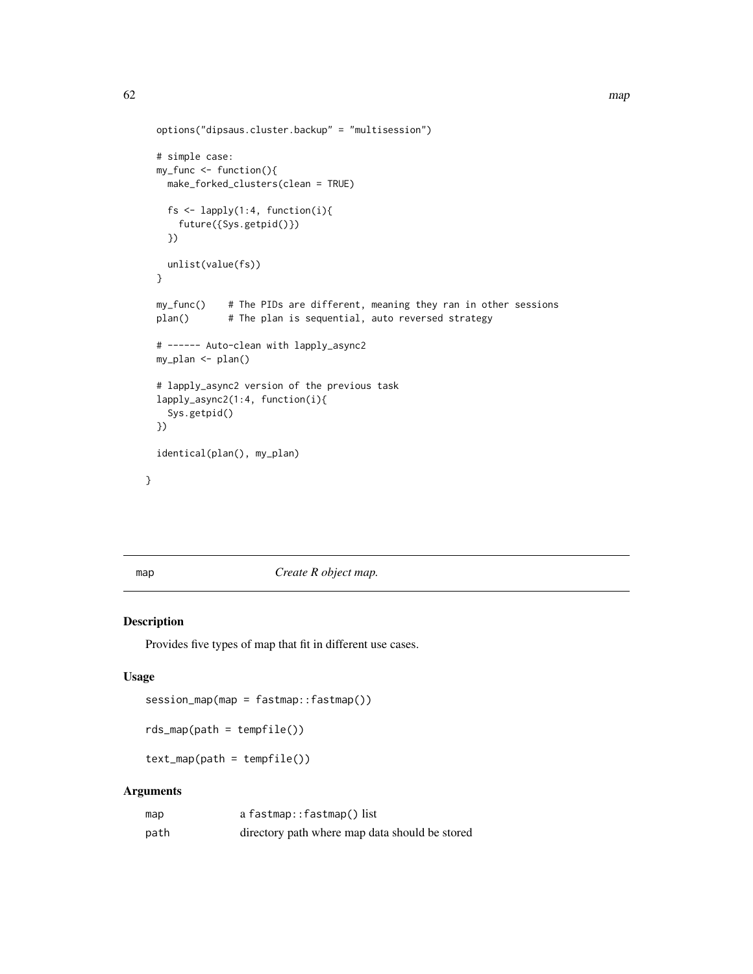```
options("dipsaus.cluster.backup" = "multisession")
 # simple case:
 my_func <- function(){
   make_forked_clusters(clean = TRUE)
   fs \leq lapply(1:4, function(i){
     future({Sys.getpid()})
   })
   unlist(value(fs))
 }
 my_func() # The PIDs are different, meaning they ran in other sessions
 plan() # The plan is sequential, auto reversed strategy
 # ------ Auto-clean with lapply_async2
 my_plan <- plan()
 # lapply_async2 version of the previous task
 lapply_async2(1:4, function(i){
   Sys.getpid()
 })
 identical(plan(), my_plan)
}
```
<span id="page-61-1"></span>map *Create R object map.*

# <span id="page-61-0"></span>Description

Provides five types of map that fit in different use cases.

# Usage

```
session_map(map = fastmap::fastmap())
```

```
rds_map(path = tempfile())
```
 $text_map(path = tempfile())$ 

## Arguments

| map  | a fastmap::fastmap() list                      |
|------|------------------------------------------------|
| path | directory path where map data should be stored |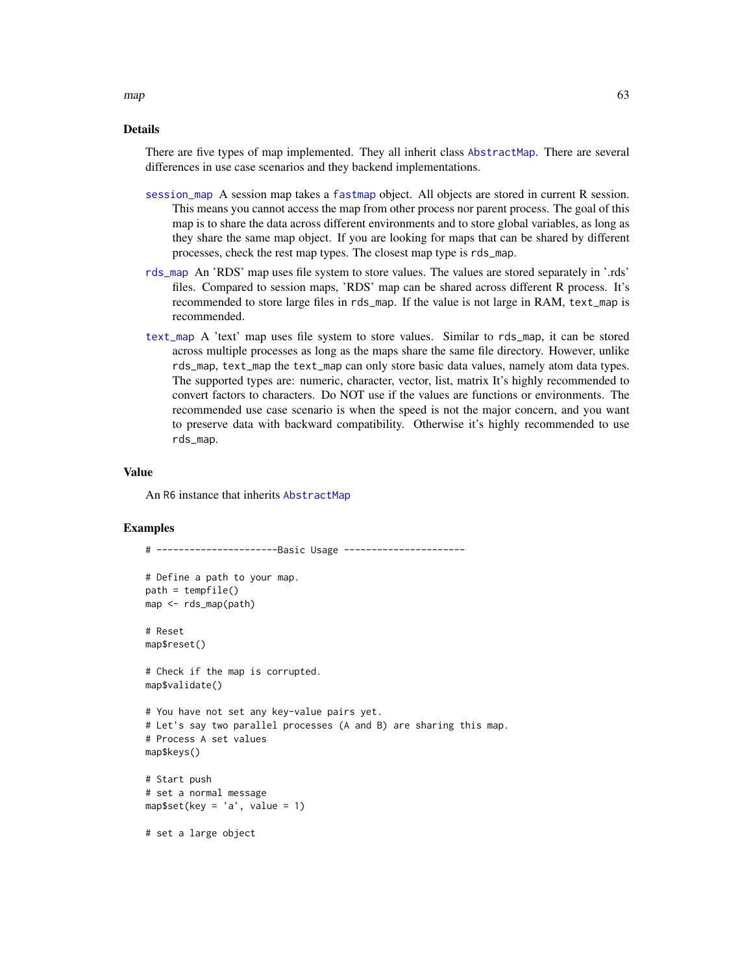Details

There are five types of map implemented. They all inherit class [AbstractMap](#page-3-0). There are several differences in use case scenarios and they backend implementations.

- [session\\_map](#page-61-0) A session map takes a [fastmap](#page-0-0) object. All objects are stored in current R session. This means you cannot access the map from other process nor parent process. The goal of this map is to share the data across different environments and to store global variables, as long as they share the same map object. If you are looking for maps that can be shared by different processes, check the rest map types. The closest map type is rds\_map.
- [rds\\_map](#page-61-0) An 'RDS' map uses file system to store values. The values are stored separately in '.rds' files. Compared to session maps, 'RDS' map can be shared across different R process. It's recommended to store large files in rds\_map. If the value is not large in RAM, text\_map is recommended.
- [text\\_map](#page-61-0) A 'text' map uses file system to store values. Similar to rds\_map, it can be stored across multiple processes as long as the maps share the same file directory. However, unlike rds\_map, text\_map the text\_map can only store basic data values, namely atom data types. The supported types are: numeric, character, vector, list, matrix It's highly recommended to convert factors to characters. Do NOT use if the values are functions or environments. The recommended use case scenario is when the speed is not the major concern, and you want to preserve data with backward compatibility. Otherwise it's highly recommended to use rds\_map.

#### Value

An R6 instance that inherits [AbstractMap](#page-3-0)

#### Examples

```
# ----------------------Basic Usage ----------------------
# Define a path to your map.
path = tempfile()map <- rds_map(path)
# Reset
map$reset()
# Check if the map is corrupted.
map$validate()
# You have not set any key-value pairs yet.
# Let's say two parallel processes (A and B) are sharing this map.
# Process A set values
map$keys()
# Start push
# set a normal message
map$set(key = 'a', value = 1)
# set a large object
```
 $map$  63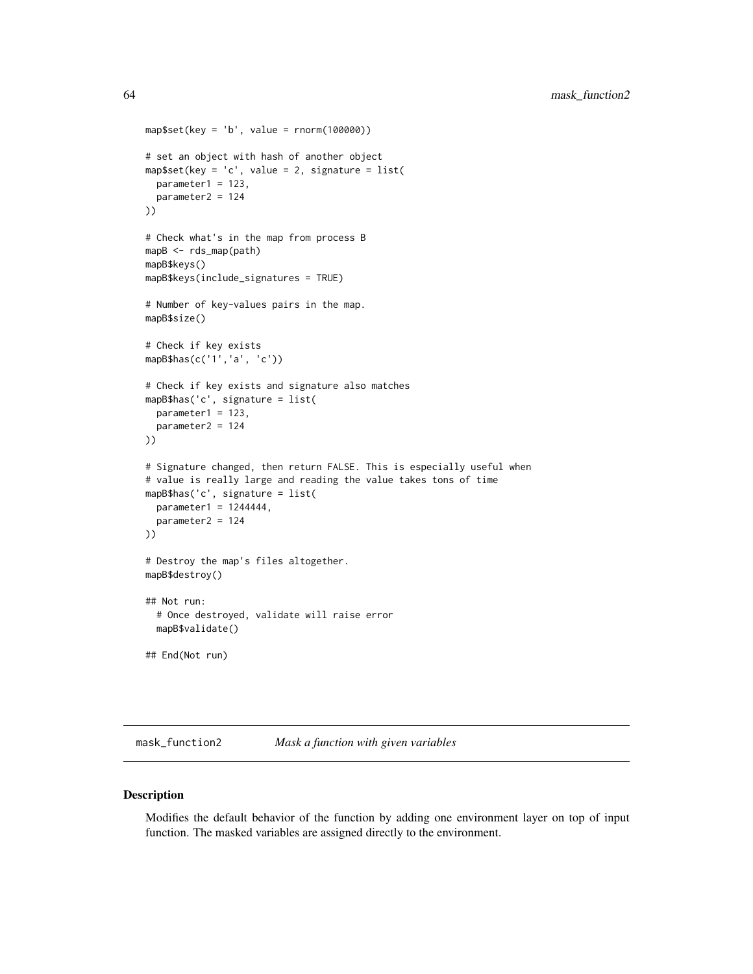```
map$set(key = 'b', value = rnorm(100000))
# set an object with hash of another object
map$set(key = 'c', value = 2, signature = list(
  parameter1 = 123,
  parameter2 = 124
))
# Check what's in the map from process B
mapB <- rds_map(path)
mapB$keys()
mapB$keys(include_signatures = TRUE)
# Number of key-values pairs in the map.
mapB$size()
# Check if key exists
mapB$has(c('1','a', 'c'))
# Check if key exists and signature also matches
mapB$has('c', signature = list(
  parameter1 = 123,
  parameter2 = 124
))
# Signature changed, then return FALSE. This is especially useful when
# value is really large and reading the value takes tons of time
mapB$has('c', signature = list(
  parameter1 = 1244444,
  parameter2 = 124
))
# Destroy the map's files altogether.
mapB$destroy()
## Not run:
  # Once destroyed, validate will raise error
  mapB$validate()
## End(Not run)
```
mask\_function2 *Mask a function with given variables*

## Description

Modifies the default behavior of the function by adding one environment layer on top of input function. The masked variables are assigned directly to the environment.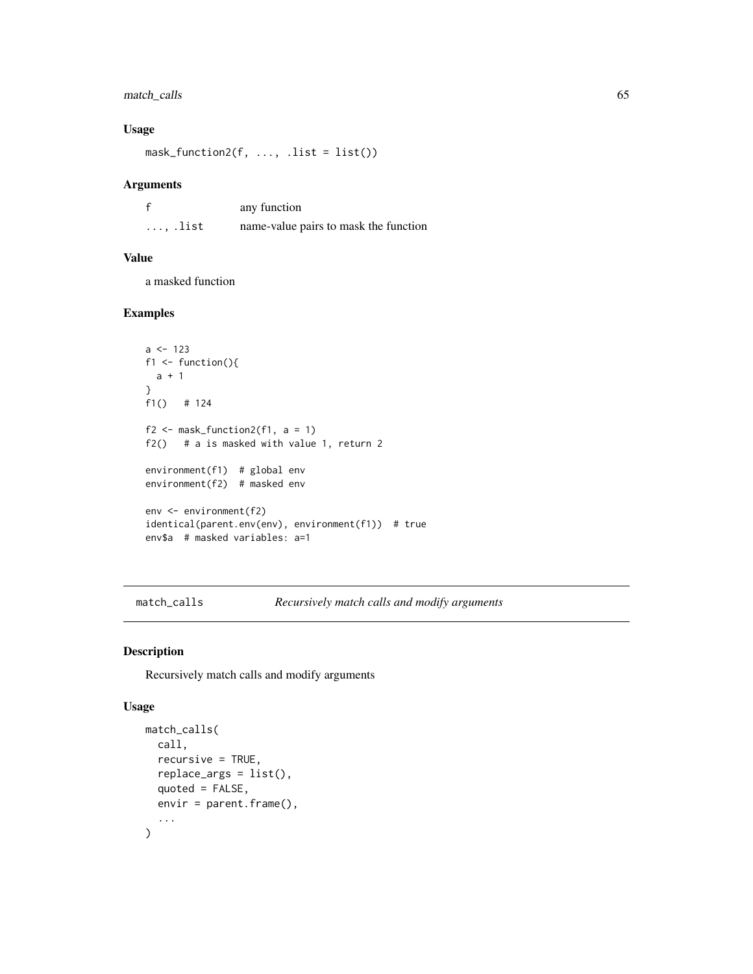# match\_calls 65

## Usage

 $mask_function2(f, ..., list = list())$ 

#### Arguments

| £                | any function                          |
|------------------|---------------------------------------|
| $\ldots$ , .list | name-value pairs to mask the function |

# Value

a masked function

# Examples

```
a \leftarrow 123f1 \leftarrow function(){
 a + 1
}
f1() # 124
f2 \leq - mask_function2(f1, a = 1)
f2() # a is masked with value 1, return 2
environment(f1) # global env
environment(f2) # masked env
env <- environment(f2)
identical(parent.env(env), environment(f1)) # true
env$a # masked variables: a=1
```
match\_calls *Recursively match calls and modify arguments*

#### Description

Recursively match calls and modify arguments

#### Usage

```
match_calls(
 call,
 recursive = TRUE,
 replace_args = list(),
 quoted = FALSE,envir = parent.frame(),
  ...
)
```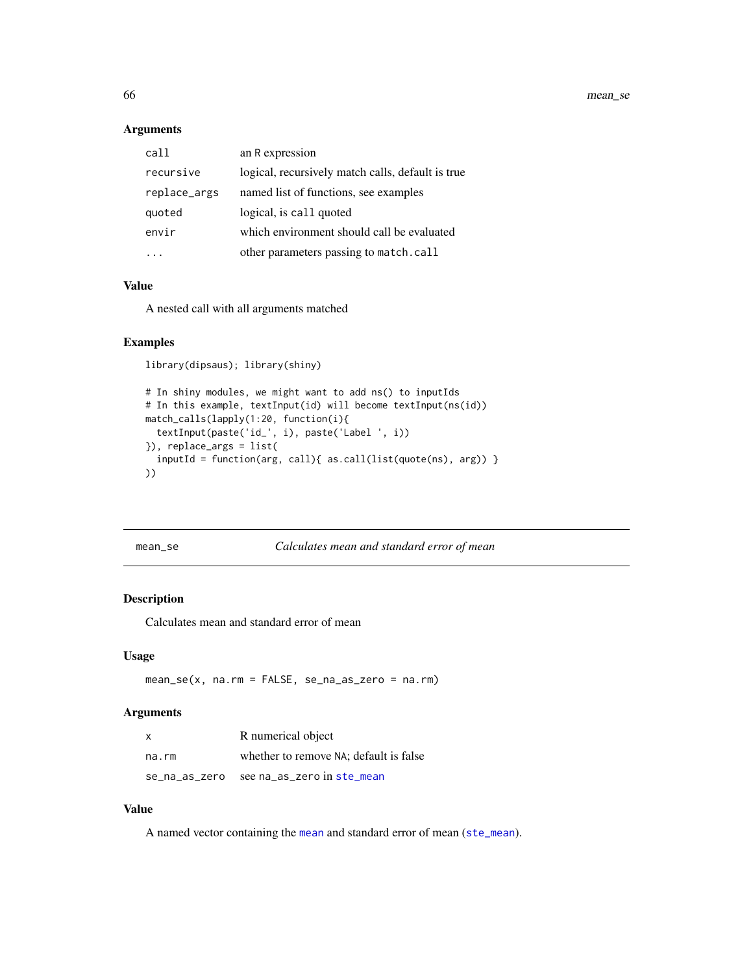66 mean\_se

# Arguments

| call         | an R expression                                   |
|--------------|---------------------------------------------------|
| recursive    | logical, recursively match calls, default is true |
| replace_args | named list of functions, see examples             |
| quoted       | logical, is call quoted                           |
| envir        | which environment should call be evaluated        |
|              | other parameters passing to match.call            |

## Value

A nested call with all arguments matched

#### Examples

library(dipsaus); library(shiny)

```
# In shiny modules, we might want to add ns() to inputIds
# In this example, textInput(id) will become textInput(ns(id))
match_calls(lapply(1:20, function(i){
  textInput(paste('id_', i), paste('Label ', i))
}), replace_args = list(
  inputId = function(arg, call){ as.call(list(quote(ns), arg)) }
))
```
mean\_se *Calculates mean and standard error of mean*

# Description

Calculates mean and standard error of mean

## Usage

mean\_se(x, na.rm = FALSE, se\_na\_as\_zero = na.rm)

## Arguments

| X             | R numerical object                     |
|---------------|----------------------------------------|
| na.rm         | whether to remove NA; default is false |
| se_na_as_zero | see na as zero in ste mean             |

## Value

A named vector containing the [mean](#page-0-0) and standard error of mean ([ste\\_mean](#page-92-0)).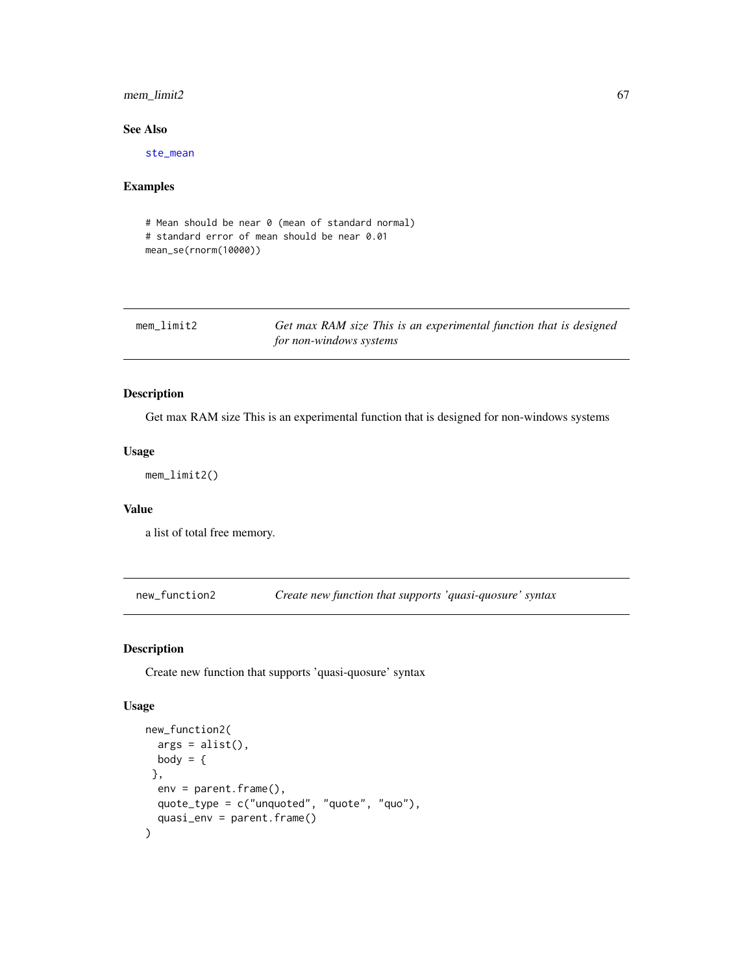# mem\_limit2 67

## See Also

[ste\\_mean](#page-92-0)

# Examples

```
# Mean should be near 0 (mean of standard normal)
# standard error of mean should be near 0.01
mean_se(rnorm(10000))
```

| mem limit2 | Get max RAM size This is an experimental function that is designed |
|------------|--------------------------------------------------------------------|
|            | for non-windows systems                                            |

# Description

Get max RAM size This is an experimental function that is designed for non-windows systems

#### Usage

mem\_limit2()

## Value

a list of total free memory.

new\_function2 *Create new function that supports 'quasi-quosure' syntax*

# Description

Create new function that supports 'quasi-quosure' syntax

# Usage

```
new_function2(
  args = alist(),
 body = \{},
  env = parent.frame(),
 quote_type = c("unquoted", "quote", "quo"),
  quasi_env = parent.frame()
\mathcal{E}
```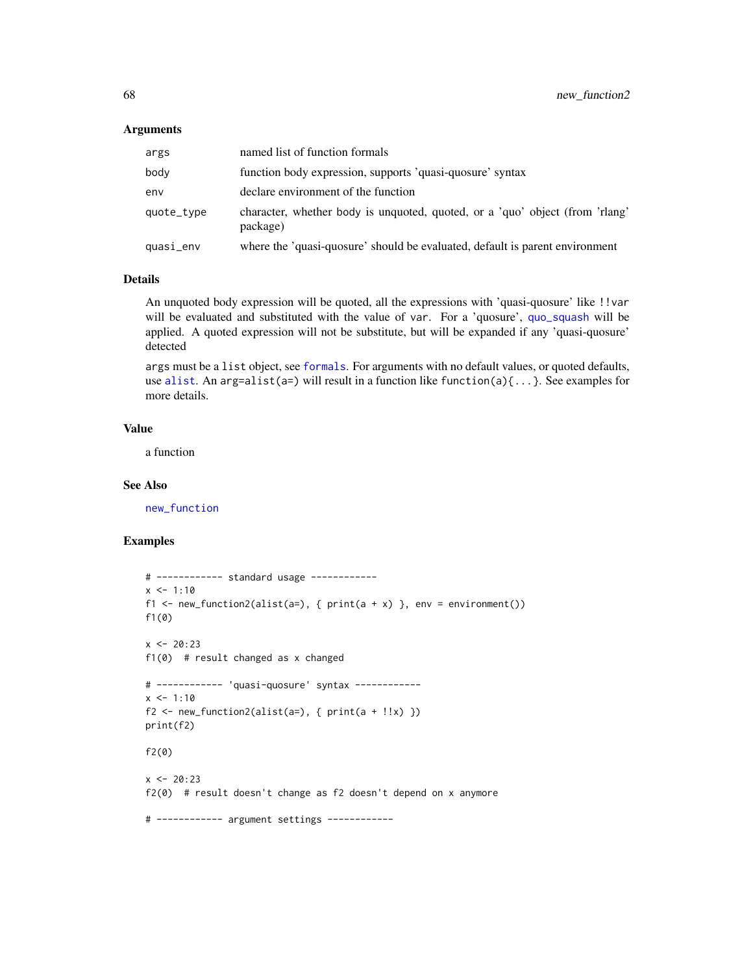#### **Arguments**

| args       | named list of function formals                                                           |
|------------|------------------------------------------------------------------------------------------|
| body       | function body expression, supports 'quasi-quosure' syntax                                |
| env        | declare environment of the function                                                      |
| quote_type | character, whether body is unquoted, quoted, or a 'quo' object (from 'rlang'<br>package) |
| quasi_env  | where the 'quasi-quosure' should be evaluated, default is parent environment             |

#### Details

An unquoted body expression will be quoted, all the expressions with 'quasi-quosure' like !!var will be evaluated and substituted with the value of var. For a 'quosure', [quo\\_squash](#page-0-0) will be applied. A quoted expression will not be substitute, but will be expanded if any 'quasi-quosure' detected

args must be a list object, see [formals](#page-0-0). For arguments with no default values, or quoted defaults, use [alist](#page-0-0). An arg=alist(a=) will result in a function like function(a) $\{ \ldots \}$ . See examples for more details.

#### Value

a function

#### See Also

[new\\_function](#page-0-0)

```
# ------------ standard usage ------------
x < -1:10f1 <- new_function2(alist(a=), { print(a + x) }, env = environment())
f1(0)
x < -20:23f1(0) # result changed as x changed
# ------------ 'quasi-quosure' syntax ------------
x < -1:10f2 \leftarrow new_function2(alist(a=), \{ print(a + !!x) \})print(f2)
f2(0)
x < -20:23f2(0) # result doesn't change as f2 doesn't depend on x anymore
# ------------ argument settings ------------
```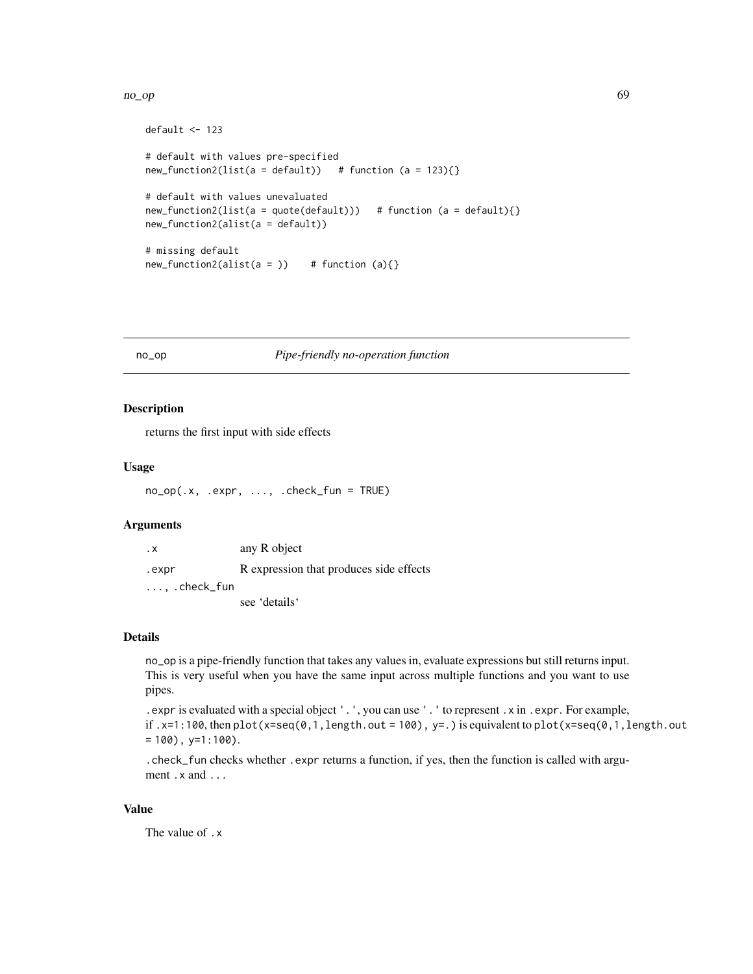#### no\_op 69

```
default <- 123
# default with values pre-specified
new_function2(list(a = default)) # function (a = 123){}# default with values unevaluated
new_function2(list(a = quote(default))) # function (a = default){})new_function2(alist(a = default))
# missing default
new_function2(alist(a =)) # function (a){}
```
## no\_op *Pipe-friendly no-operation function*

#### Description

returns the first input with side effects

#### Usage

```
no_op(.x, .expr, ..., .check_fun = TRUE)
```
## Arguments

| . х                   | any R object                            |
|-----------------------|-----------------------------------------|
| .expr                 | R expression that produces side effects |
| $\ldots$ , .check_fun |                                         |
|                       | see 'details'                           |

#### Details

no\_op is a pipe-friendly function that takes any values in, evaluate expressions but still returns input. This is very useful when you have the same input across multiple functions and you want to use pipes.

```
.expr is evaluated with a special object '.', you can use '.' to represent .x in .expr. For example,
if .x=1:100, then plot(x=seq(0,1, length.out = 100), y=.) is equivalent to plot(x=seq(0,1, length.out= 100), y=1:100).
```
.check\_fun checks whether .expr returns a function, if yes, then the function is called with argument .x and ...

#### Value

The value of .x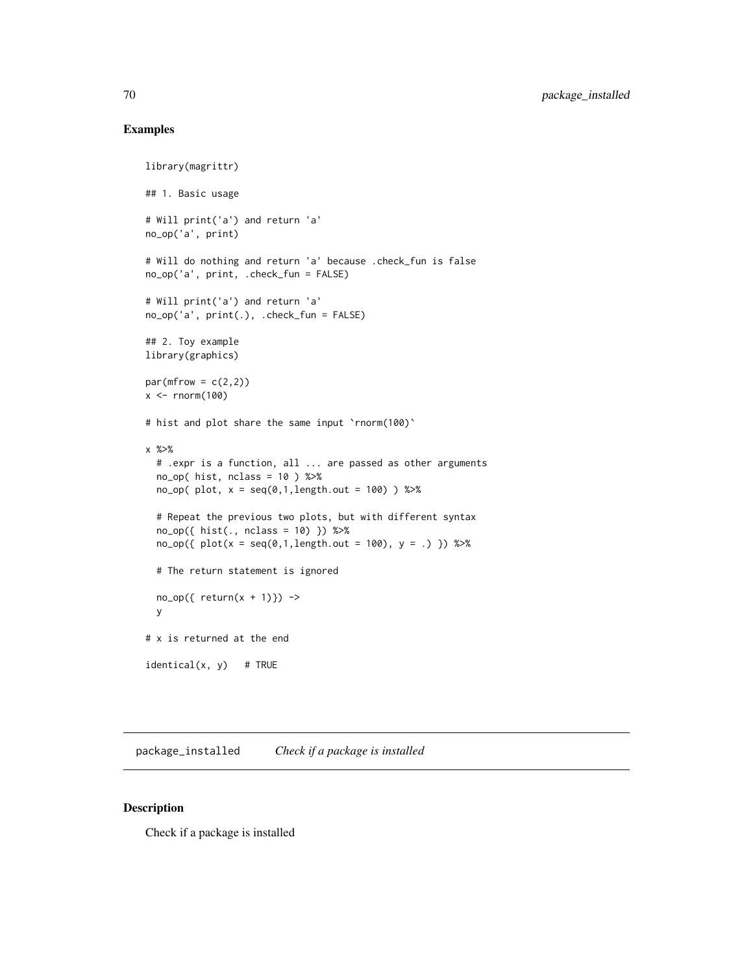# Examples

```
library(magrittr)
## 1. Basic usage
# Will print('a') and return 'a'
no_op('a', print)
# Will do nothing and return 'a' because .check_fun is false
no_op('a', print, .check_fun = FALSE)
# Will print('a') and return 'a'
no_op('a', print(.), .check_fun = FALSE)
## 2. Toy example
library(graphics)
par(mfrow = c(2,2))x \le - rnorm(100)
# hist and plot share the same input 'rnorm(100)'
x %>%
  # .expr is a function, all ... are passed as other arguments
  no\_op( hist, nclass = 10 ) %>%
  no_op( plot, x = seq(0,1,length.out = 100) ) %>%
  # Repeat the previous two plots, but with different syntax
  no_op({ hist(., nclass = 10) }) %>%
  no\_op({\{ plot(x = seq(0,1,length.out = 100), y = .)}\}) %>%
  # The return statement is ignored
  no\_op({ return(x + 1)} ) ->
  y
# x is returned at the end
identical(x, y) # TRUE
```
package\_installed *Check if a package is installed*

#### Description

Check if a package is installed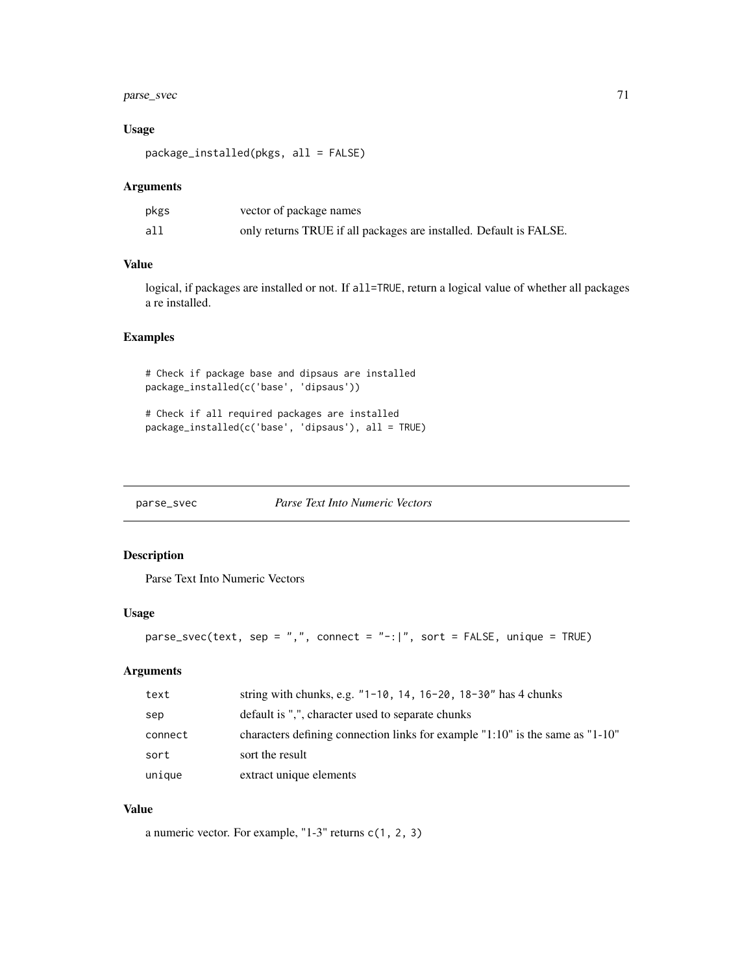# parse\_svec 71

# Usage

package\_installed(pkgs, all = FALSE)

## Arguments

| pkgs | vector of package names                                            |
|------|--------------------------------------------------------------------|
| all  | only returns TRUE if all packages are installed. Default is FALSE. |

# Value

logical, if packages are installed or not. If all=TRUE, return a logical value of whether all packages a re installed.

# Examples

# Check if package base and dipsaus are installed package\_installed(c('base', 'dipsaus'))

# Check if all required packages are installed package\_installed(c('base', 'dipsaus'), all = TRUE)

parse\_svec *Parse Text Into Numeric Vectors*

## Description

Parse Text Into Numeric Vectors

#### Usage

```
parse_svec(text, sep = ",", connect = "-:|", sort = FALSE, unique = TRUE)
```
# Arguments

| text    | string with chunks, e.g. $"1-10$ , 14, 16-20, 18-30" has 4 chunks               |
|---------|---------------------------------------------------------------------------------|
| sep     | default is ",", character used to separate chunks                               |
| connect | characters defining connection links for example $1:10"$ is the same as $1:10"$ |
| sort    | sort the result                                                                 |
| unique  | extract unique elements                                                         |

# Value

a numeric vector. For example, "1-3" returns c(1, 2, 3)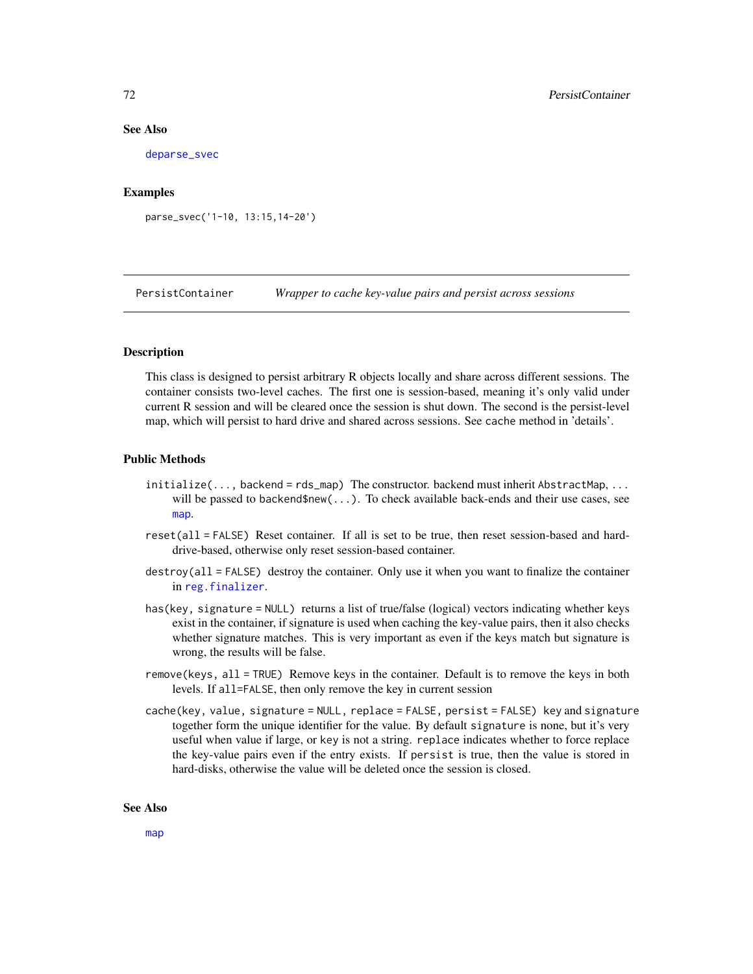#### See Also

[deparse\\_svec](#page-29-0)

#### Examples

parse\_svec('1-10, 13:15,14-20')

PersistContainer *Wrapper to cache key-value pairs and persist across sessions*

# Description

This class is designed to persist arbitrary R objects locally and share across different sessions. The container consists two-level caches. The first one is session-based, meaning it's only valid under current R session and will be cleared once the session is shut down. The second is the persist-level map, which will persist to hard drive and shared across sessions. See cache method in 'details'.

## Public Methods

- initialize(..., backend = rds\_map) The constructor. backend must inherit AbstractMap, ... will be passed to backend\$new(...). To check available back-ends and their use cases, see [map](#page-61-1).
- reset(all = FALSE) Reset container. If all is set to be true, then reset session-based and harddrive-based, otherwise only reset session-based container.
- destroy(all = FALSE) destroy the container. Only use it when you want to finalize the container in [reg.finalizer](#page-0-0).
- has(key, signature = NULL) returns a list of true/false (logical) vectors indicating whether keys exist in the container, if signature is used when caching the key-value pairs, then it also checks whether signature matches. This is very important as even if the keys match but signature is wrong, the results will be false.
- remove(keys, all = TRUE) Remove keys in the container. Default is to remove the keys in both levels. If all=FALSE, then only remove the key in current session
- cache(key, value, signature = NULL, replace = FALSE, persist = FALSE) key and signature together form the unique identifier for the value. By default signature is none, but it's very useful when value if large, or key is not a string. replace indicates whether to force replace the key-value pairs even if the entry exists. If persist is true, then the value is stored in hard-disks, otherwise the value will be deleted once the session is closed.

#### See Also

[map](#page-61-1)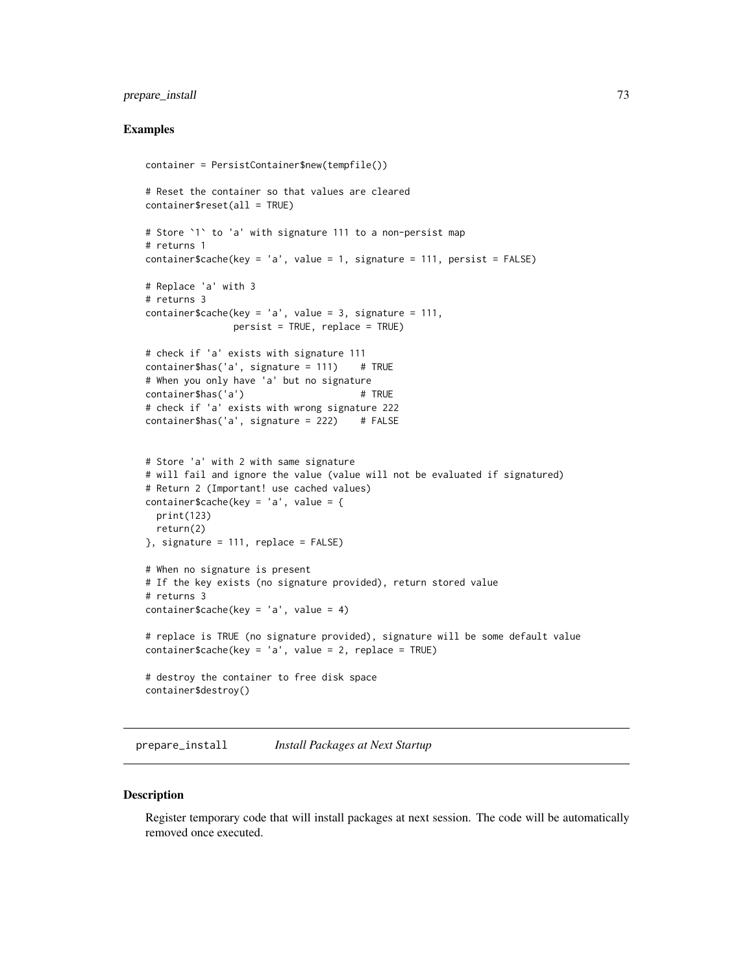#### <span id="page-72-0"></span>prepare\_install 73

#### Examples

```
container = PersistContainer$new(tempfile())
# Reset the container so that values are cleared
container$reset(all = TRUE)
# Store `1` to 'a' with signature 111 to a non-persist map
# returns 1
container$cache(key = 'a', value = 1, signature = 111, persist = FALSE)
# Replace 'a' with 3
# returns 3
container$cache(key = 'a', value = 3, signature = 111,
               persist = TRUE, replace = TRUE)
# check if 'a' exists with signature 111
container$has('a', signature = 111) # TRUE
# When you only have 'a' but no signature
container$has('a') # TRUE
# check if 'a' exists with wrong signature 222
container$has('a', signature = 222) # FALSE
# Store 'a' with 2 with same signature
# will fail and ignore the value (value will not be evaluated if signatured)
# Return 2 (Important! use cached values)
container$cache(key = 'a', value = {
 print(123)
 return(2)
}, signature = 111, replace = FALSE)
# When no signature is present
# If the key exists (no signature provided), return stored value
# returns 3
container$cache(key = 'a', value = 4)
# replace is TRUE (no signature provided), signature will be some default value
container$cache(key = 'a', value = 2, replace = TRUE)
# destroy the container to free disk space
container$destroy()
```
prepare\_install *Install Packages at Next Startup*

#### **Description**

Register temporary code that will install packages at next session. The code will be automatically removed once executed.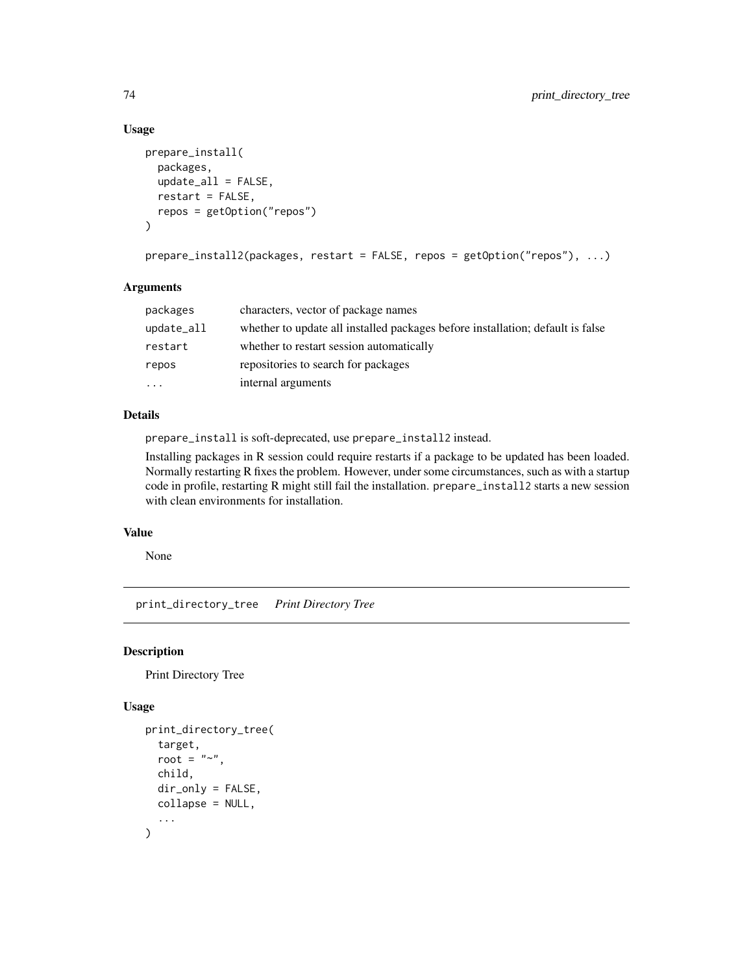#### Usage

```
prepare_install(
 packages,
  update_all = FALSE,
  restart = FALSE,
  repos = getOption("repos")
)
```

```
prepare_install2(packages, restart = FALSE, repos = getOption("repos"), ...)
```
#### Arguments

| packages      | characters, vector of package names                                            |
|---------------|--------------------------------------------------------------------------------|
| $update_a$ ll | whether to update all installed packages before installation; default is false |
| restart       | whether to restart session automatically                                       |
| repos         | repositories to search for packages                                            |
| .             | internal arguments                                                             |

#### Details

prepare\_install is soft-deprecated, use prepare\_install2 instead.

Installing packages in R session could require restarts if a package to be updated has been loaded. Normally restarting R fixes the problem. However, under some circumstances, such as with a startup code in profile, restarting R might still fail the installation. prepare\_install2 starts a new session with clean environments for installation.

#### Value

None

print\_directory\_tree *Print Directory Tree*

#### Description

Print Directory Tree

# Usage

```
print_directory_tree(
  target,
  root = "~~".
  child,
  dir_only = FALSE,
 collapse = NULL,
  ...
)
```
<span id="page-73-0"></span>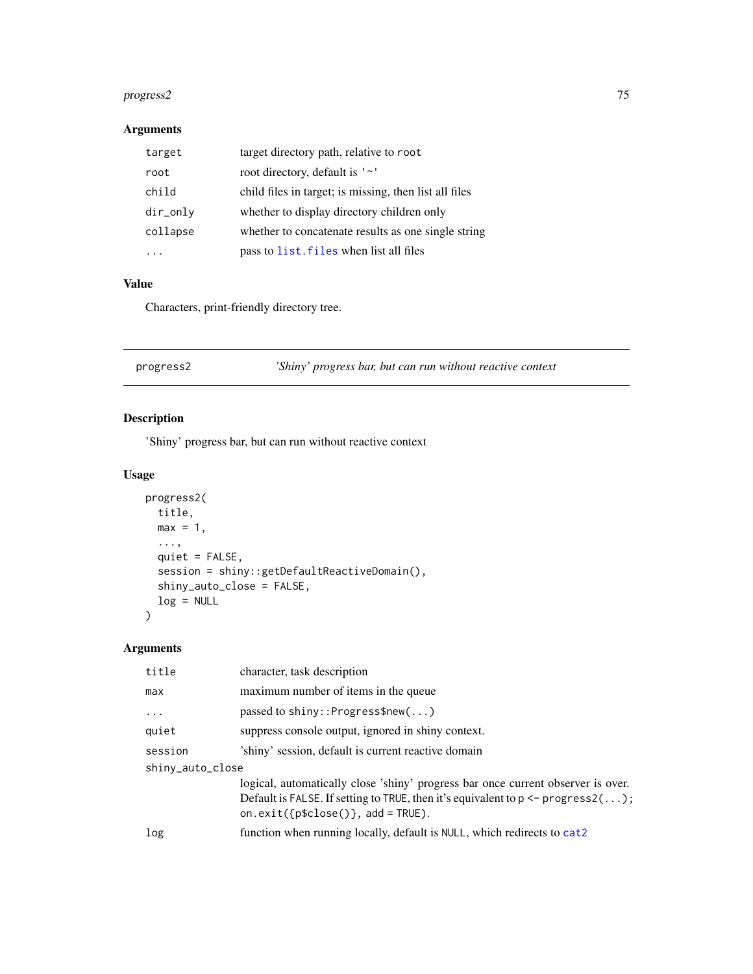#### <span id="page-74-0"></span>progress2 75

# Arguments

| target   | target directory path, relative to root                |
|----------|--------------------------------------------------------|
| root     | root directory, default is '~'                         |
| child    | child files in target; is missing, then list all files |
| dir_only | whether to display directory children only             |
| collapse | whether to concatenate results as one single string    |
|          | pass to list. files when list all files                |

# Value

Characters, print-friendly directory tree.

| 'Shiny' progress bar, but can run without reactive context<br>progress2 |  |
|-------------------------------------------------------------------------|--|
|-------------------------------------------------------------------------|--|

# Description

'Shiny' progress bar, but can run without reactive context

# Usage

```
progress2(
  title,
  max = 1,
  ...,
  quiet = FALSE,
  session = shiny::getDefaultReactiveDomain(),
  shiny_auto_close = FALSE,
  log = NULL
\mathcal{L}
```
# Arguments

| title            | character, task description                                                                                                                                                                                                       |
|------------------|-----------------------------------------------------------------------------------------------------------------------------------------------------------------------------------------------------------------------------------|
| max              | maximum number of items in the queue                                                                                                                                                                                              |
| $\cdot$          | passed to shiny:: $Program()$                                                                                                                                                                                                     |
| quiet            | suppress console output, ignored in shiny context.                                                                                                                                                                                |
| session          | 'shiny' session, default is current reactive domain                                                                                                                                                                               |
| shiny_auto_close |                                                                                                                                                                                                                                   |
|                  | logical, automatically close 'shiny' progress bar once current observer is over.<br>Default is FALSE. If setting to TRUE, then it's equivalent to $p \leq -p \text{ regress2}(\dots)$ ;<br>on.exit( ${p$ \$close()}, add = TRUE). |
| log              | function when running locally, default is NULL, which redirects to cat2                                                                                                                                                           |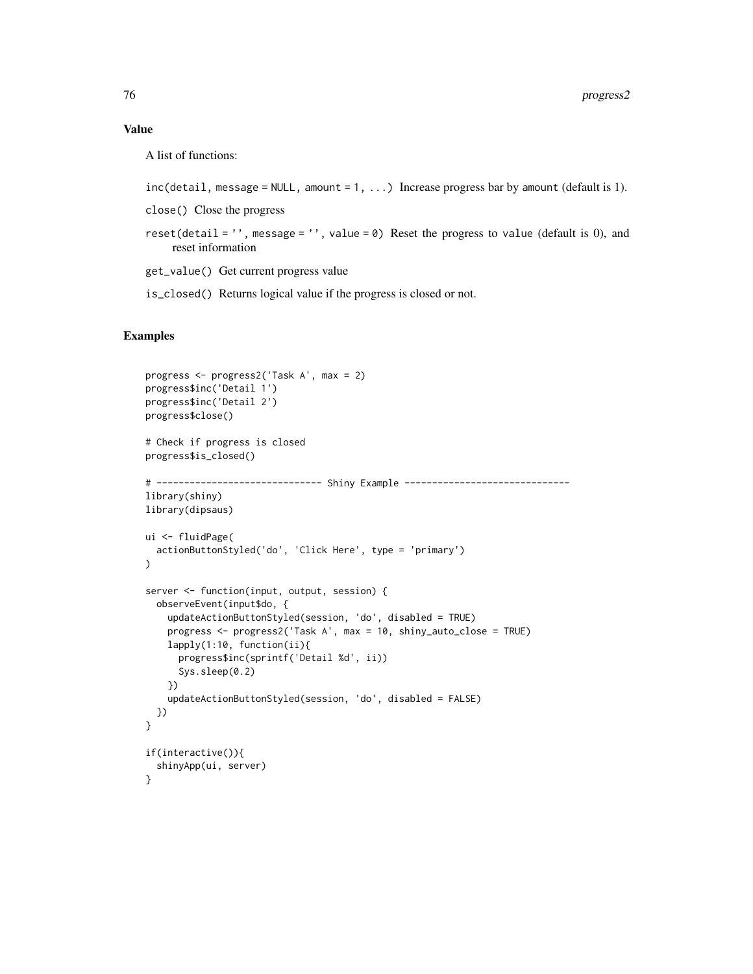# Value

A list of functions:

```
inc(detail, message = NULL, amount = 1, ...) Increase progress bar by amount (default is 1).
```
close() Close the progress

```
reset(detail = ', message = ', value = \theta) Reset the progress to value (default is 0), and
    reset information
```
get\_value() Get current progress value

is\_closed() Returns logical value if the progress is closed or not.

```
progress <- progress2('Task A', max = 2)
progress$inc('Detail 1')
progress$inc('Detail 2')
progress$close()
# Check if progress is closed
progress$is_closed()
# ------------------------------ Shiny Example ------------------------------
library(shiny)
library(dipsaus)
ui <- fluidPage(
  actionButtonStyled('do', 'Click Here', type = 'primary')
)
server <- function(input, output, session) {
  observeEvent(input$do, {
    updateActionButtonStyled(session, 'do', disabled = TRUE)
   progress <- progress2('Task A', max = 10, shiny_auto_close = TRUE)
   lapply(1:10, function(ii){
     progress$inc(sprintf('Detail %d', ii))
      Sys.sleep(0.2)
   })
    updateActionButtonStyled(session, 'do', disabled = FALSE)
  })
}
if(interactive()){
  shinyApp(ui, server)
}
```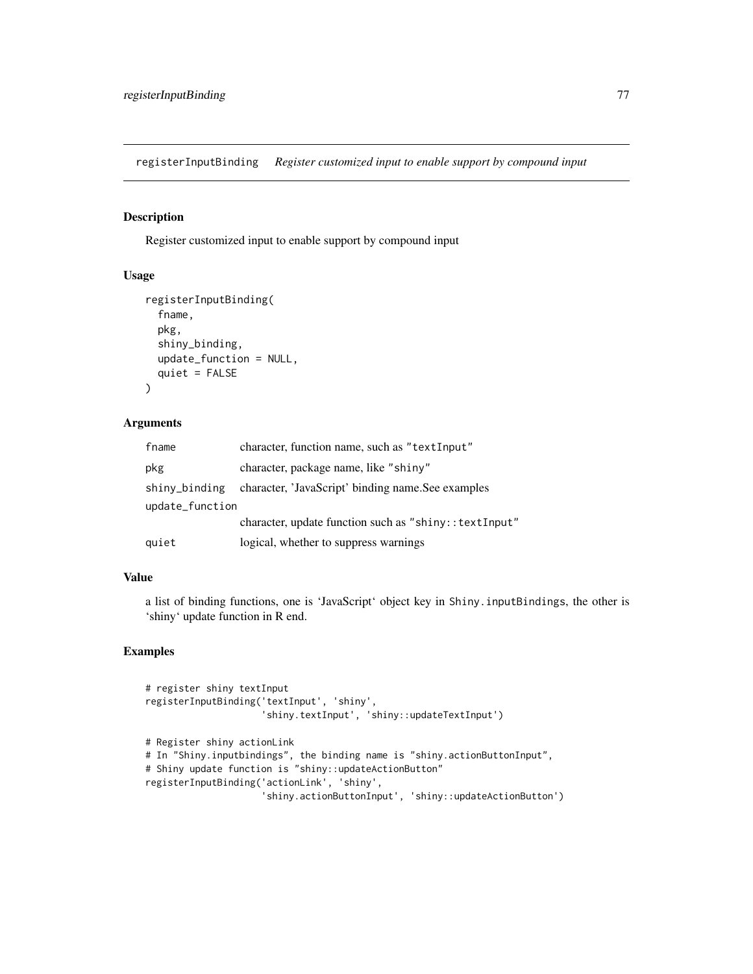<span id="page-76-0"></span>registerInputBinding *Register customized input to enable support by compound input*

# **Description**

Register customized input to enable support by compound input

#### Usage

```
registerInputBinding(
  fname,
  pkg,
  shiny_binding,
  update_function = NULL,
  quiet = FALSE
\mathcal{L}
```
#### Arguments

| fname           | character, function name, such as "textInput"          |  |
|-----------------|--------------------------------------------------------|--|
| pkg             | character, package name, like "shiny"                  |  |
| shiny_binding   | character, 'JavaScript' binding name. See examples     |  |
| update_function |                                                        |  |
|                 | character, update function such as "shiny:: textInput" |  |
| quiet           | logical, whether to suppress warnings                  |  |

#### Value

a list of binding functions, one is 'JavaScript' object key in Shiny.inputBindings, the other is 'shiny' update function in R end.

```
# register shiny textInput
registerInputBinding('textInput', 'shiny',
                     'shiny.textInput', 'shiny::updateTextInput')
# Register shiny actionLink
# In "Shiny.inputbindings", the binding name is "shiny.actionButtonInput",
# Shiny update function is "shiny::updateActionButton"
registerInputBinding('actionLink', 'shiny',
                     'shiny.actionButtonInput', 'shiny::updateActionButton')
```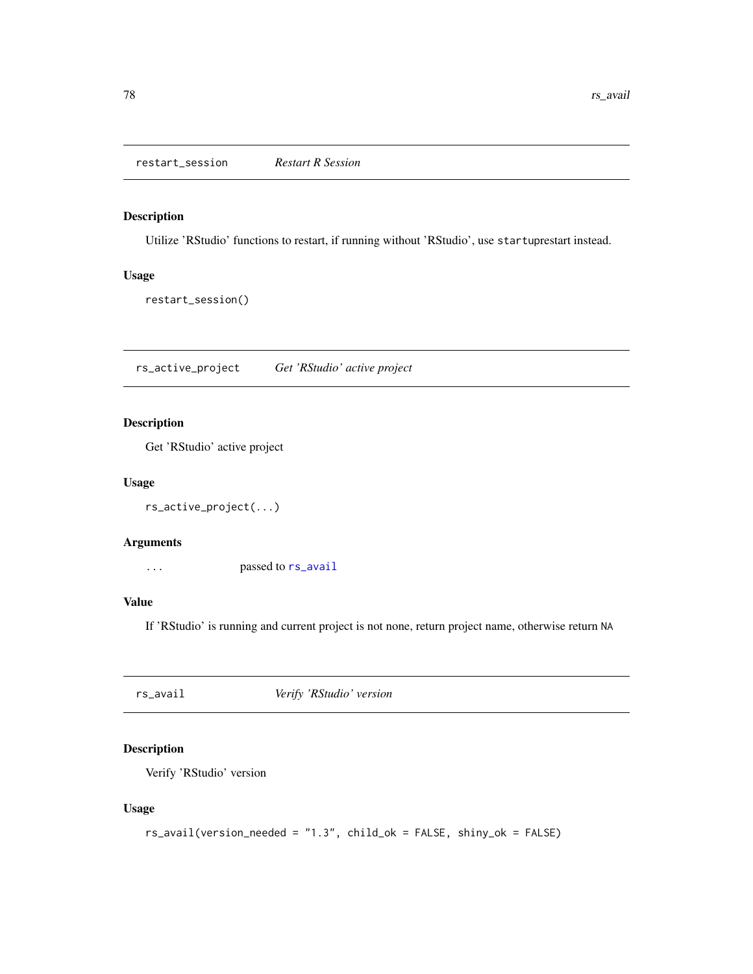<span id="page-77-1"></span>restart\_session *Restart R Session*

# Description

Utilize 'RStudio' functions to restart, if running without 'RStudio', use startuprestart instead.

#### Usage

restart\_session()

rs\_active\_project *Get 'RStudio' active project*

# Description

Get 'RStudio' active project

#### Usage

```
rs_active_project(...)
```
#### Arguments

... passed to [rs\\_avail](#page-77-0)

# Value

If 'RStudio' is running and current project is not none, return project name, otherwise return NA

<span id="page-77-0"></span>rs\_avail *Verify 'RStudio' version*

# Description

Verify 'RStudio' version

#### Usage

```
rs_avail(version_needed = "1.3", child_ok = FALSE, shiny_ok = FALSE)
```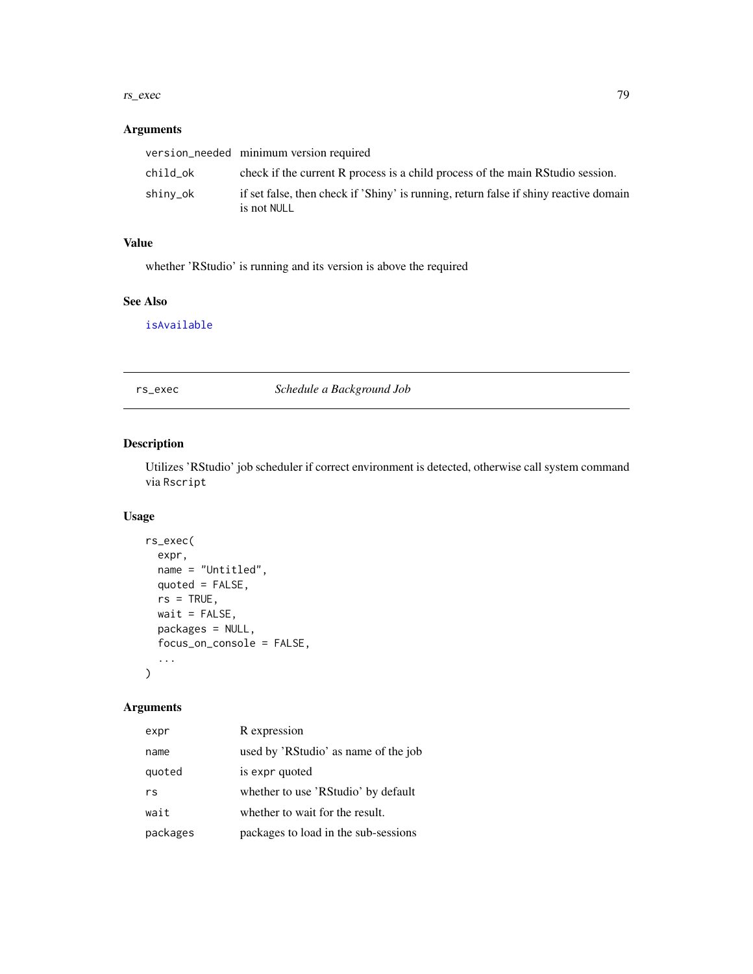#### <span id="page-78-0"></span>rs\_exec 79

#### Arguments

|          | version_needed minimum version required                                                              |
|----------|------------------------------------------------------------------------------------------------------|
| child ok | check if the current R process is a child process of the main RStudio session.                       |
| shiny_ok | if set false, then check if 'Shiny' is running, return false if shiny reactive domain<br>is not NULL |

# Value

whether 'RStudio' is running and its version is above the required

#### See Also

[isAvailable](#page-0-0)

rs\_exec *Schedule a Background Job*

# Description

Utilizes 'RStudio' job scheduler if correct environment is detected, otherwise call system command via Rscript

# Usage

```
rs_exec(
  expr,
 name = "Untitled",
 quoted = FALSE,rs = TRUE,wait = FALSE,packages = NULL,
 focus_on_console = FALSE,
  ...
\mathcal{L}
```
# Arguments

| expr     | R expression                         |
|----------|--------------------------------------|
| name     | used by 'RStudio' as name of the job |
| quoted   | is expr quoted                       |
| rs       | whether to use 'RStudio' by default  |
| wait     | whether to wait for the result.      |
| packages | packages to load in the sub-sessions |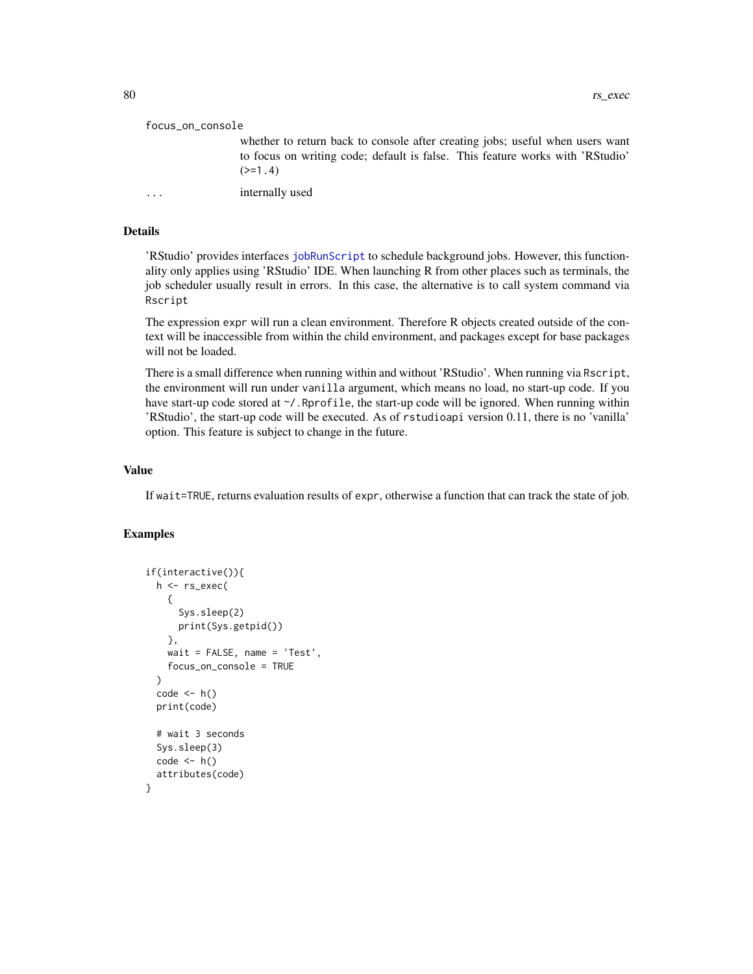#### <span id="page-79-0"></span>focus\_on\_console

whether to return back to console after creating jobs; useful when users want to focus on writing code; default is false. This feature works with 'RStudio'  $(>=1.4)$ 

... internally used

# Details

'RStudio' provides interfaces [jobRunScript](#page-0-0) to schedule background jobs. However, this functionality only applies using 'RStudio' IDE. When launching R from other places such as terminals, the job scheduler usually result in errors. In this case, the alternative is to call system command via Rscript

The expression expr will run a clean environment. Therefore R objects created outside of the context will be inaccessible from within the child environment, and packages except for base packages will not be loaded.

There is a small difference when running within and without 'RStudio'. When running via Rscript, the environment will run under vanilla argument, which means no load, no start-up code. If you have start-up code stored at  $\gamma$ . Rprofile, the start-up code will be ignored. When running within 'RStudio', the start-up code will be executed. As of rstudioapi version 0.11, there is no 'vanilla' option. This feature is subject to change in the future.

#### Value

If wait=TRUE, returns evaluation results of expr, otherwise a function that can track the state of job.

```
if(interactive()){
  h <- rs_exec(
    {
      Sys.sleep(2)
      print(Sys.getpid())
    },
    wait = FALSE, name = 'Test',
    focus_on_console = TRUE
  \lambdacode \leftarrow h()print(code)
  # wait 3 seconds
  Sys.sleep(3)
  code < - h()attributes(code)
}
```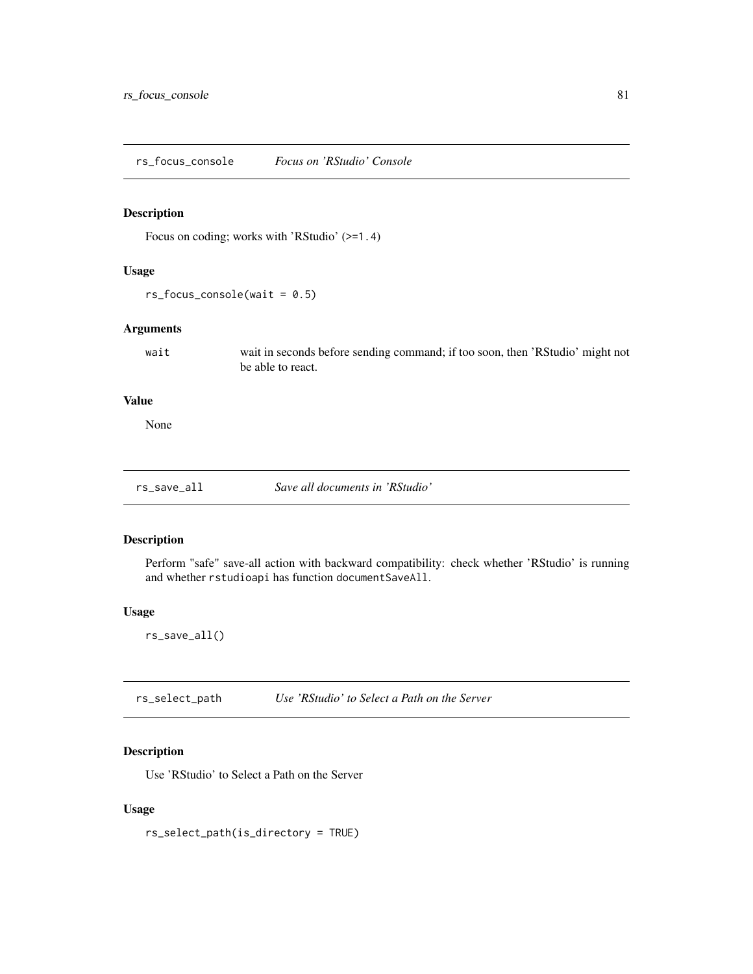<span id="page-80-0"></span>rs\_focus\_console *Focus on 'RStudio' Console*

#### Description

Focus on coding; works with 'RStudio' (>=1.4)

# Usage

 $rs_focus\_cosole(wait = 0.5)$ 

#### Arguments

wait wait in seconds before sending command; if too soon, then 'RStudio' might not be able to react.

# Value

None

# Description

Perform "safe" save-all action with backward compatibility: check whether 'RStudio' is running and whether rstudioapi has function documentSaveAll.

#### Usage

rs\_save\_all()

rs\_select\_path *Use 'RStudio' to Select a Path on the Server*

# Description

Use 'RStudio' to Select a Path on the Server

#### Usage

rs\_select\_path(is\_directory = TRUE)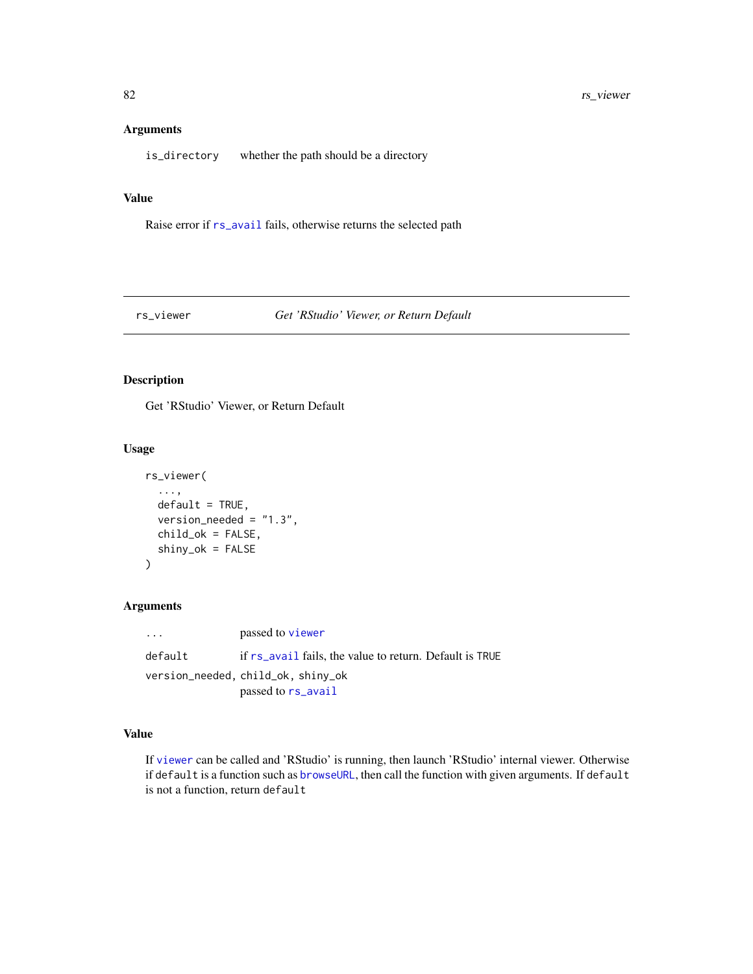#### <span id="page-81-0"></span>Arguments

is\_directory whether the path should be a directory

#### Value

Raise error if [rs\\_avail](#page-77-0) fails, otherwise returns the selected path

# rs\_viewer *Get 'RStudio' Viewer, or Return Default*

# Description

Get 'RStudio' Viewer, or Return Default

#### Usage

```
rs_viewer(
  ...,
  default = TRUE,version_needed = "1.3",
  child_ok = FALSE,
  shiny_ok = FALSE
\mathcal{L}
```
#### Arguments

... passed to [viewer](#page-0-0) default if [rs\\_avail](#page-77-0) fails, the value to return. Default is TRUE version\_needed, child\_ok, shiny\_ok passed to [rs\\_avail](#page-77-0)

#### Value

If [viewer](#page-0-0) can be called and 'RStudio' is running, then launch 'RStudio' internal viewer. Otherwise if default is a function such as [browseURL](#page-0-0), then call the function with given arguments. If default is not a function, return default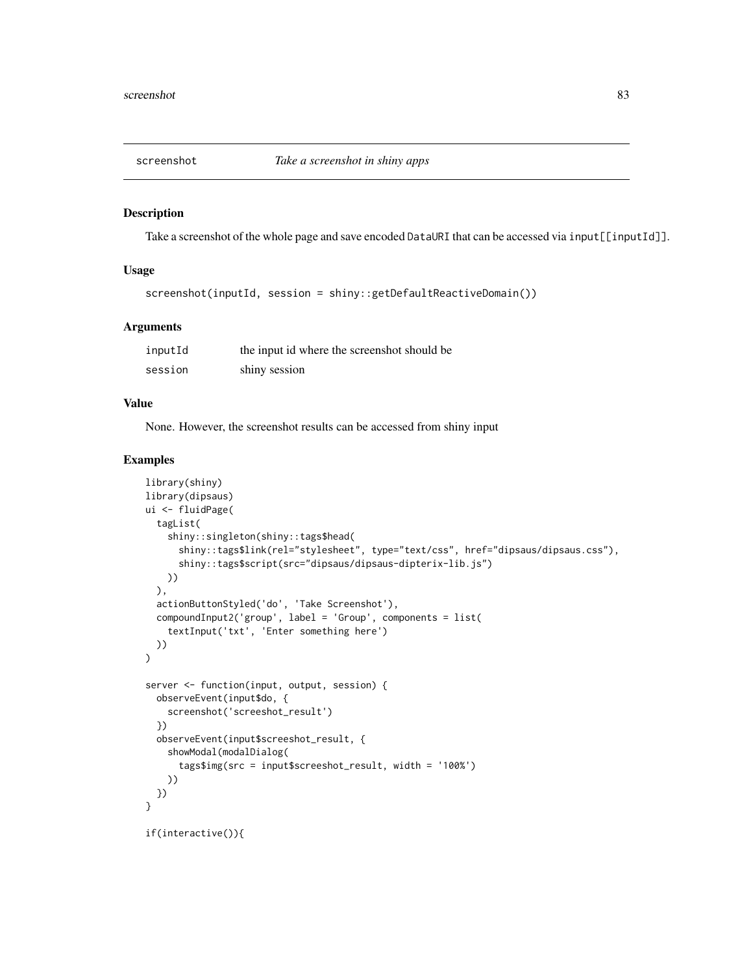<span id="page-82-0"></span>

#### Description

Take a screenshot of the whole page and save encoded DataURI that can be accessed via input[[inputId]].

# Usage

```
screenshot(inputId, session = shiny::getDefaultReactiveDomain())
```
#### Arguments

| inputId | the input id where the screenshot should be |
|---------|---------------------------------------------|
| session | shiny session                               |

#### Value

None. However, the screenshot results can be accessed from shiny input

#### Examples

```
library(shiny)
library(dipsaus)
ui <- fluidPage(
  tagList(
    shiny::singleton(shiny::tags$head(
      shiny::tags$link(rel="stylesheet", type="text/css", href="dipsaus/dipsaus.css"),
      shiny::tags$script(src="dipsaus/dipsaus-dipterix-lib.js")
   ))
  ),
  actionButtonStyled('do', 'Take Screenshot'),
  compoundInput2('group', label = 'Group', components = list(
    textInput('txt', 'Enter something here')
  ))
\overline{)}server <- function(input, output, session) {
  observeEvent(input$do, {
    screenshot('screeshot_result')
  })
  observeEvent(input$screeshot_result, {
    showModal(modalDialog(
      tags$img(src = input$screeshot_result, width = '100%')
    ))
 })
}
```
if(interactive()){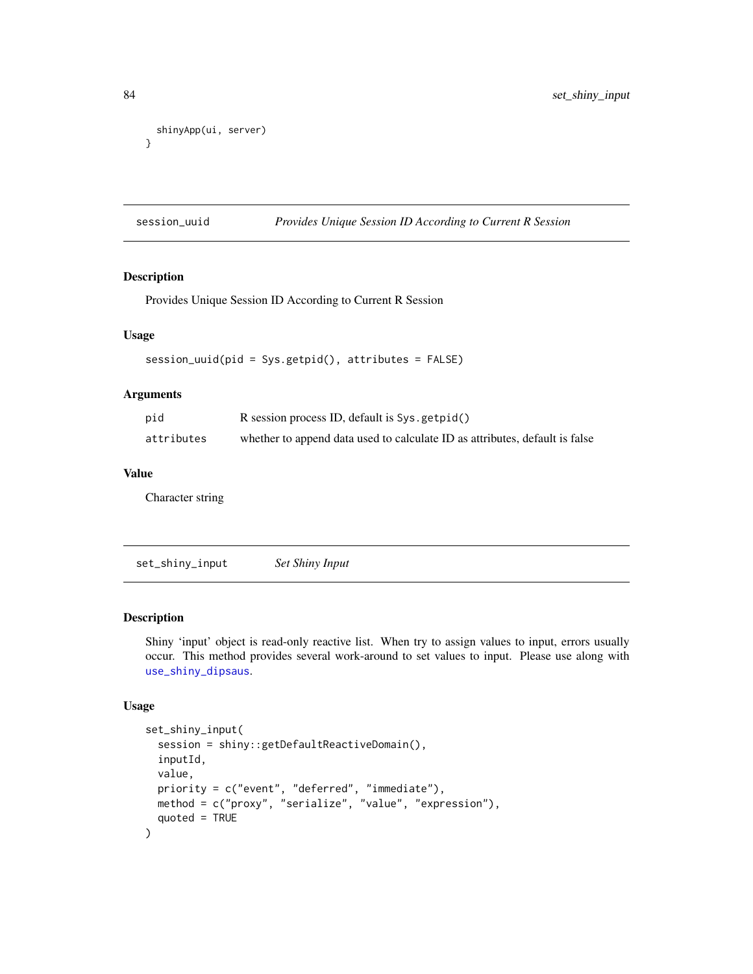```
shinyApp(ui, server)
}
```
session\_uuid *Provides Unique Session ID According to Current R Session*

# Description

Provides Unique Session ID According to Current R Session

#### Usage

session\_uuid(pid = Sys.getpid(), attributes = FALSE)

#### Arguments

| pid        | R session process ID, default is Sys.getpid()                               |
|------------|-----------------------------------------------------------------------------|
| attributes | whether to append data used to calculate ID as attributes, default is false |

#### Value

Character string

set\_shiny\_input *Set Shiny Input*

#### Description

Shiny 'input' object is read-only reactive list. When try to assign values to input, errors usually occur. This method provides several work-around to set values to input. Please use along with [use\\_shiny\\_dipsaus](#page-100-0).

# Usage

```
set_shiny_input(
  session = shiny::getDefaultReactiveDomain(),
  inputId,
 value,
 priority = c("event", "deferred", "immediate"),
 method = c("proxy", "serialize", "value", "expression"),
  quoted = TRUE
\mathcal{E}
```
<span id="page-83-0"></span>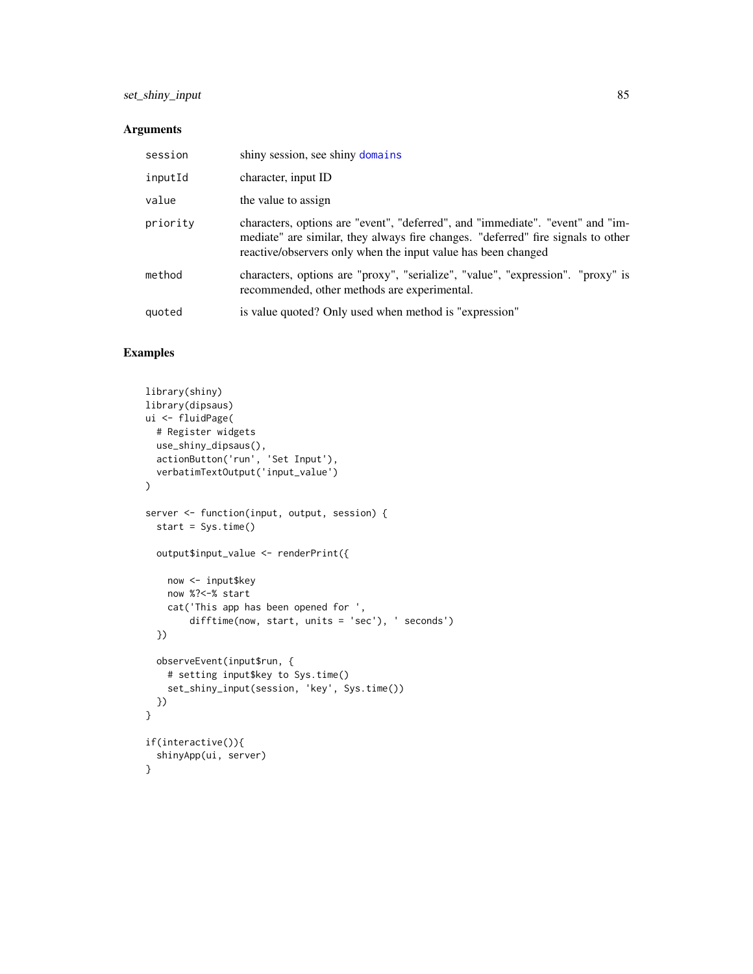# <span id="page-84-0"></span>set\_shiny\_input 85

#### Arguments

| session  | shiny session, see shiny domains                                                                                                                                                                                                    |
|----------|-------------------------------------------------------------------------------------------------------------------------------------------------------------------------------------------------------------------------------------|
| inputId  | character, input ID                                                                                                                                                                                                                 |
| value    | the value to assign                                                                                                                                                                                                                 |
| priority | characters, options are "event", "deferred", and "immediate". "event" and "im-<br>mediate" are similar, they always fire changes. "deferred" fire signals to other<br>reactive/observers only when the input value has been changed |
| method   | characters, options are "proxy", "serialize", "value", "expression". "proxy" is<br>recommended, other methods are experimental.                                                                                                     |
| quoted   | is value quoted? Only used when method is "expression"                                                                                                                                                                              |

```
library(shiny)
library(dipsaus)
ui <- fluidPage(
  # Register widgets
  use_shiny_dipsaus(),
  actionButton('run', 'Set Input'),
  verbatimTextOutput('input_value')
\mathcal{L}server <- function(input, output, session) {
  start = Sys.time()
  output$input_value <- renderPrint({
    now <- input$key
    now %?<-% start
    cat('This app has been opened for ',
        difftime(now, start, units = 'sec'), ' seconds')
  })
  observeEvent(input$run, {
    # setting input$key to Sys.time()
    set_shiny_input(session, 'key', Sys.time())
  })
}
if(interactive()){
  shinyApp(ui, server)
}
```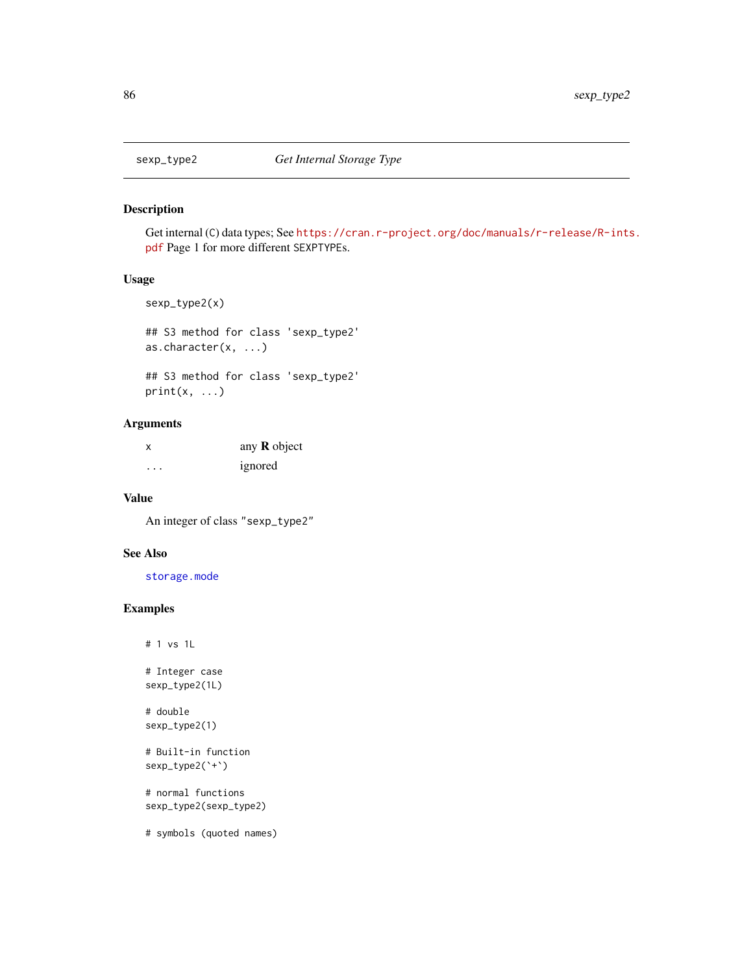<span id="page-85-0"></span>

#### Description

Get internal (C) data types; See [https://cran.r-project.org/doc/manuals/r-release/R-ints](https://cran.r-project.org/doc/manuals/r-release/R-ints.pdf). [pdf](https://cran.r-project.org/doc/manuals/r-release/R-ints.pdf) Page 1 for more different SEXPTYPEs.

#### Usage

```
sexp_type2(x)
```

```
## S3 method for class 'sexp_type2'
as.character(x, ...)
```

```
## S3 method for class 'sexp_type2'
print(x, \ldots)
```
# Arguments

| x | any $R$ object |
|---|----------------|
| . | ignored        |

#### Value

An integer of class "sexp\_type2"

# See Also

[storage.mode](#page-0-0)

# Examples

# 1 vs 1L

# Integer case sexp\_type2(1L)

# double sexp\_type2(1)

```
# Built-in function
sexp_type2(`+`)
```
# normal functions sexp\_type2(sexp\_type2)

# symbols (quoted names)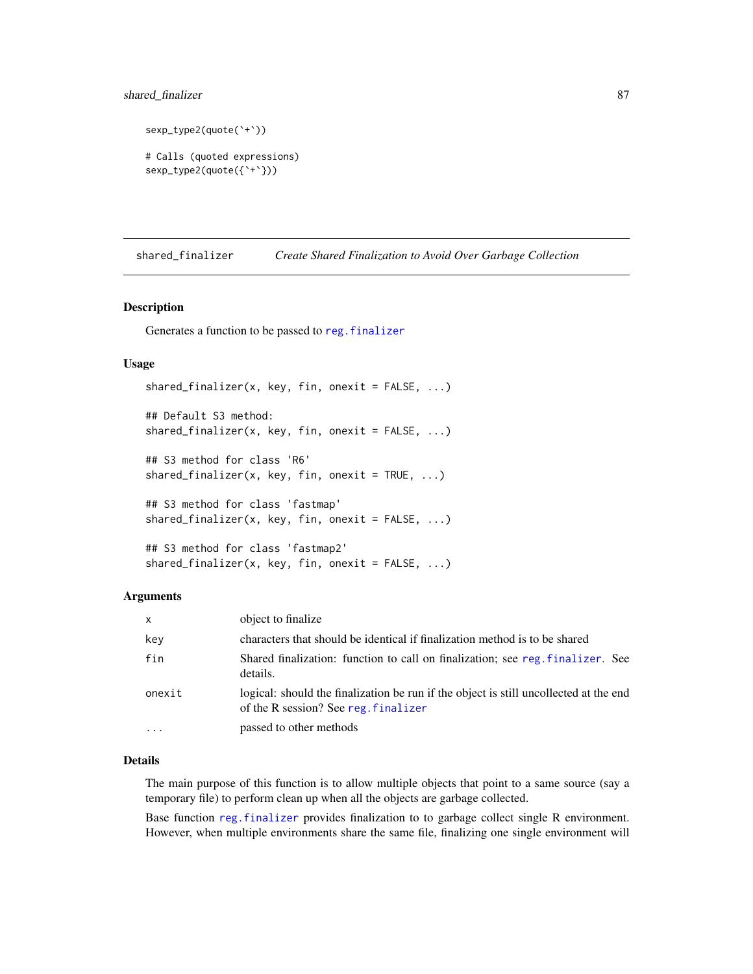# <span id="page-86-0"></span>shared\_finalizer 87

```
sexp_type2(quote(`+`))
# Calls (quoted expressions)
sexp_type2(quote({`+`}))
```
shared\_finalizer *Create Shared Finalization to Avoid Over Garbage Collection*

#### Description

Generates a function to be passed to [reg.finalizer](#page-0-0)

#### Usage

```
shared_finalizer(x, key, fin, onexit = FALSE, ...)
## Default S3 method:
shared_finalizer(x, key, fin, onexit = FALSE, ...)
## S3 method for class 'R6'
shared_finalizer(x, key, fin, onexit = TRUE, \ldots)
## S3 method for class 'fastmap'
shared_finalizer(x, key, fin, onexit = FALSE, ...)## S3 method for class 'fastmap2'
shared_finalizer(x, key, fin, onexit = FALSE, ...)
```
#### Arguments

| $\mathsf{x}$ | object to finalize                                                                                                            |
|--------------|-------------------------------------------------------------------------------------------------------------------------------|
| key          | characters that should be identical if finalization method is to be shared                                                    |
| fin          | Shared finalization: function to call on finalization; see reg. finalizer. See<br>details.                                    |
| onexit       | logical: should the finalization be run if the object is still uncollected at the end<br>of the R session? See reg. finalizer |
| $\ddotsc$    | passed to other methods                                                                                                       |

#### Details

The main purpose of this function is to allow multiple objects that point to a same source (say a temporary file) to perform clean up when all the objects are garbage collected.

Base function [reg.finalizer](#page-0-0) provides finalization to to garbage collect single R environment. However, when multiple environments share the same file, finalizing one single environment will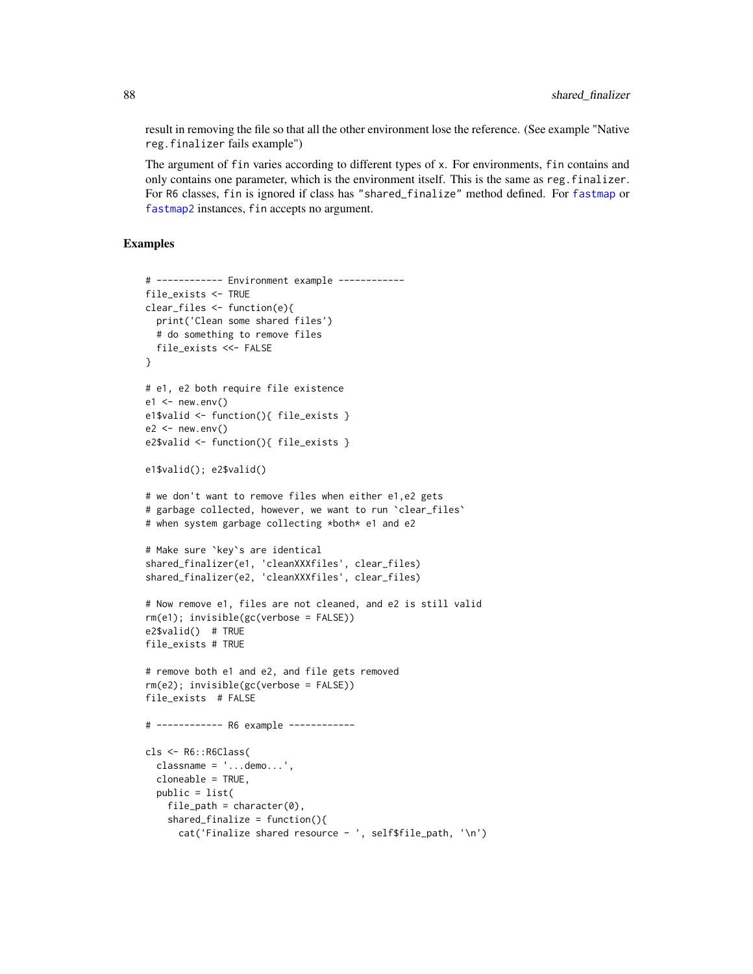result in removing the file so that all the other environment lose the reference. (See example "Native reg.finalizer fails example")

The argument of fin varies according to different types of x. For environments, fin contains and only contains one parameter, which is the environment itself. This is the same as reg.finalizer. For R6 classes, fin is ignored if class has "shared\_finalize" method defined. For [fastmap](#page-0-0) or [fastmap2](#page-35-0) instances, fin accepts no argument.

```
# ------------ Environment example ------------
file_exists <- TRUE
clear_files <- function(e){
 print('Clean some shared files')
  # do something to remove files
 file_exists <<- FALSE
}
# e1, e2 both require file existence
e1 \le - new.env()
e1$valid <- function(){ file_exists }
e2 < - new.env()
e2$valid <- function(){ file_exists }
e1$valid(); e2$valid()
# we don't want to remove files when either e1,e2 gets
# garbage collected, however, we want to run `clear_files`
# when system garbage collecting *both* e1 and e2
# Make sure `key`s are identical
shared_finalizer(e1, 'cleanXXXfiles', clear_files)
shared_finalizer(e2, 'cleanXXXfiles', clear_files)
# Now remove e1, files are not cleaned, and e2 is still valid
rm(e1); invisible(gc(verbose = FALSE))
e2$valid() # TRUE
file_exists # TRUE
# remove both e1 and e2, and file gets removed
rm(e2); invisible(gc(verbose = FALSE))
file_exists # FALSE
# ------------ R6 example ------------
cls <- R6::R6Class(
  classname = '...demo...',
  cloneable = TRUE,
  public = list(
    file_path = character(0),
    shared_finalize = function()cat('Finalize shared resource - ', self$file_path, '\n')
```
<span id="page-87-0"></span>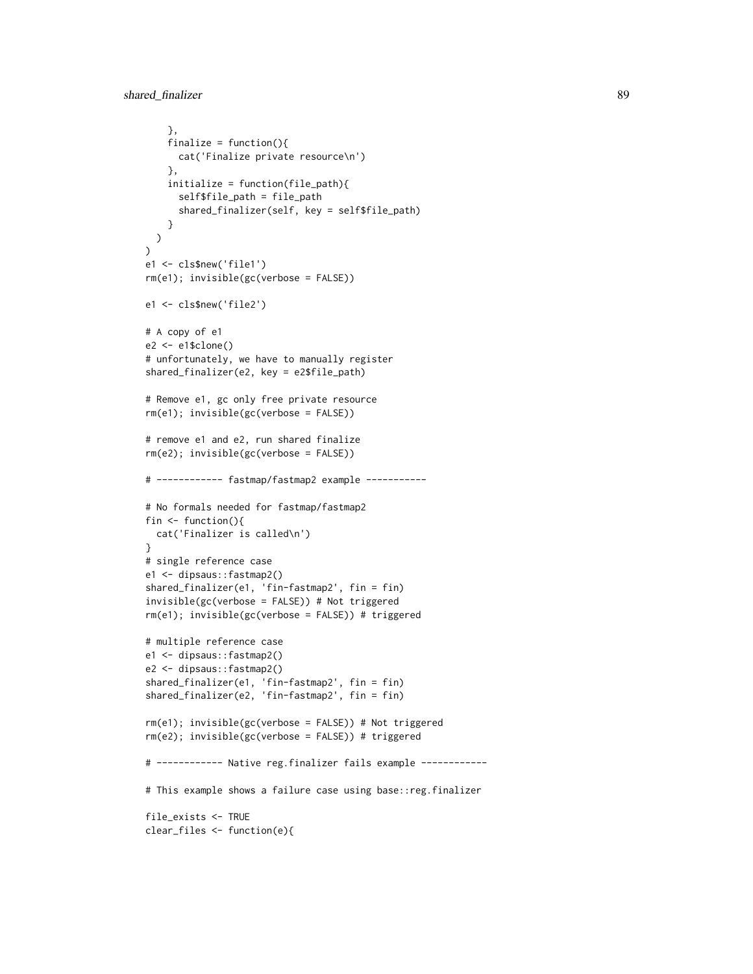```
},
    finalize = function()cat('Finalize private resource\n')
    },
    initialize = function(file_path){
      self$file_path = file_path
      shared_finalizer(self, key = self$file_path)
   }
  \lambda\lambdae1 <- cls$new('file1')
rm(e1); invisible(gc(verbose = FALSE))
e1 <- cls$new('file2')
# A copy of e1
e2 <- e1$clone()
# unfortunately, we have to manually register
shared_finalizer(e2, key = e2$file_path)
# Remove e1, gc only free private resource
rm(e1); invisible(gc(verbose = FALSE))
# remove e1 and e2, run shared finalize
rm(e2); invisible(gc(verbose = FALSE))
# ------------ fastmap/fastmap2 example -----------
# No formals needed for fastmap/fastmap2
fin <- function(){
 cat('Finalizer is called\n')
}
# single reference case
e1 <- dipsaus::fastmap2()
shared_finalizer(e1, 'fin-fastmap2', fin = fin)
invisible(gc(verbose = FALSE)) # Not triggered
rm(e1); invisible(gc(verbose = FALSE)) # triggered
# multiple reference case
e1 <- dipsaus::fastmap2()
e2 <- dipsaus::fastmap2()
shared_finalizer(e1, 'fin-fastmap2', fin = fin)
shared_finalizer(e2, 'fin-fastmap2', fin = fin)
rm(e1); invisible(gc(verbose = FALSE)) # Not triggered
rm(e2); invisible(gc(verbose = FALSE)) # triggered
# ------------ Native reg.finalizer fails example ------------
# This example shows a failure case using base::reg.finalizer
file_exists <- TRUE
clear_files <- function(e){
```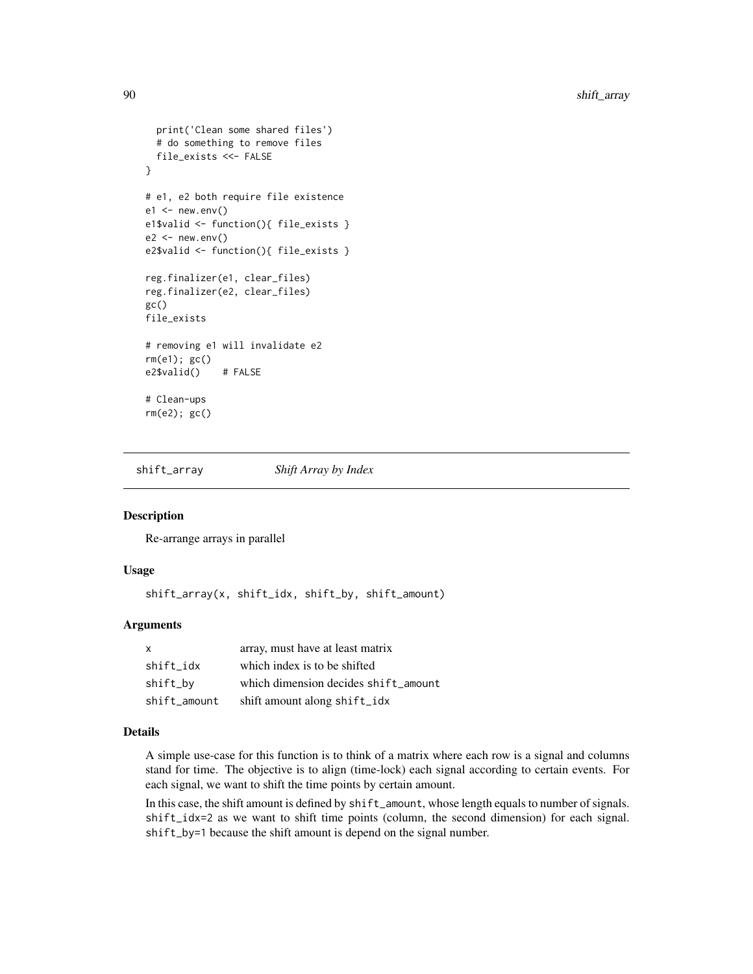```
print('Clean some shared files')
 # do something to remove files
 file_exists <<- FALSE
}
# e1, e2 both require file existence
e1 \le - new.env()
e1$valid <- function(){ file_exists }
e2 < - new.env()
e2$valid <- function(){ file_exists }
reg.finalizer(e1, clear_files)
reg.finalizer(e2, clear_files)
gc()file_exists
# removing e1 will invalidate e2
rm(e1); gc()
e2$valid() # FALSE
# Clean-ups
rm(e2); gc()
```
shift\_array *Shift Array by Index*

#### Description

Re-arrange arrays in parallel

#### Usage

shift\_array(x, shift\_idx, shift\_by, shift\_amount)

#### Arguments

| X            | array, must have at least matrix     |
|--------------|--------------------------------------|
| shift_idx    | which index is to be shifted         |
| shift_by     | which dimension decides shift amount |
| shift amount | shift amount along shift_idx         |

#### Details

A simple use-case for this function is to think of a matrix where each row is a signal and columns stand for time. The objective is to align (time-lock) each signal according to certain events. For each signal, we want to shift the time points by certain amount.

In this case, the shift amount is defined by shift\_amount, whose length equals to number of signals. shift\_idx=2 as we want to shift time points (column, the second dimension) for each signal. shift\_by=1 because the shift amount is depend on the signal number.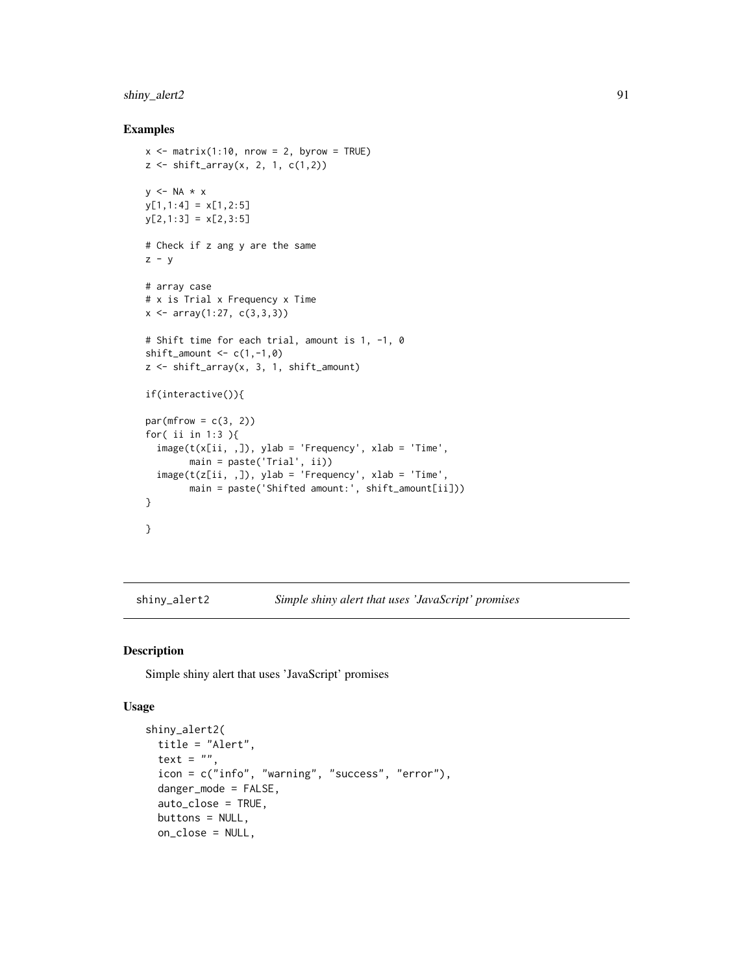# <span id="page-90-0"></span>shiny\_alert2 91

#### Examples

```
x \le - matrix(1:10, nrow = 2, byrow = TRUE)
z \le shift_array(x, 2, 1, c(1,2))
y \le -NA \times xy[1,1:4] = x[1,2:5]y[2,1:3] = x[2,3:5]# Check if z ang y are the same
z - y# array case
# x is Trial x Frequency x Time
x \le -\arctan(1:27, c(3,3,3))# Shift time for each trial, amount is 1, -1, 0
shift_amount \leq c(1, -1, 0)z <- shift_array(x, 3, 1, shift_amount)
if(interactive()){
par(mfrow = c(3, 2))for( ii in 1:3 ){
  image(t(x[ii, 1), ylab = 'Frequency', xlab = 'Time',main = paste('Trial', ii))
  image(t(z[ii, ,]), ylab = 'Frequency', xlab = 'Time',
        main = paste('Shifted amount:', shift_amount[ii]))
}
}
```
shiny\_alert2 *Simple shiny alert that uses 'JavaScript' promises*

# Description

Simple shiny alert that uses 'JavaScript' promises

#### Usage

```
shiny_alert2(
  title = "Alert",
  text = ".
  icon = c("info", "warning", "success", "error"),
  danger_mode = FALSE,
  auto_close = TRUE,
 buttons = NULL,
 on_close = NULL,
```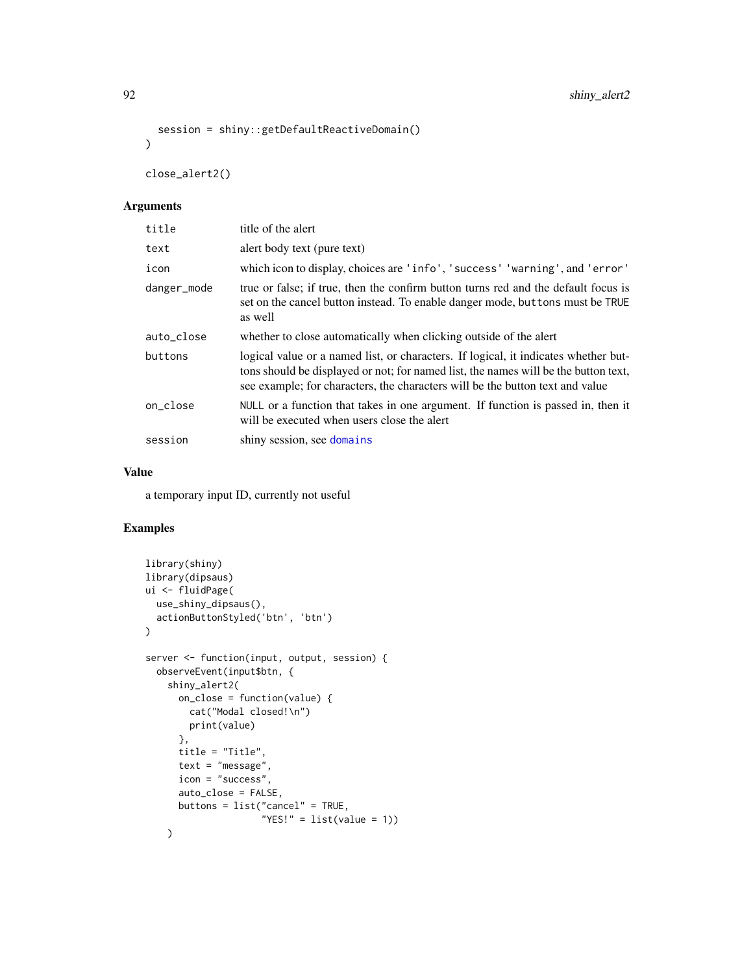```
92 shiny_alert2
```

```
session = shiny::getDefaultReactiveDomain()
\lambda
```
close\_alert2()

# Arguments

| title       | title of the alert                                                                                                                                                                                                                                          |
|-------------|-------------------------------------------------------------------------------------------------------------------------------------------------------------------------------------------------------------------------------------------------------------|
| text        | alert body text (pure text)                                                                                                                                                                                                                                 |
| icon        | which icon to display, choices are 'info', 'success' 'warning', and 'error'                                                                                                                                                                                 |
| danger_mode | true or false; if true, then the confirm button turns red and the default focus is<br>set on the cancel button instead. To enable danger mode, but tons must be TRUE<br>as well                                                                             |
| auto_close  | whether to close automatically when clicking outside of the alert                                                                                                                                                                                           |
| buttons     | logical value or a named list, or characters. If logical, it indicates whether but-<br>tons should be displayed or not; for named list, the names will be the button text,<br>see example; for characters, the characters will be the button text and value |
| on_close    | NULL or a function that takes in one argument. If function is passed in, then it<br>will be executed when users close the alert                                                                                                                             |
| session     | shiny session, see domains                                                                                                                                                                                                                                  |

# Value

a temporary input ID, currently not useful

```
library(shiny)
library(dipsaus)
ui <- fluidPage(
  use_shiny_dipsaus(),
  actionButtonStyled('btn', 'btn')
)
server <- function(input, output, session) {
  observeEvent(input$btn, {
    shiny_alert2(
      on_close = function(value) {
        cat("Modal closed!\n")
        print(value)
      },
      title = "Title",
      text = "message",
      icon = "success",
      auto_close = FALSE,
      buttons = list("cancel" = TRUE,
                     "YES!" = list(value = 1))\lambda
```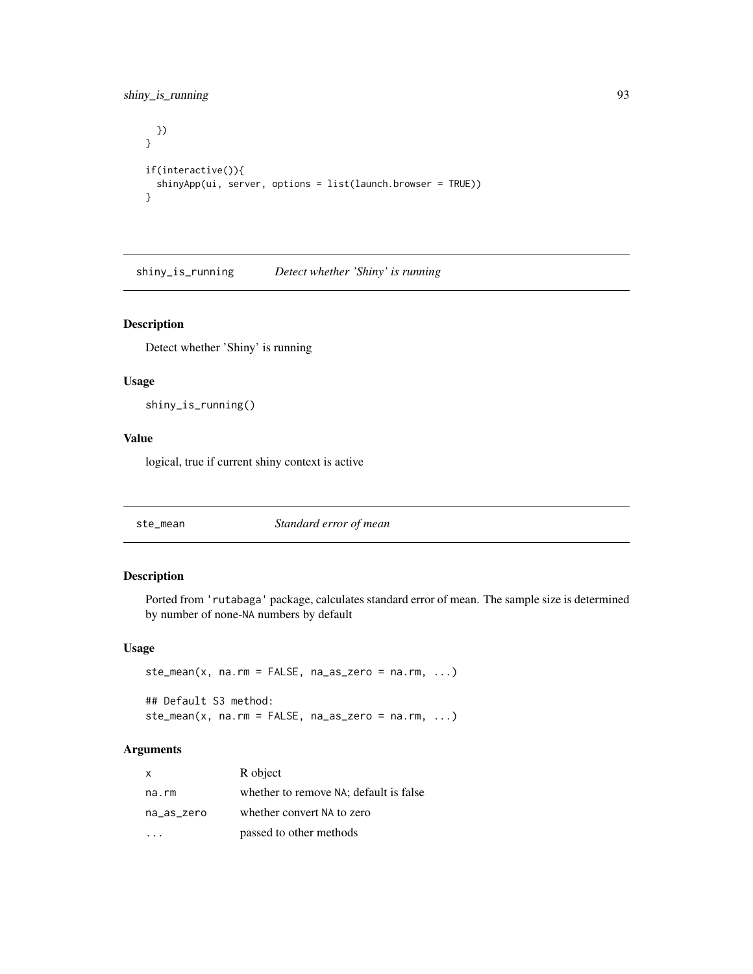# <span id="page-92-0"></span>shiny\_is\_running 93

```
})
}
if(interactive()){
  shinyApp(ui, server, options = list(launch.browser = TRUE))
}
```
shiny\_is\_running *Detect whether 'Shiny' is running*

# Description

Detect whether 'Shiny' is running

# Usage

shiny\_is\_running()

#### Value

logical, true if current shiny context is active

ste\_mean *Standard error of mean*

#### Description

Ported from 'rutabaga' package, calculates standard error of mean. The sample size is determined by number of none-NA numbers by default

#### Usage

```
ste_mean(x, na.rm = FALSE, na_as_zero = na.rm, \ldots)
## Default S3 method:
ste_mean(x, na.rm = FALSE, na_as\_zero = na.rm, ...)
```
#### Arguments

| X          | R object                               |
|------------|----------------------------------------|
| na.rm      | whether to remove NA; default is false |
| na_as_zero | whether convert NA to zero             |
|            | passed to other methods                |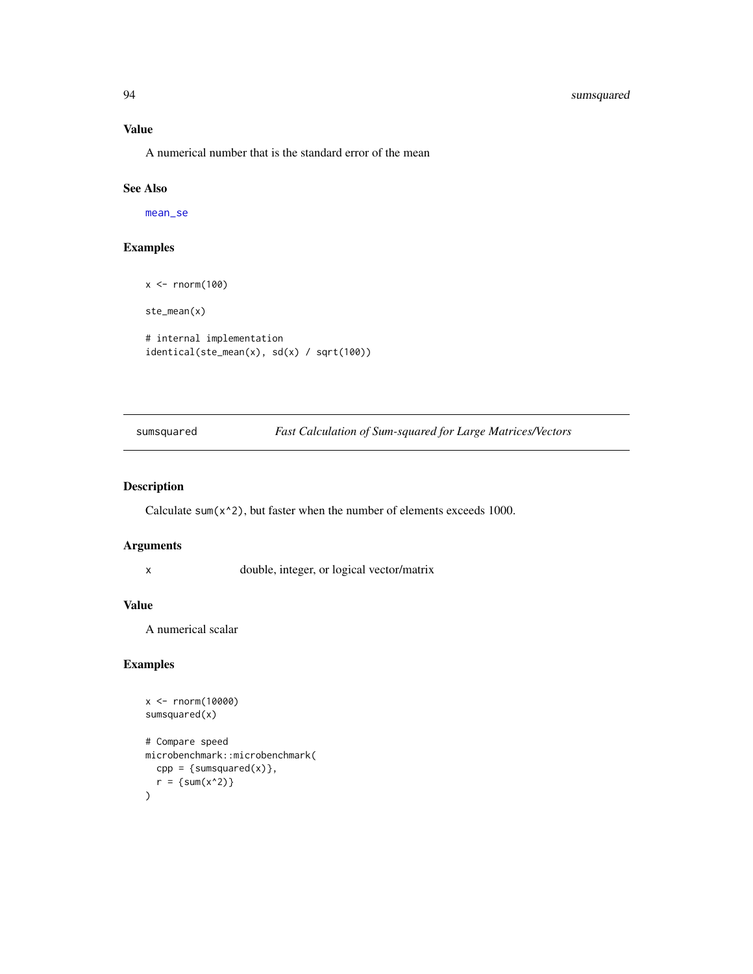# <span id="page-93-0"></span>94 sumsquared

# Value

A numerical number that is the standard error of the mean

#### See Also

[mean\\_se](#page-65-0)

# Examples

```
x <- rnorm(100)
ste_mean(x)
# internal implementation
identical(ste_mean(x), sd(x) / sqrt(100))
```
sumsquared *Fast Calculation of Sum-squared for Large Matrices/Vectors*

# Description

Calculate sum(x^2), but faster when the number of elements exceeds 1000.

#### Arguments

x double, integer, or logical vector/matrix

#### Value

A numerical scalar

```
x <- rnorm(10000)
sumsquared(x)
# Compare speed
microbenchmark::microbenchmark(
  cpp = {sum squared(x)}r = \{sum(x^2)\}\mathcal{L}
```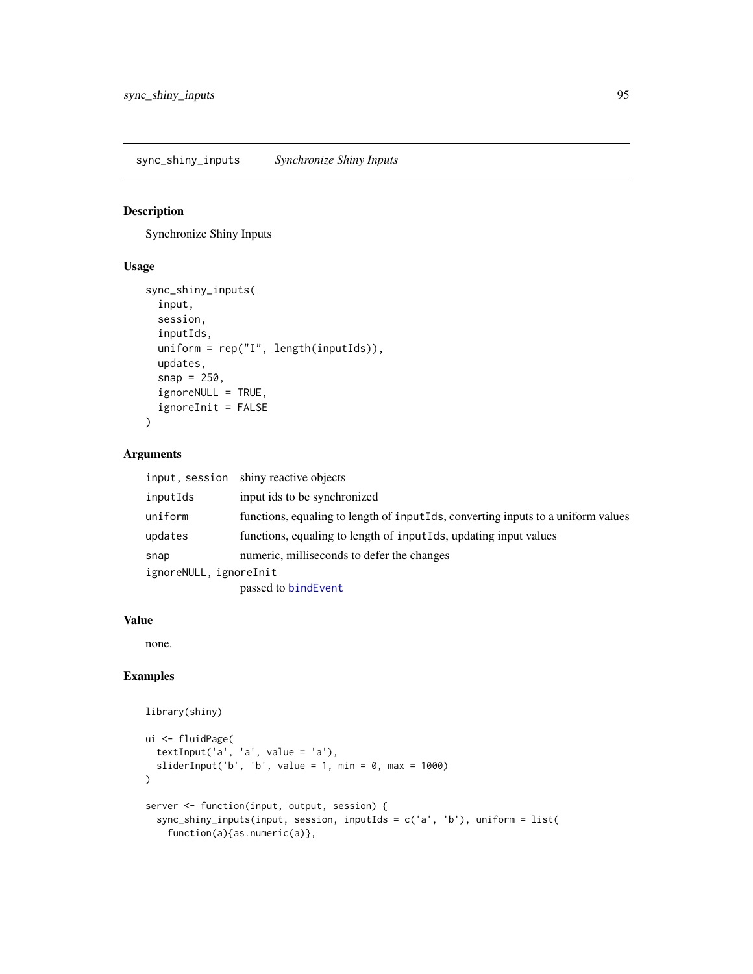<span id="page-94-0"></span>sync\_shiny\_inputs *Synchronize Shiny Inputs*

#### Description

Synchronize Shiny Inputs

# Usage

```
sync_shiny_inputs(
  input,
 session,
  inputIds,
  uniform = rep("I", length(inputIds)),
  updates,
  snap = 250,
  ignoreNULL = TRUE,
  ignoreInit = FALSE
)
```
# Arguments

| input, session         | shiny reactive objects                                                           |
|------------------------|----------------------------------------------------------------------------------|
| inputIds               | input ids to be synchronized                                                     |
| uniform                | functions, equaling to length of inputIds, converting inputs to a uniform values |
| updates                | functions, equaling to length of inputiles, updating input values                |
| snap                   | numeric, milliseconds to defer the changes                                       |
| ignoreNULL, ignoreInit |                                                                                  |
|                        | passed to bindEvent                                                              |

#### Value

none.

```
library(shiny)
```

```
ui <- fluidPage(
  textInput('a', 'a', value = 'a'),
 sliderInput('b', 'b', value = 1, min = 0, max = 1000)
)
server <- function(input, output, session) {
  sync_shiny_inputs(input, session, inputIds = c('a', 'b'), uniform = list(
   function(a){as.numeric(a)},
```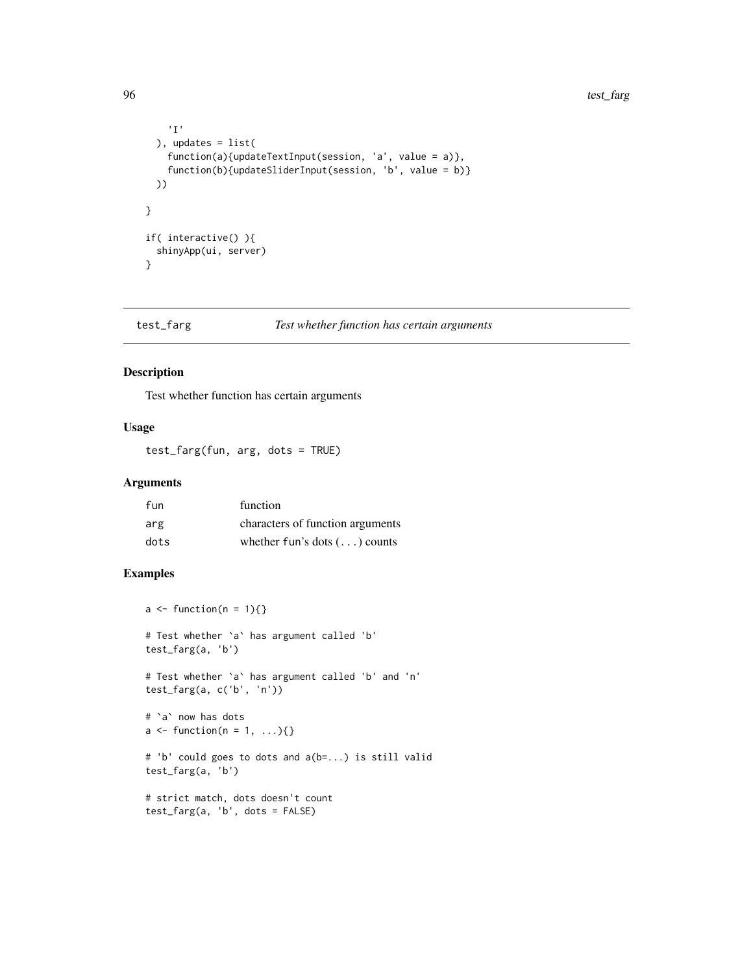```
'I'
  ), updates = list(
   function(a){updateTextInput(session, 'a', value = a)},
    function(b){updateSliderInput(session, 'b', value = b)}
  ))
}
if( interactive() ){
  shinyApp(ui, server)
}
```
test\_farg *Test whether function has certain arguments*

# Description

Test whether function has certain arguments

# Usage

test\_farg(fun, arg, dots = TRUE)

#### Arguments

| fun  | function                             |
|------|--------------------------------------|
| arg  | characters of function arguments     |
| dots | whether fun's dots $(\ldots)$ counts |

```
a \leftarrow function(n = 1)\# Test whether `a` has argument called 'b'
test_farg(a, 'b')
# Test whether `a` has argument called 'b' and 'n'
test_farg(a, c('b', 'n'))
# `a` now has dots
a \leftarrow function(n = 1, \ldots){}
# 'b' could goes to dots and a(b=...) is still valid
test_farg(a, 'b')
# strict match, dots doesn't count
test_farg(a, 'b', dots = FALSE)
```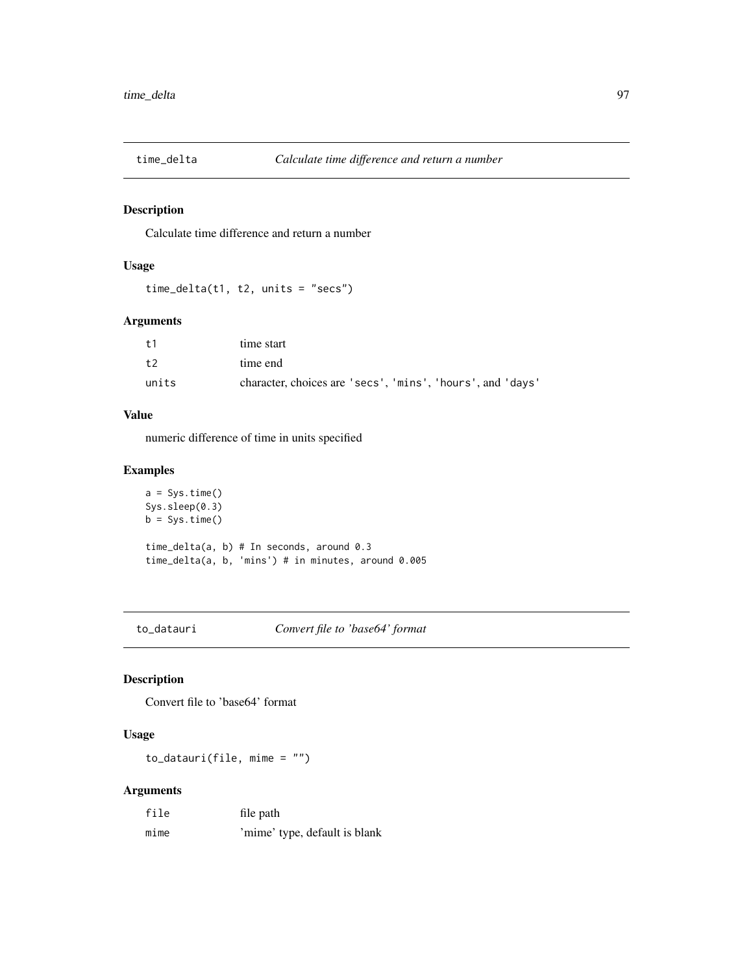<span id="page-96-0"></span>

# Description

Calculate time difference and return a number

# Usage

time\_delta(t1, t2, units = "secs")

#### Arguments

| t1    | time start                                                 |
|-------|------------------------------------------------------------|
| t2    | time end                                                   |
| units | character, choices are 'secs', 'mins', 'hours', and 'days' |

#### Value

numeric difference of time in units specified

# Examples

```
a = Sys.time()Sys.sleep(0.3)
b = Sys.time()time_delta(a, b) # In seconds, around 0.3
time_delta(a, b, 'mins') # in minutes, around 0.005
```
to\_datauri *Convert file to 'base64' format*

# Description

Convert file to 'base64' format

# Usage

to\_datauri(file, mime = "")

# Arguments

| file | file path                     |
|------|-------------------------------|
| mime | 'mime' type, default is blank |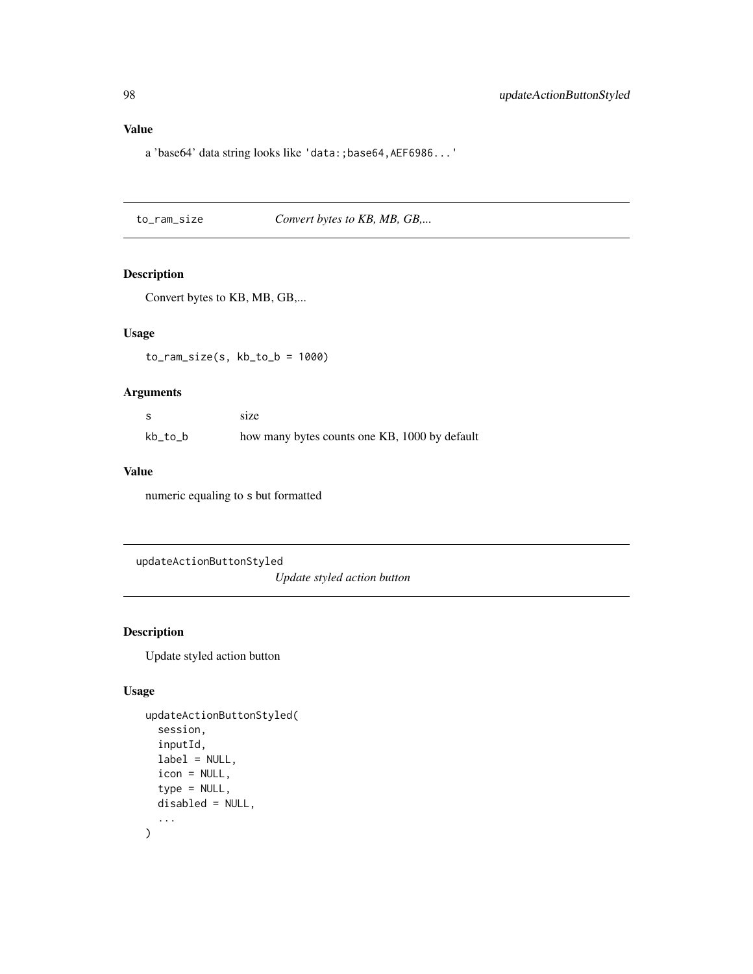# <span id="page-97-0"></span>Value

a 'base64' data string looks like 'data:;base64,AEF6986...'

to\_ram\_size *Convert bytes to KB, MB, GB,...*

# Description

Convert bytes to KB, MB, GB,...

#### Usage

 $to_ram\_size(s, kb_to_b = 1000)$ 

# Arguments

|         | size                                          |
|---------|-----------------------------------------------|
| kb_to_b | how many bytes counts one KB, 1000 by default |

#### Value

numeric equaling to s but formatted

updateActionButtonStyled

*Update styled action button*

# Description

Update styled action button

#### Usage

```
updateActionButtonStyled(
  session,
  inputId,
  label = NULL,icon = NULL,
  type = NULL,
  disabled = NULL,
  ...
)
```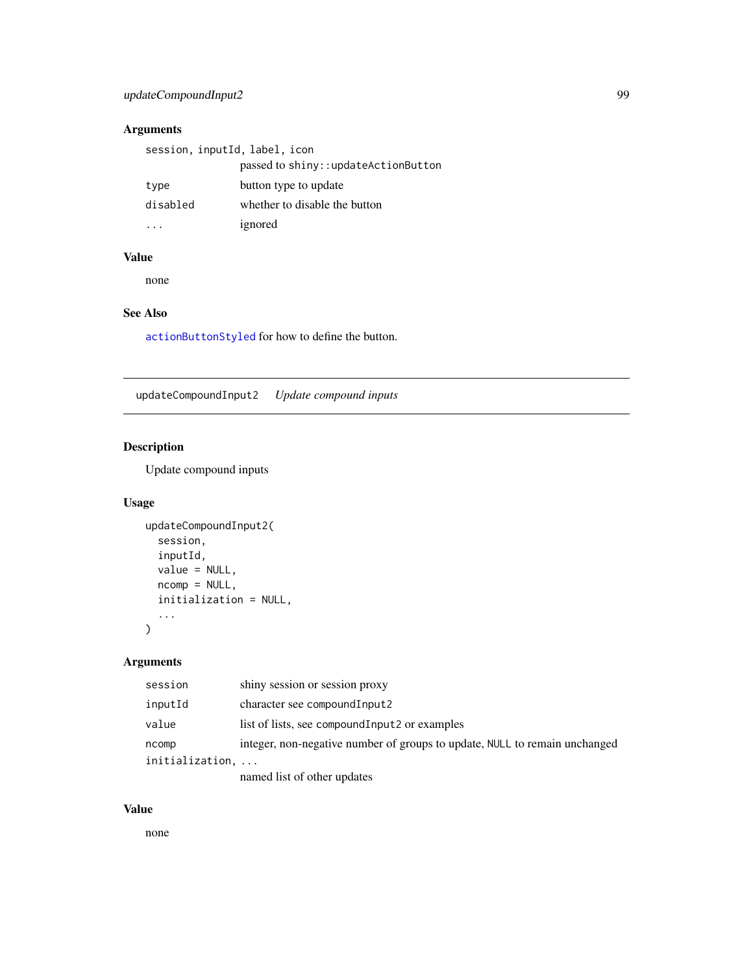# <span id="page-98-0"></span>updateCompoundInput2 99

# Arguments

| session, inputId, label, icon |                                     |
|-------------------------------|-------------------------------------|
|                               | passed to shiny::updateActionButton |
| type                          | button type to update               |
| disabled                      | whether to disable the button       |
|                               | ignored                             |

# Value

none

# See Also

[actionButtonStyled](#page-5-0) for how to define the button.

updateCompoundInput2 *Update compound inputs*

# Description

Update compound inputs

# Usage

```
updateCompoundInput2(
  session,
  inputId,
  value = NULL,
  ncomp = NULL,
  initialization = NULL,
  ...
)
```
# Arguments

| session         | shiny session or session proxy                                             |
|-----------------|----------------------------------------------------------------------------|
| inputId         | character see compound Input 2                                             |
| value           | list of lists, see compound Input 2 or examples                            |
| ncomp           | integer, non-negative number of groups to update, NULL to remain unchanged |
| initialization, |                                                                            |
|                 | named list of other updates                                                |

#### Value

none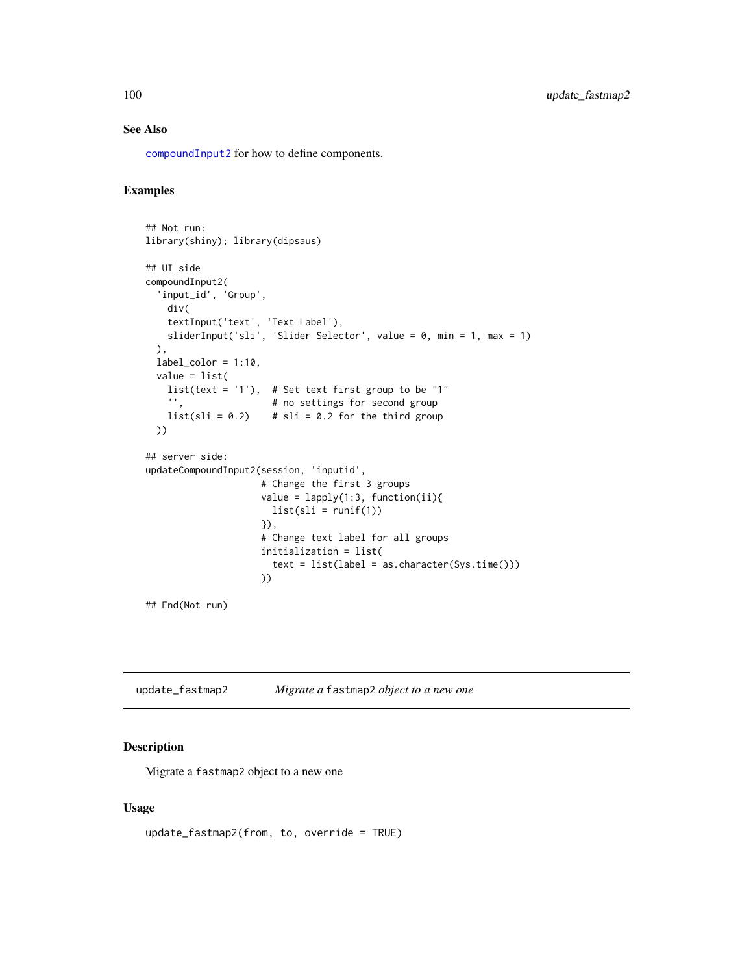# See Also

[compoundInput2](#page-25-0) for how to define components.

#### Examples

```
## Not run:
library(shiny); library(dipsaus)
## UI side
compoundInput2(
  'input_id', 'Group',
    div(
    textInput('text', 'Text Label'),
    sliderInput('sli', 'Slider Selector', value = 0, min = 1, max = 1)
  ),
  label\_color = 1:10,value = list(
    list(text = '1'), # Set text first group to be "1"<br>\qquad" * # no settings for second group
                        # no settings for second group
    list(sli = 0.2) # sli = 0.2 for the third group
  ))
## server side:
updateCompoundInput2(session, 'inputid',
                      # Change the first 3 groups
                      value = lapply(1:3, function(ii))list(sli = runif(1))}),
                      # Change text label for all groups
                      initialization = list(
                        text = list(label = as.character(Sys.time()))
                      ))
```
## End(Not run)

update\_fastmap2 *Migrate a* fastmap2 *object to a new one*

#### Description

Migrate a fastmap2 object to a new one

#### Usage

update\_fastmap2(from, to, override = TRUE)

<span id="page-99-0"></span>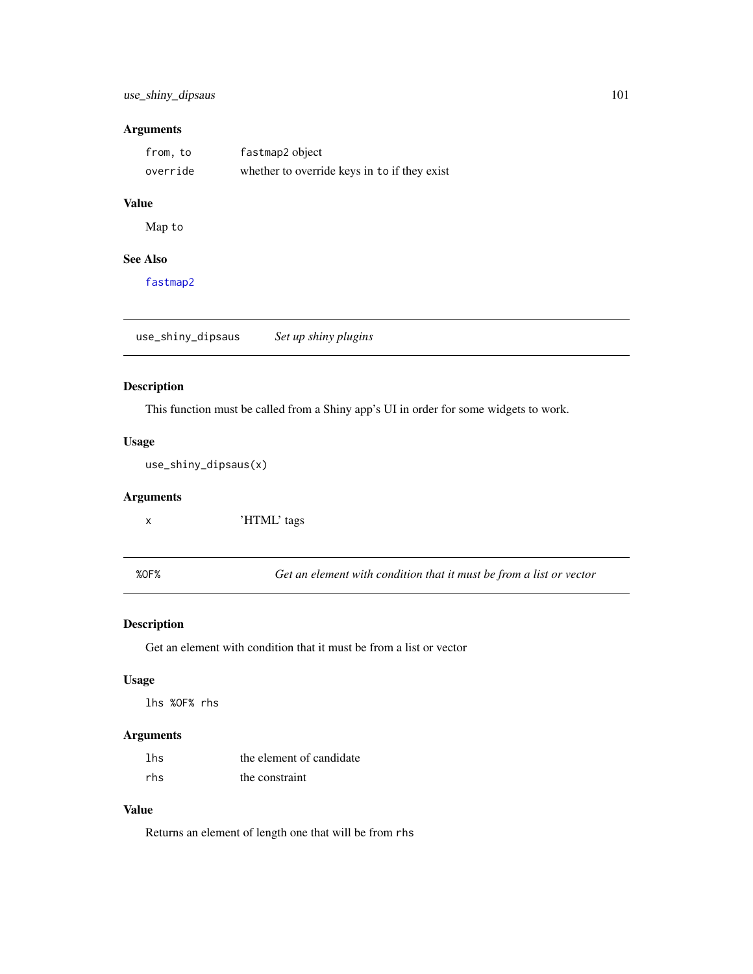# <span id="page-100-1"></span>Arguments

| from, to | fastmap2 object                              |
|----------|----------------------------------------------|
| override | whether to override keys in to if they exist |

# Value

Map to

# See Also

[fastmap2](#page-35-0)

<span id="page-100-0"></span>use\_shiny\_dipsaus *Set up shiny plugins*

#### Description

This function must be called from a Shiny app's UI in order for some widgets to work.

# Usage

use\_shiny\_dipsaus(x)

# Arguments

x 'HTML' tags

%OF% *Get an element with condition that it must be from a list or vector*

# Description

Get an element with condition that it must be from a list or vector

#### Usage

lhs %OF% rhs

# Arguments

| lhs | the element of candidate |
|-----|--------------------------|
| rhs | the constraint           |

#### Value

Returns an element of length one that will be from rhs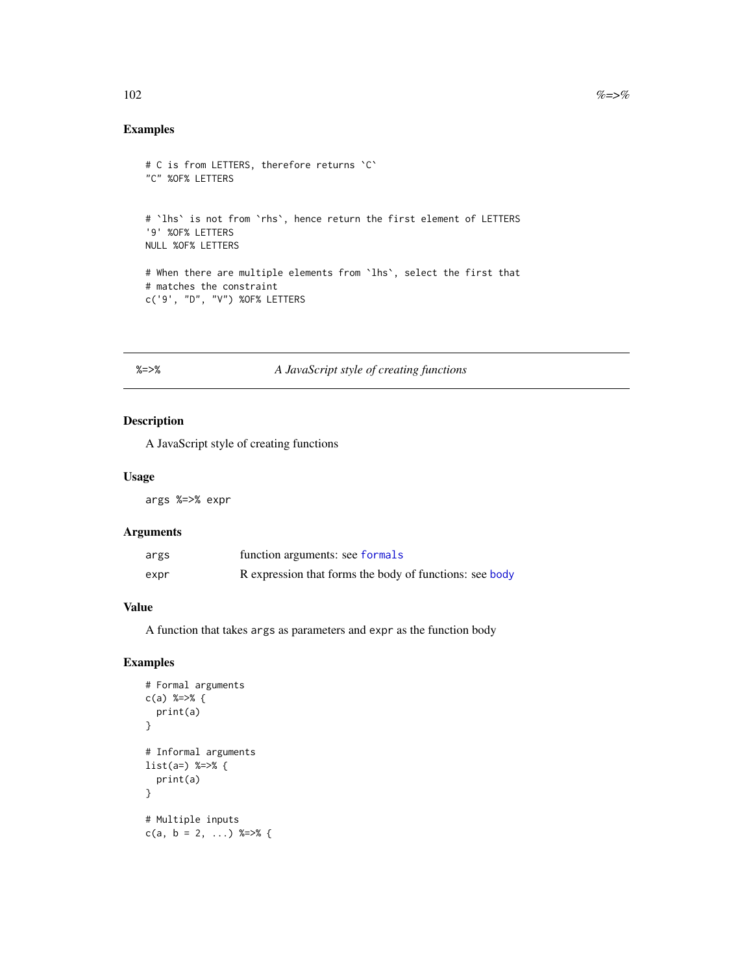# Examples

```
# C is from LETTERS, therefore returns `C`
"C" %OF% LETTERS
# `lhs` is not from `rhs`, hence return the first element of LETTERS
'9' %OF% LETTERS
NULL %OF% LETTERS
# When there are multiple elements from `lhs`, select the first that
# matches the constraint
c('9', "D", "V") %OF% LETTERS
```
# %=>% *A JavaScript style of creating functions*

#### Description

A JavaScript style of creating functions

#### Usage

args %=>% expr

#### Arguments

| args | function arguments: see formals                         |
|------|---------------------------------------------------------|
| expr | R expression that forms the body of functions: see body |

#### Value

A function that takes args as parameters and expr as the function body

```
# Formal arguments
c(a) %=\frac{1}{2} {
  print(a)
}
# Informal arguments
list(a=) %=>% {
  print(a)
}
# Multiple inputs
c(a, b = 2, ...) %=>% {
```
<span id="page-101-0"></span>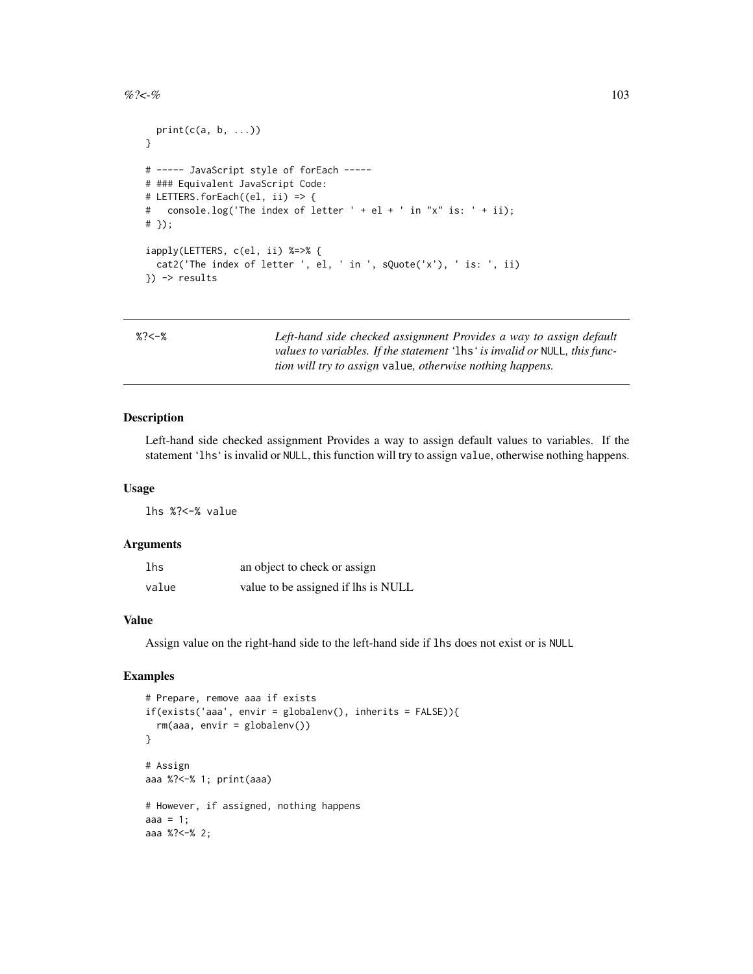#### <span id="page-102-0"></span> $% >c$ -% 103

```
print(c(a, b, \ldots))}
# ----- JavaScript style of forEach -----
# ### Equivalent JavaScript Code:
# LETTERS.forEach((el, ii) => {
# console.log('The index of letter ' + el + ' in "x" is: ' + ii);
# });
iapply(LETTERS, c(el, ii) %=>% {
 cat2('The index of letter ', el, ' in ', sQuote('x'), ' is: ', ii)
}) -> results
```

| n |  |  |
|---|--|--|
|   |  |  |

% *Left-hand side checked assignment Provides a way to assign default values to variables. If the statement '*lhs*' is invalid or* NULL*, this function will try to assign* value*, otherwise nothing happens.*

#### Description

Left-hand side checked assignment Provides a way to assign default values to variables. If the statement 'lhs' is invalid or NULL, this function will try to assign value, otherwise nothing happens.

#### Usage

lhs %?<-% value

#### **Arguments**

| lhs   | an object to check or assign        |
|-------|-------------------------------------|
| value | value to be assigned if lhs is NULL |

#### Value

Assign value on the right-hand side to the left-hand side if lhs does not exist or is NULL

```
# Prepare, remove aaa if exists
if(exists('aaa', envir = globalenv(), inherits = FALSE)){
 rm(aaa, envir = globalenv())
}
# Assign
aaa %?<-% 1; print(aaa)
# However, if assigned, nothing happens
aaa = 1;aaa %?<-% 2;
```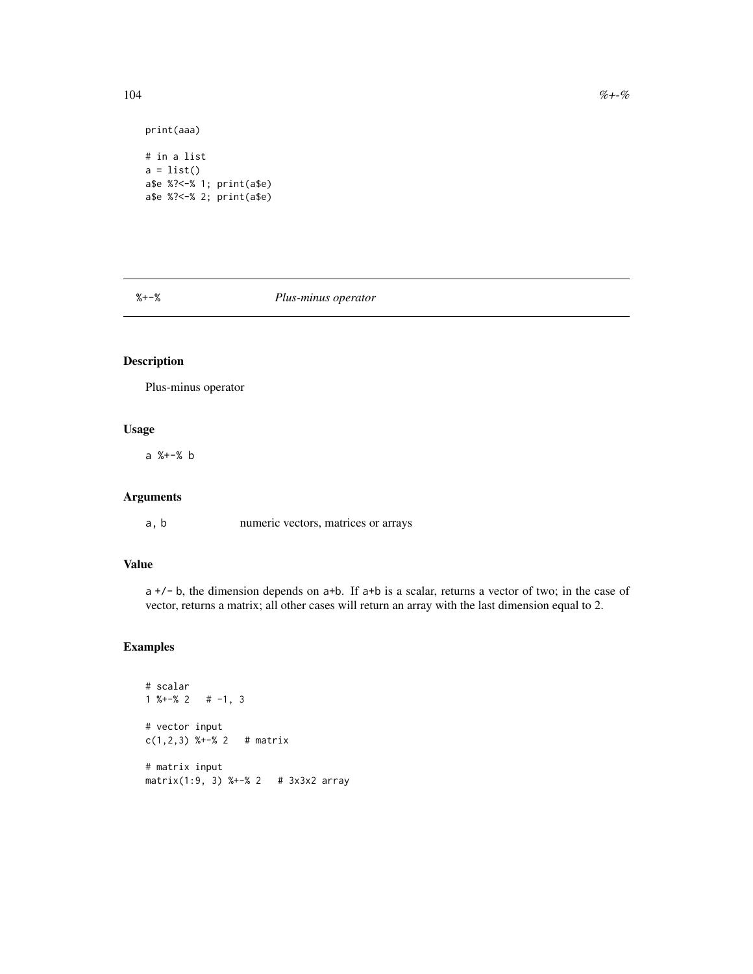```
print(aaa)
# in a list
a = list()a$e %?<-% 1; print(a$e)
a$e %?<-% 2; print(a$e)
```
%+-% *Plus-minus operator*

# Description

Plus-minus operator

# Usage

a %+-% b

# Arguments

a, b numeric vectors, matrices or arrays

#### Value

a +/- b, the dimension depends on a+b. If a+b is a scalar, returns a vector of two; in the case of vector, returns a matrix; all other cases will return an array with the last dimension equal to 2.

```
# scalar
1 \frac{8+2}{8} 2 # -1, 3
# vector input
c(1,2,3) %+-% 2 # matrix
# matrix input
matrix(1:9, 3) %+-% 2 # 3x3x2 array
```
<span id="page-103-0"></span>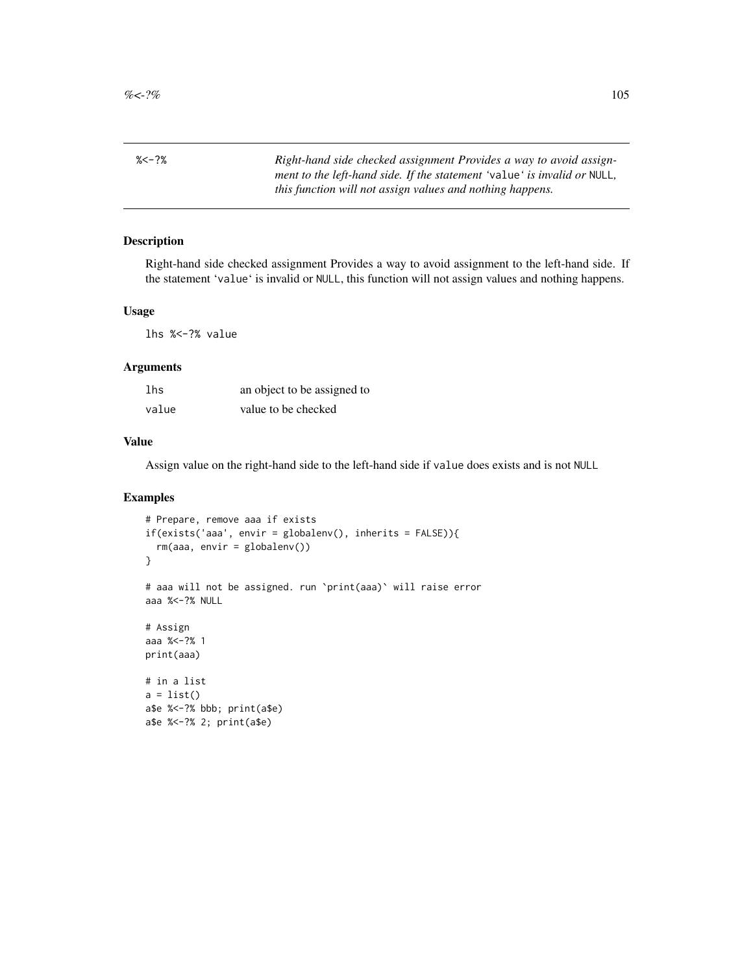<span id="page-104-0"></span>%<-?% *Right-hand side checked assignment Provides a way to avoid assignment to the left-hand side. If the statement '*value*' is invalid or* NULL*, this function will not assign values and nothing happens.*

#### Description

Right-hand side checked assignment Provides a way to avoid assignment to the left-hand side. If the statement 'value' is invalid or NULL, this function will not assign values and nothing happens.

#### Usage

lhs %<-?% value

#### Arguments

| lhs   | an object to be assigned to |
|-------|-----------------------------|
| value | value to be checked         |

#### Value

Assign value on the right-hand side to the left-hand side if value does exists and is not NULL

```
# Prepare, remove aaa if exists
if(exists('aaa', envir = globalenv(), inherits = FALSE)){
 rm(aaa, envir = globalenv())
}
# aaa will not be assigned. run `print(aaa)` will raise error
aaa %<-?% NULL
# Assign
aaa %<-?% 1
print(aaa)
# in a list
a = list()a$e %<-?% bbb; print(a$e)
a$e %<-?% 2; print(a$e)
```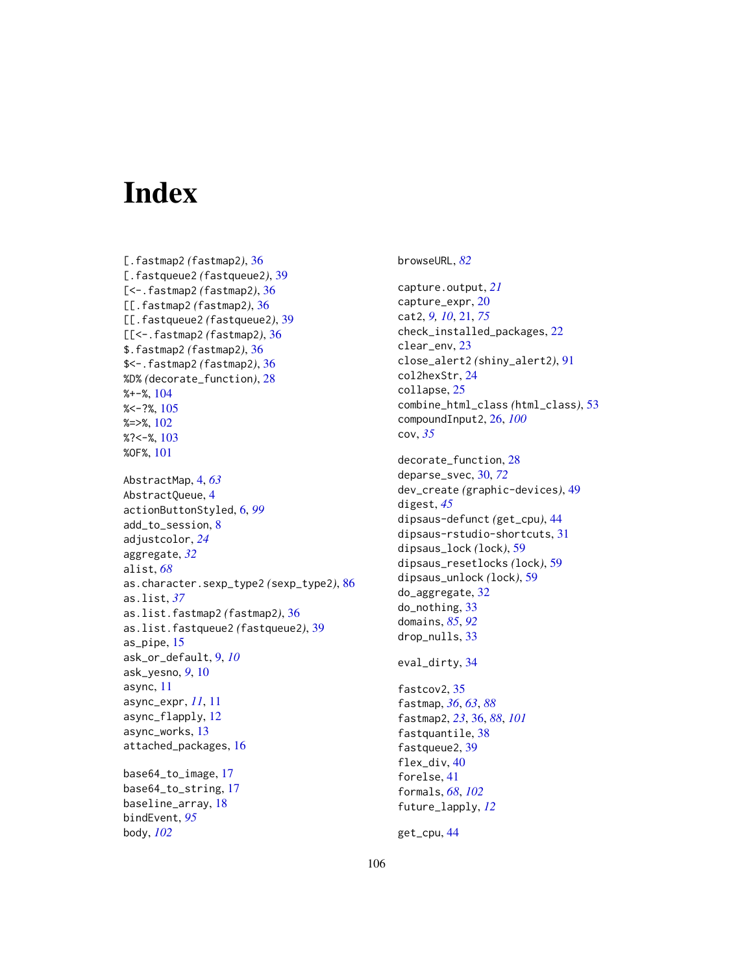# **Index**

[.fastmap2 *(*fastmap2*)*, [36](#page-35-1) [.fastqueue2 *(*fastqueue2*)*, [39](#page-38-0) [<-.fastmap2 *(*fastmap2*)*, [36](#page-35-1) [[.fastmap2 *(*fastmap2*)*, [36](#page-35-1) [[.fastqueue2 *(*fastqueue2*)*, [39](#page-38-0) [[<-.fastmap2 *(*fastmap2*)*, [36](#page-35-1) \$.fastmap2 *(*fastmap2*)*, [36](#page-35-1) \$<-.fastmap2 *(*fastmap2*)*, [36](#page-35-1) %D% *(*decorate\_function*)*, [28](#page-27-0) %+-%, [104](#page-103-0)  $% < -?$ %, [105](#page-104-0)  $%=>$ %,  $102$ %?<-%, [103](#page-102-0) %OF%, [101](#page-100-1) AbstractMap, [4,](#page-3-0) *[63](#page-62-0)* AbstractQueue, [4](#page-3-0) actionButtonStyled, [6,](#page-5-1) *[99](#page-98-0)* add\_to\_session, [8](#page-7-0) adjustcolor, *[24](#page-23-0)* aggregate, *[32](#page-31-0)* alist, *[68](#page-67-0)* as.character.sexp\_type2 *(*sexp\_type2*)*, [86](#page-85-0) as.list, *[37](#page-36-0)* as.list.fastmap2 *(*fastmap2*)*, [36](#page-35-1) as.list.fastqueue2 *(*fastqueue2*)*, [39](#page-38-0) as\_pipe, [15](#page-14-0) ask\_or\_default, [9,](#page-8-0) *[10](#page-9-0)* ask\_yesno, *[9](#page-8-0)*, [10](#page-9-0) async, [11](#page-10-0) async\_expr, *[11](#page-10-0)*, [11](#page-10-0) async\_flapply, [12](#page-11-0) async\_works, [13](#page-12-0) attached\_packages, [16](#page-15-0) base64\_to\_image, [17](#page-16-0)

base64\_to\_string, [17](#page-16-0) baseline\_array, [18](#page-17-0) bindEvent, *[95](#page-94-0)* body, *[102](#page-101-0)*

browseURL, *[82](#page-81-0)*

capture.output, *[21](#page-20-1)* capture\_expr, [20](#page-19-0) cat2, *[9,](#page-8-0) [10](#page-9-0)*, [21,](#page-20-1) *[75](#page-74-0)* check\_installed\_packages, [22](#page-21-0) clear\_env, [23](#page-22-0) close\_alert2 *(*shiny\_alert2*)*, [91](#page-90-0) col2hexStr, [24](#page-23-0) collapse, [25](#page-24-0) combine\_html\_class *(*html\_class*)*, [53](#page-52-0) compoundInput2, [26,](#page-25-1) *[100](#page-99-0)* cov, *[35](#page-34-0)*

decorate\_function, [28](#page-27-0) deparse\_svec, [30,](#page-29-0) *[72](#page-71-0)* dev\_create *(*graphic-devices*)*, [49](#page-48-0) digest, *[45](#page-44-0)* dipsaus-defunct *(*get\_cpu*)*, [44](#page-43-0) dipsaus-rstudio-shortcuts, [31](#page-30-0) dipsaus\_lock *(*lock*)*, [59](#page-58-0) dipsaus\_resetlocks *(*lock*)*, [59](#page-58-0) dipsaus\_unlock *(*lock*)*, [59](#page-58-0) do\_aggregate, [32](#page-31-0) do\_nothing, [33](#page-32-0) domains, *[85](#page-84-0)*, *[92](#page-91-0)* drop\_nulls, [33](#page-32-0)

```
eval_dirty, 34
```
fastcov2, [35](#page-34-0) fastmap, *[36](#page-35-1)*, *[63](#page-62-0)*, *[88](#page-87-0)* fastmap2, *[23](#page-22-0)*, [36,](#page-35-1) *[88](#page-87-0)*, *[101](#page-100-1)* fastquantile, [38](#page-37-0) fastqueue2, [39](#page-38-0) flex\_div, [40](#page-39-0) forelse, [41](#page-40-0) formals, *[68](#page-67-0)*, *[102](#page-101-0)* future\_lapply, *[12](#page-11-0)*

get\_cpu, [44](#page-43-0)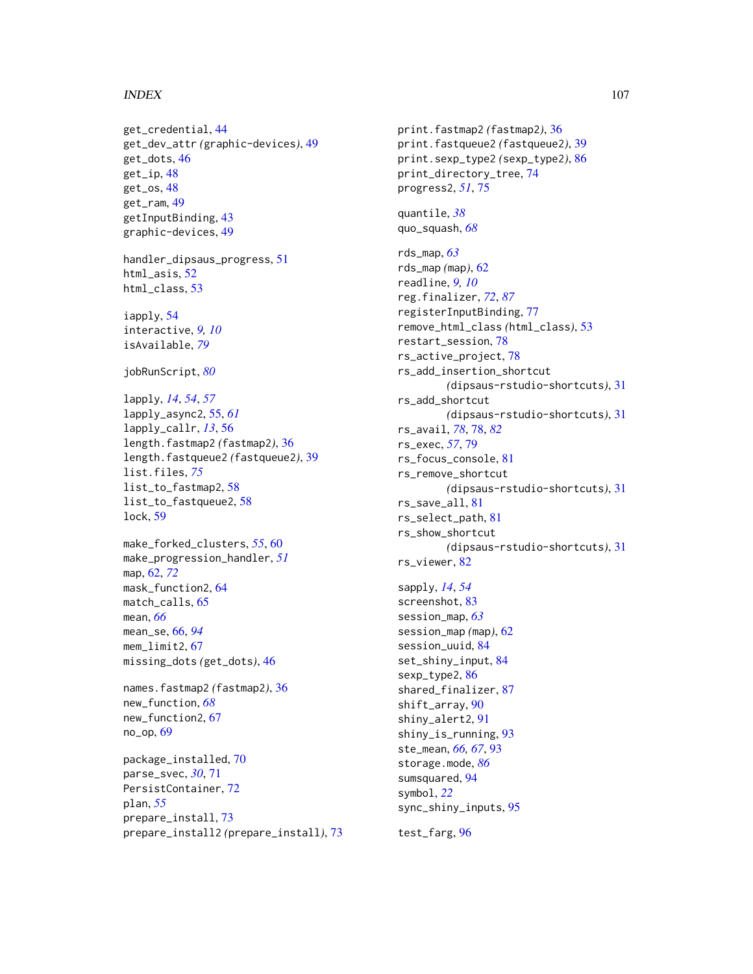#### INDEX  $107$

get\_credential, [44](#page-43-0) get\_dev\_attr *(*graphic-devices*)*, [49](#page-48-0) get\_dots, [46](#page-45-0) get\_ip, [48](#page-47-0) get\_os, [48](#page-47-0) get\_ram, [49](#page-48-0) getInputBinding, [43](#page-42-0) graphic-devices, [49](#page-48-0) handler\_dipsaus\_progress, [51](#page-50-0) html\_asis, [52](#page-51-0) html\_class, [53](#page-52-0) iapply, [54](#page-53-0) interactive, *[9,](#page-8-0) [10](#page-9-0)* isAvailable, *[79](#page-78-0)* jobRunScript, *[80](#page-79-0)* lapply, *[14](#page-13-0)*, *[54](#page-53-0)*, *[57](#page-56-0)* lapply\_async2, [55,](#page-54-0) *[61](#page-60-0)* lapply\_callr, *[13](#page-12-0)*, [56](#page-55-0) length.fastmap2 *(*fastmap2*)*, [36](#page-35-1) length.fastqueue2 *(*fastqueue2*)*, [39](#page-38-0) list.files, *[75](#page-74-0)* list\_to\_fastmap2, [58](#page-57-0) list\_to\_fastqueue2, [58](#page-57-0) lock, [59](#page-58-0) make\_forked\_clusters, *[55](#page-54-0)*, [60](#page-59-0) make\_progression\_handler, *[51](#page-50-0)* map, [62,](#page-61-0) *[72](#page-71-0)* mask\_function2, [64](#page-63-0) match\_calls, [65](#page-64-0) mean, *[66](#page-65-1)* mean\_se, [66,](#page-65-1) *[94](#page-93-0)* mem  $limit2. 67$  $limit2. 67$ missing\_dots *(*get\_dots*)*, [46](#page-45-0) names.fastmap2 *(*fastmap2*)*, [36](#page-35-1) new\_function, *[68](#page-67-0)* new\_function2, [67](#page-66-0) no\_op, [69](#page-68-0) package\_installed, [70](#page-69-0) parse\_svec, *[30](#page-29-0)*, [71](#page-70-0) PersistContainer, [72](#page-71-0) plan, *[55](#page-54-0)* prepare\_install, [73](#page-72-0) prepare\_install2 *(*prepare\_install*)*, [73](#page-72-0) print.fastmap2 *(*fastmap2*)*, [36](#page-35-1) print.fastqueue2 *(*fastqueue2*)*, [39](#page-38-0) print.sexp\_type2 *(*sexp\_type2*)*, [86](#page-85-0) print\_directory\_tree, [74](#page-73-0) progress2, *[51](#page-50-0)*, [75](#page-74-0) quantile, *[38](#page-37-0)* quo\_squash, *[68](#page-67-0)* rds\_map, *[63](#page-62-0)* rds\_map *(*map*)*, [62](#page-61-0) readline, *[9,](#page-8-0) [10](#page-9-0)* reg.finalizer, *[72](#page-71-0)*, *[87](#page-86-0)* registerInputBinding, [77](#page-76-0) remove\_html\_class *(*html\_class*)*, [53](#page-52-0) restart\_session, [78](#page-77-1) rs\_active\_project, [78](#page-77-1) rs\_add\_insertion\_shortcut *(*dipsaus-rstudio-shortcuts*)*, [31](#page-30-0) rs\_add\_shortcut *(*dipsaus-rstudio-shortcuts*)*, [31](#page-30-0) rs\_avail, *[78](#page-77-1)*, [78,](#page-77-1) *[82](#page-81-0)* rs\_exec, *[57](#page-56-0)*, [79](#page-78-0) rs\_focus\_console, [81](#page-80-0) rs\_remove\_shortcut *(*dipsaus-rstudio-shortcuts*)*, [31](#page-30-0) rs\_save\_all, [81](#page-80-0) rs\_select\_path, [81](#page-80-0) rs\_show\_shortcut *(*dipsaus-rstudio-shortcuts*)*, [31](#page-30-0) rs\_viewer, [82](#page-81-0) sapply, *[14](#page-13-0)*, *[54](#page-53-0)* screenshot, [83](#page-82-0) session\_map, *[63](#page-62-0)* session\_map *(*map*)*, [62](#page-61-0) session\_uuid, [84](#page-83-0) set\_shiny\_input, [84](#page-83-0) sexp\_type2, [86](#page-85-0) shared\_finalizer, [87](#page-86-0) shift\_array, [90](#page-89-0) shiny\_alert2, [91](#page-90-0) shiny\_is\_running, [93](#page-92-0) ste\_mean, *[66,](#page-65-1) [67](#page-66-0)*, [93](#page-92-0) storage.mode, *[86](#page-85-0)* sumsquared, [94](#page-93-0) symbol, *[22](#page-21-0)* sync\_shiny\_inputs, [95](#page-94-0)

test\_farg, [96](#page-95-0)